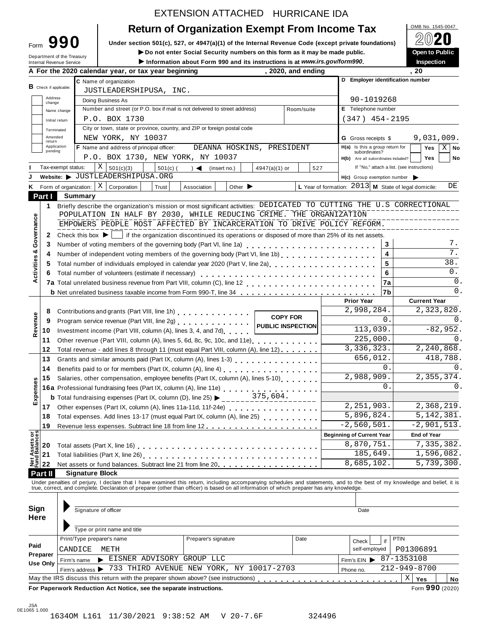|                                                        | EXTENSION ATTACHED HURRICANE IDA                                                                                                                                                                                                                                                                                         |                             |                          |                                                                                   |                          |  |  |  |
|--------------------------------------------------------|--------------------------------------------------------------------------------------------------------------------------------------------------------------------------------------------------------------------------------------------------------------------------------------------------------------------------|-----------------------------|--------------------------|-----------------------------------------------------------------------------------|--------------------------|--|--|--|
|                                                        | <b>Return of Organization Exempt From Income Tax</b>                                                                                                                                                                                                                                                                     |                             |                          |                                                                                   | OMB No. 1545-0047        |  |  |  |
| 990<br>Form                                            | Under section 501(c), 527, or 4947(a)(1) of the Internal Revenue Code (except private foundations)                                                                                                                                                                                                                       |                             |                          |                                                                                   |                          |  |  |  |
|                                                        | Do not enter Social Security numbers on this form as it may be made public.                                                                                                                                                                                                                                              |                             |                          |                                                                                   | Open to Public           |  |  |  |
| Department of the Treasury<br>Internal Revenue Service | Information about Form 990 and its instructions is at www.irs.gov/form990.                                                                                                                                                                                                                                               |                             |                          |                                                                                   | Inspection               |  |  |  |
|                                                        | A For the 2020 calendar year, or tax year beginning                                                                                                                                                                                                                                                                      |                             | , 2020, and ending       |                                                                                   | . 20                     |  |  |  |
|                                                        | C Name of organization                                                                                                                                                                                                                                                                                                   |                             |                          | D Employer identification number                                                  |                          |  |  |  |
| $B$ Check if applicable:                               | JUSTLEADERSHIPUSA, INC.                                                                                                                                                                                                                                                                                                  |                             |                          |                                                                                   |                          |  |  |  |
| Address<br>change                                      | Doing Business As                                                                                                                                                                                                                                                                                                        |                             |                          | 90-1019268                                                                        |                          |  |  |  |
| Name change                                            | Number and street (or P.O. box if mail is not delivered to street address)                                                                                                                                                                                                                                               |                             | Room/suite               | E Telephone number                                                                |                          |  |  |  |
| Initial return                                         | P.O. BOX 1730                                                                                                                                                                                                                                                                                                            |                             |                          | $(347)$ 454-2195                                                                  |                          |  |  |  |
| Terminated                                             | City or town, state or province, country, and ZIP or foreign postal code                                                                                                                                                                                                                                                 |                             |                          |                                                                                   |                          |  |  |  |
| Amended<br>return<br>Application                       | NEW YORK, NY 10037<br>F Name and address of principal officer:                                                                                                                                                                                                                                                           |                             |                          | <b>G</b> Gross receipts \$<br>$H(a)$ Is this a group return for                   | 9,031,009.               |  |  |  |
| pending                                                | P.O. BOX 1730, NEW YORK, NY 10037                                                                                                                                                                                                                                                                                        | DEANNA HOSKINS, PRESIDENT   |                          | subordinates?                                                                     | $X \mid No$<br>Yes       |  |  |  |
| Tax-exempt status:                                     | X<br>501(c)(3)<br>$501(c)$ (<br>$)$ (insert no.)                                                                                                                                                                                                                                                                         | 4947(a)(1) or               | 527                      | H(b) Are all subordinates included?<br>If "No," attach a list. (see instructions) | Yes<br>No                |  |  |  |
|                                                        | Website: JUSTLEADERSHIPUSA.ORG                                                                                                                                                                                                                                                                                           |                             |                          | $H(c)$ Group exemption number $\blacktriangleright$                               |                          |  |  |  |
|                                                        | Form of organization: $\mid X \mid$ Corporation<br>Trust<br>Association                                                                                                                                                                                                                                                  | Other $\blacktriangleright$ |                          | L Year of formation: $2013$ M State of legal domicile:                            | DE                       |  |  |  |
| Part I                                                 | Summary                                                                                                                                                                                                                                                                                                                  |                             |                          |                                                                                   |                          |  |  |  |
| $\mathbf 1$                                            | Briefly describe the organization's mission or most significant activities: DEDICATED TO CUTTING THE U.S CORRECTIONAL                                                                                                                                                                                                    |                             |                          |                                                                                   |                          |  |  |  |
| Governance                                             | POPULATION IN HALF BY 2030, WHILE REDUCING CRIME. THE ORGANIZATION                                                                                                                                                                                                                                                       |                             |                          |                                                                                   |                          |  |  |  |
|                                                        | EMPOWERS PEOPLE MOST AFFECTED BY INCARCERATION TO DRIVE POLICY REFORM.                                                                                                                                                                                                                                                   |                             |                          |                                                                                   |                          |  |  |  |
| $\mathbf{2}$                                           | Check this box $\blacktriangleright$   if the organization discontinued its operations or disposed of more than 25% of its net assets.                                                                                                                                                                                   |                             |                          |                                                                                   |                          |  |  |  |
| 3                                                      | Number of voting members of the governing body (Part VI, line 1a)<br>                                                                                                                                                                                                                                                    |                             |                          | 3                                                                                 | 7.                       |  |  |  |
| 4                                                      |                                                                                                                                                                                                                                                                                                                          |                             |                          | 4                                                                                 | $\overline{7}$ .         |  |  |  |
| 5                                                      | Total number of individuals employed in calendar year 2020 (Part V, line 2a)<br>The 2a)                                                                                                                                                                                                                                  |                             |                          | 5                                                                                 | 38.                      |  |  |  |
| 6                                                      | Total number of volunteers (estimate if necessary)                                                                                                                                                                                                                                                                       |                             |                          | 6                                                                                 | 0.                       |  |  |  |
|                                                        |                                                                                                                                                                                                                                                                                                                          |                             |                          | 7a                                                                                | 0.                       |  |  |  |
|                                                        | b Net unrelated business taxable income from Form 990-T, line 34                                                                                                                                                                                                                                                         |                             |                          | 7b                                                                                | $0$ .                    |  |  |  |
|                                                        |                                                                                                                                                                                                                                                                                                                          |                             |                          | <b>Prior Year</b>                                                                 | <b>Current Year</b>      |  |  |  |
| 8                                                      | Contributions and grants (Part VIII, line 1h)                                                                                                                                                                                                                                                                            |                             | <b>COPY FOR</b>          | 2,998,284.<br>$\Omega$                                                            | 2,323,820.<br>$0$ .      |  |  |  |
| 9                                                      | Program service revenue (Part VIII, line 2g) [10] Program service revenue (Part VIII, line 2g)                                                                                                                                                                                                                           |                             | <b>PUBLIC INSPECTION</b> | 113,039.                                                                          | $-82,952.$               |  |  |  |
| 10                                                     | Investment income (Part VIII, column (A), lines 3, 4, and 7d)                                                                                                                                                                                                                                                            |                             |                          | 225,000.                                                                          | $0$ .                    |  |  |  |
| 11<br>12                                               | Other revenue (Part VIII, column (A), lines 5, 6d, 8c, 9c, 10c, and 11e)<br>Total revenue - add lines 8 through 11 (must equal Part VIII, column (A), line 12)                                                                                                                                                           |                             |                          | 3, 336, 323.                                                                      | 2, 240, 868.             |  |  |  |
| 13                                                     | Grants and similar amounts paid (Part IX, column (A), lines 1-3) [10] [20] Canada and similar amounts paid (Part IX, column (A), lines 1-3)                                                                                                                                                                              |                             |                          | 656,012.                                                                          | 418,788.                 |  |  |  |
| 14                                                     | Benefits paid to or for members (Part IX, column (A), line 4) [10] cases and the set of the set of the set of the set of the set of the set of the set of the set of the set of the set of the set of the set of the set of th                                                                                           |                             |                          | 0.                                                                                | 0.                       |  |  |  |
| 15                                                     | Salaries, other compensation, employee benefits (Part IX, column (A), lines 5-10)                                                                                                                                                                                                                                        |                             |                          | 2,988,909.                                                                        | 2, 355, 374.             |  |  |  |
| Expenses                                               |                                                                                                                                                                                                                                                                                                                          |                             |                          | $\Omega$ .                                                                        | 0.                       |  |  |  |
|                                                        | <b>16a</b> Professional fundraising fees (Part IX, column (A), line 11e)<br><b>b</b> Total fundraising expenses (Part IX, column (D), line 25)<br>$\begin{array}{c} 375,604. \end{array}$                                                                                                                                |                             |                          |                                                                                   |                          |  |  |  |
| 17                                                     | Other expenses (Part IX, column (A), lines 11a-11d, 11f-24e)                                                                                                                                                                                                                                                             |                             |                          | 2, 251, 903.                                                                      | 2,368,219.               |  |  |  |
| 18                                                     |                                                                                                                                                                                                                                                                                                                          |                             |                          | 5,896,824.                                                                        | 5, 142, 381.             |  |  |  |
| 19                                                     |                                                                                                                                                                                                                                                                                                                          |                             |                          | $-2,560,501.$                                                                     | $-2,901,513.$            |  |  |  |
|                                                        |                                                                                                                                                                                                                                                                                                                          |                             |                          | <b>Beginning of Current Year</b>                                                  | <b>End of Year</b>       |  |  |  |
| Assets or<br>20                                        |                                                                                                                                                                                                                                                                                                                          |                             |                          | 8,870,751.                                                                        | 7,335,382.               |  |  |  |
| 21                                                     |                                                                                                                                                                                                                                                                                                                          |                             |                          | 185,649.                                                                          | 1,596,082.               |  |  |  |
| 22                                                     | Net assets or fund balances. Subtract line 21 from line 20.                                                                                                                                                                                                                                                              |                             |                          | 8,685,102.                                                                        | 5,739,300.               |  |  |  |
| Part II                                                | <b>Signature Block</b>                                                                                                                                                                                                                                                                                                   |                             |                          |                                                                                   |                          |  |  |  |
|                                                        | Under penalties of perjury, I declare that I have examined this return, including accompanying schedules and statements, and to the best of my knowledge and belief, it is<br>true, correct, and complete. Declaration of preparer (other than officer) is based on all information of which preparer has any knowledge. |                             |                          |                                                                                   |                          |  |  |  |
|                                                        |                                                                                                                                                                                                                                                                                                                          |                             |                          |                                                                                   |                          |  |  |  |
| Sign                                                   | Signature of officer                                                                                                                                                                                                                                                                                                     |                             |                          | Date                                                                              |                          |  |  |  |
| Here                                                   |                                                                                                                                                                                                                                                                                                                          |                             |                          |                                                                                   |                          |  |  |  |
|                                                        | Type or print name and title                                                                                                                                                                                                                                                                                             |                             |                          |                                                                                   |                          |  |  |  |
|                                                        | Print/Type preparer's name<br>Preparer's signature                                                                                                                                                                                                                                                                       |                             | Date                     | <b>PTIN</b><br>if<br>Check                                                        |                          |  |  |  |
| Paid                                                   | CANDICE<br>METH                                                                                                                                                                                                                                                                                                          |                             |                          | self-employed                                                                     | P01306891                |  |  |  |
|                                                        | EISNER ADVISORY GROUP LLC<br>Firm's name                                                                                                                                                                                                                                                                                 |                             |                          | Firm's EIN                                                                        | 87-1353108               |  |  |  |
|                                                        |                                                                                                                                                                                                                                                                                                                          |                             |                          |                                                                                   |                          |  |  |  |
|                                                        |                                                                                                                                                                                                                                                                                                                          |                             |                          |                                                                                   | $212 - 949 - 8700$       |  |  |  |
| Preparer<br><b>Use Only</b>                            | Firm's address > 733 THIRD AVENUE NEW YORK, NY 10017-2703<br>May the IRS discuss this return with the preparer shown above? (see instructions) contract of the TRS discuss this return with the preparer shown above? (see instructions) contract of the TRS discuss that the TRS                                        |                             |                          | Phone no.                                                                         | $\mathbf X$<br>Yes<br>No |  |  |  |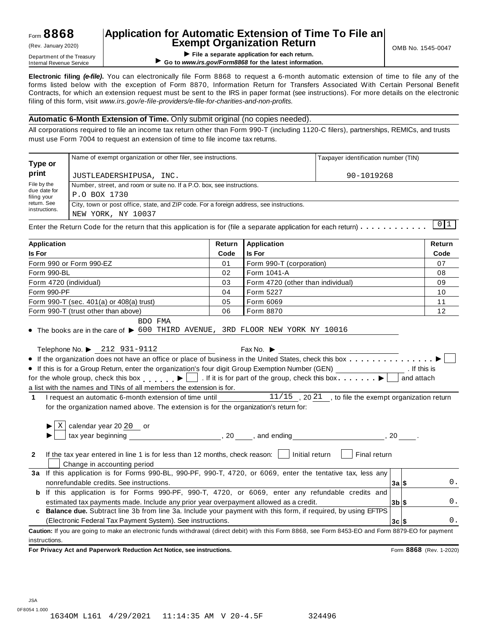# **Application for Automatic Extension of Time To File an Exempt Organization Return** (Rev. January 2020) OMB No. 1545-0047

**I FILERTIFIC SETTIPL SEPARATE IS A RETURN THEORY OF SEPARATE SEPARATE SEPARATE SEPARATE SEPARATE SEPARATE SEPARATE SEPARATE SEPARATE SEPARATE SEPARATE SEPARATE SEPARATE SEPARATE SEPARATE SEPARATE SEPARATE SEPARATE SEPARAT** ▶ Go to www.irs.gov/Form8868 for the latest information.

**Electronic filing** *(e-file)***.** You can electronically file Form 8868 to request a 6-month automatic extension of time to file any of the forms listed below with the exception of Form 8870, Information Return for Transfers Associated With Certain Personal Benefit Contracts, for which an extension request must be sent to the IRS in paper format (see instructions). For more details on the electronic filing of this form, visit *www.irs.gov/e-file-providers/e-file-for-charities-and-non-profits.*

#### **Automatic 6-Month Extension of Time.** Only submit original (no copies needed).

All corporations required to file an income tax return other than Form 990-T (including 1120-C filers), partnerships, REMICs, and trusts must use Form 7004 to request an extension of time to file income tax returns.

| Type or                     | Name of exempt organization or other filer, see instructions.                                                                                                                                                                                                                                                                                                                                       |         |                                                     | Taxpayer identification number (TIN)                |         |            |
|-----------------------------|-----------------------------------------------------------------------------------------------------------------------------------------------------------------------------------------------------------------------------------------------------------------------------------------------------------------------------------------------------------------------------------------------------|---------|-----------------------------------------------------|-----------------------------------------------------|---------|------------|
| print                       | JUSTLEADERSHIPUSA, INC.                                                                                                                                                                                                                                                                                                                                                                             |         |                                                     | 90-1019268                                          |         |            |
| File by the                 | Number, street, and room or suite no. If a P.O. box, see instructions.                                                                                                                                                                                                                                                                                                                              |         |                                                     |                                                     |         |            |
| due date for<br>filing your | P.O BOX 1730                                                                                                                                                                                                                                                                                                                                                                                        |         |                                                     |                                                     |         |            |
| return. See                 | City, town or post office, state, and ZIP code. For a foreign address, see instructions.                                                                                                                                                                                                                                                                                                            |         |                                                     |                                                     |         |            |
| instructions.               | NEW YORK, NY 10037                                                                                                                                                                                                                                                                                                                                                                                  |         |                                                     |                                                     |         |            |
|                             | Enter the Return Code for the return that this application is for (file a separate application for each return)                                                                                                                                                                                                                                                                                     |         |                                                     |                                                     |         | $0\vert 1$ |
| <b>Application</b>          |                                                                                                                                                                                                                                                                                                                                                                                                     | Return  | <b>Application</b>                                  |                                                     |         | Return     |
| <b>Is For</b>               |                                                                                                                                                                                                                                                                                                                                                                                                     | Code    | <b>Is For</b>                                       |                                                     |         | Code       |
|                             | Form 990 or Form 990-EZ                                                                                                                                                                                                                                                                                                                                                                             | 01      | Form 990-T (corporation)                            |                                                     |         | 07         |
| Form 990-BL                 |                                                                                                                                                                                                                                                                                                                                                                                                     | 02      | Form 1041-A                                         |                                                     |         | 08         |
|                             | Form 4720 (individual)                                                                                                                                                                                                                                                                                                                                                                              | 03      | Form 4720 (other than individual)                   |                                                     |         | 09         |
| Form 990-PF                 |                                                                                                                                                                                                                                                                                                                                                                                                     | 04      | Form 5227                                           |                                                     |         | 10         |
|                             | Form 6069<br>Form 990-T (sec. 401(a) or 408(a) trust)<br>05                                                                                                                                                                                                                                                                                                                                         |         |                                                     |                                                     |         | 11         |
|                             | Form 990-T (trust other than above)                                                                                                                                                                                                                                                                                                                                                                 | 06      | Form 8870                                           |                                                     |         | 12         |
|                             | Telephone No. ▶ 212 931-9112<br>• If the organization does not have an office or place of business in the United States, check this box<br>• If this is for a Group Return, enter the organization's four digit Group Exemption Number (GEN) __________________. If this is<br>for the whole group, check this box $\Box$ . If it is for part of the group, check this box $\dots \rightarrow \Box$ |         | Fax No. $\blacktriangleright$                       | <u> 1989 - Johann Barbara, martxa alemaniar arg</u> |         | and attach |
|                             | a list with the names and TINs of all members the extension is for.                                                                                                                                                                                                                                                                                                                                 |         |                                                     |                                                     |         |            |
| $\mathbf{1}$                | I request an automatic 6-month extension of time until                                                                                                                                                                                                                                                                                                                                              |         | 11/15, 2021, to file the exempt organization return |                                                     |         |            |
|                             | for the organization named above. The extension is for the organization's return for:                                                                                                                                                                                                                                                                                                               |         |                                                     |                                                     |         |            |
|                             | $X$ calendar year 20 20 or                                                                                                                                                                                                                                                                                                                                                                          |         |                                                     |                                                     |         |            |
|                             |                                                                                                                                                                                                                                                                                                                                                                                                     |         |                                                     |                                                     |         |            |
| $\mathbf{2}$                | If the tax year entered in line 1 is for less than 12 months, check reason: $\vert$   Initial return                                                                                                                                                                                                                                                                                                |         |                                                     | Final return                                        |         |            |
|                             | Change in accounting period                                                                                                                                                                                                                                                                                                                                                                         |         |                                                     |                                                     |         |            |
|                             | 3a If this application is for Forms 990-BL, 990-PF, 990-T, 4720, or 6069, enter the tentative tax, less any                                                                                                                                                                                                                                                                                         |         |                                                     |                                                     |         |            |
|                             | nonrefundable credits. See instructions.                                                                                                                                                                                                                                                                                                                                                            |         |                                                     |                                                     | 3a S    | 0.         |
|                             | <b>b</b> If this application is for Forms 990-PF, 990-T, 4720, or 6069, enter any refundable credits and                                                                                                                                                                                                                                                                                            |         |                                                     |                                                     |         |            |
|                             | estimated tax payments made. Include any prior year overpayment allowed as a credit.                                                                                                                                                                                                                                                                                                                |         |                                                     |                                                     | $3b$ \$ | 0.         |
|                             | c Balance due. Subtract line 3b from line 3a. Include your payment with this form, if required, by using EFTPS                                                                                                                                                                                                                                                                                      |         |                                                     |                                                     |         |            |
|                             | (Electronic Federal Tax Payment System). See instructions.                                                                                                                                                                                                                                                                                                                                          | $3c$ \$ | $0$ .                                               |                                                     |         |            |

**Caution:** If you are going to make an electronic funds withdrawal (direct debit) with this Form 8868, see Form 8453-EO and Form 8879-EO for payment instructions.

**For Privacy Act and Paperwork Reduction Act Notice, see instructions.** Form **8868** (Rev. 1-2020)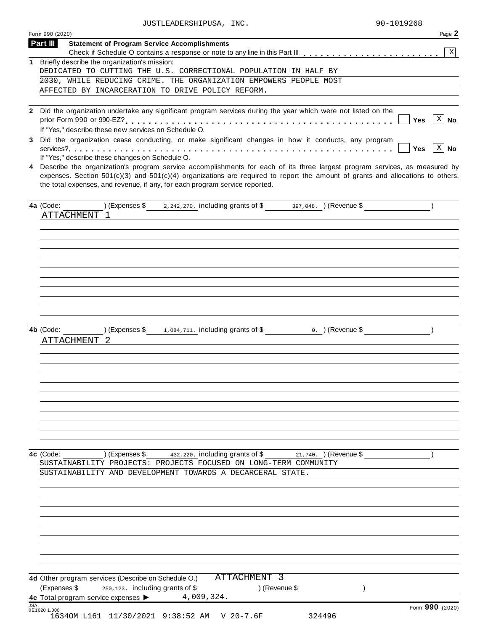JUSTLEADERSHIPUSA, INC. 90-1019268

|                                                                                                                                           |                                                                                                                                                                                           |                                                                                                                                                                                                                                                                  | Page 2                          |
|-------------------------------------------------------------------------------------------------------------------------------------------|-------------------------------------------------------------------------------------------------------------------------------------------------------------------------------------------|------------------------------------------------------------------------------------------------------------------------------------------------------------------------------------------------------------------------------------------------------------------|---------------------------------|
| Part III<br><b>Statement of Program Service Accomplishments</b>                                                                           |                                                                                                                                                                                           |                                                                                                                                                                                                                                                                  | $\mathbf{X}$                    |
| 1 Briefly describe the organization's mission:                                                                                            |                                                                                                                                                                                           |                                                                                                                                                                                                                                                                  |                                 |
|                                                                                                                                           | DEDICATED TO CUTTING THE U.S. CORRECTIONAL POPULATION IN HALF BY                                                                                                                          |                                                                                                                                                                                                                                                                  |                                 |
|                                                                                                                                           | 2030, WHILE REDUCING CRIME. THE ORGANIZATION EMPOWERS PEOPLE MOST                                                                                                                         |                                                                                                                                                                                                                                                                  |                                 |
|                                                                                                                                           | AFFECTED BY INCARCERATION TO DRIVE POLICY REFORM.                                                                                                                                         |                                                                                                                                                                                                                                                                  |                                 |
|                                                                                                                                           |                                                                                                                                                                                           |                                                                                                                                                                                                                                                                  |                                 |
| If "Yes," describe these new services on Schedule O.<br>3                                                                                 |                                                                                                                                                                                           | 2 Did the organization undertake any significant program services during the year which were not listed on the<br>Did the organization cease conducting, or make significant changes in how it conducts, any program                                             | $X \mid No$<br>Yes              |
| If "Yes," describe these changes on Schedule O.                                                                                           |                                                                                                                                                                                           |                                                                                                                                                                                                                                                                  | $\overline{X}$ No<br><b>Yes</b> |
| 4                                                                                                                                         | the total expenses, and revenue, if any, for each program service reported.                                                                                                               | Describe the organization's program service accomplishments for each of its three largest program services, as measured by<br>expenses. Section $501(c)(3)$ and $501(c)(4)$ organizations are required to report the amount of grants and allocations to others, |                                 |
| 4a (Code:<br>ATTACHMENT 1                                                                                                                 |                                                                                                                                                                                           | (Expenses \$2,242,270. including grants of \$397,048. ) (Revenue \$                                                                                                                                                                                              |                                 |
|                                                                                                                                           |                                                                                                                                                                                           |                                                                                                                                                                                                                                                                  |                                 |
|                                                                                                                                           |                                                                                                                                                                                           |                                                                                                                                                                                                                                                                  |                                 |
|                                                                                                                                           |                                                                                                                                                                                           |                                                                                                                                                                                                                                                                  |                                 |
| 4b (Code:<br>ATTACHMENT <sub>2</sub>                                                                                                      |                                                                                                                                                                                           | $(1)$ (Expenses \$ 1,084,711. including grants of \$ 0. ) (Revenue \$                                                                                                                                                                                            |                                 |
|                                                                                                                                           |                                                                                                                                                                                           |                                                                                                                                                                                                                                                                  |                                 |
|                                                                                                                                           |                                                                                                                                                                                           |                                                                                                                                                                                                                                                                  |                                 |
| ) (Expenses \$<br>4c (Code:                                                                                                               | 432, 220. including grants of \$ 21, 740. ) (Revenue \$<br>SUSTAINABILITY PROJECTS: PROJECTS FOCUSED ON LONG-TERM COMMUNITY<br>SUSTAINABILITY AND DEVELOPMENT TOWARDS A DECARCERAL STATE. |                                                                                                                                                                                                                                                                  |                                 |
|                                                                                                                                           |                                                                                                                                                                                           |                                                                                                                                                                                                                                                                  |                                 |
|                                                                                                                                           |                                                                                                                                                                                           |                                                                                                                                                                                                                                                                  |                                 |
|                                                                                                                                           |                                                                                                                                                                                           |                                                                                                                                                                                                                                                                  |                                 |
|                                                                                                                                           |                                                                                                                                                                                           |                                                                                                                                                                                                                                                                  |                                 |
| 4d Other program services (Describe on Schedule O.)<br>(Expenses \$250,123. including grants of \$<br>4e Total program service expenses > | ATTACHMENT 3<br>4,009,324.                                                                                                                                                                | ) (Revenue \$                                                                                                                                                                                                                                                    |                                 |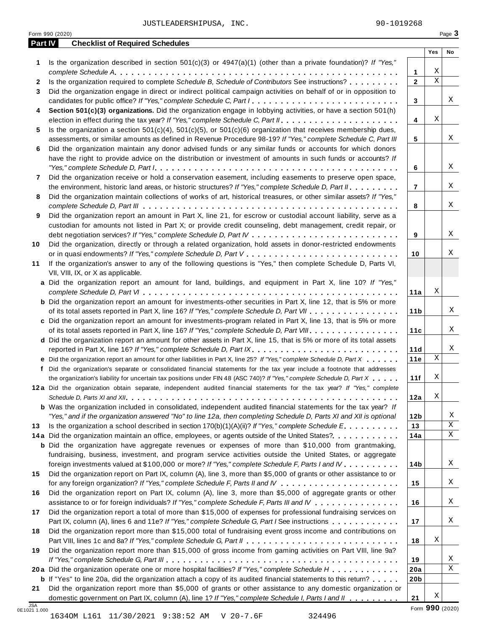JUSTLEADERSHIPUSA, INC. 90-1019268

| Yes<br>Is the organization described in section $501(c)(3)$ or $4947(a)(1)$ (other than a private foundation)? If "Yes,"<br>Χ<br>1<br>$\mathbf X$<br>Is the organization required to complete Schedule B, Schedule of Contributors See instructions?<br>$\mathbf{2}$<br>$\mathbf{2}$<br>Did the organization engage in direct or indirect political campaign activities on behalf of or in opposition to<br>3<br>candidates for public office? If "Yes," complete Schedule C, Part I.<br>3<br>Section 501(c)(3) organizations. Did the organization engage in lobbying activities, or have a section 501(h)<br>4<br>Χ<br>4<br>Is the organization a section $501(c)(4)$ , $501(c)(5)$ , or $501(c)(6)$ organization that receives membership dues,<br>5.<br>assessments, or similar amounts as defined in Revenue Procedure 98-19? If "Yes," complete Schedule C, Part III<br>5<br>Did the organization maintain any donor advised funds or any similar funds or accounts for which donors<br>6<br>have the right to provide advice on the distribution or investment of amounts in such funds or accounts? If<br>6<br>Did the organization receive or hold a conservation easement, including easements to preserve open space,<br>7<br>the environment, historic land areas, or historic structures? If "Yes," complete Schedule D, Part II.<br>7<br>Did the organization maintain collections of works of art, historical treasures, or other similar assets? If "Yes,"<br>8<br>8<br>Did the organization report an amount in Part X, line 21, for escrow or custodial account liability, serve as a<br>9<br>custodian for amounts not listed in Part X; or provide credit counseling, debt management, credit repair, or<br>9<br>Did the organization, directly or through a related organization, hold assets in donor-restricted endowments<br>10<br>10<br>If the organization's answer to any of the following questions is "Yes," then complete Schedule D, Parts VI,<br>11<br>VII, VIII, IX, or X as applicable.<br>a Did the organization report an amount for land, buildings, and equipment in Part X, line 10? If "Yes,"<br>Χ<br>11a<br><b>b</b> Did the organization report an amount for investments-other securities in Part X, line 12, that is 5% or more<br>of its total assets reported in Part X, line 16? If "Yes," complete Schedule D, Part VII<br>11 <sub>b</sub><br>c Did the organization report an amount for investments-program related in Part X, line 13, that is 5% or more<br>11c<br>of its total assets reported in Part X, line 16? If "Yes," complete Schedule D, Part VIII<br>d Did the organization report an amount for other assets in Part X, line 15, that is 5% or more of its total assets<br>11d<br>$\mathbf X$<br>11e<br>e Did the organization report an amount for other liabilities in Part X, line 25? If "Yes," complete Schedule D, Part X<br>f Did the organization's separate or consolidated financial statements for the tax year include a footnote that addresses<br>Χ<br>the organization's liability for uncertain tax positions under FIN 48 (ASC 740)? If "Yes," complete Schedule D, Part X<br>11f<br>12a Did the organization obtain separate, independent audited financial statements for the tax year? If "Yes," complete<br>Χ<br>12a<br><b>b</b> Was the organization included in consolidated, independent audited financial statements for the tax year? If<br>"Yes," and if the organization answered "No" to line 12a, then completing Schedule D, Parts XI and XII is optional<br>12 <sub>b</sub><br>Is the organization a school described in section $170(b)(1)(A)(ii)?$ If "Yes," complete Schedule E.<br>13<br>13<br>14a<br>14a Did the organization maintain an office, employees, or agents outside of the United States?.<br><b>b</b> Did the organization have aggregate revenues or expenses of more than \$10,000 from grantmaking,<br>fundraising, business, investment, and program service activities outside the United States, or aggregate<br>foreign investments valued at \$100,000 or more? If "Yes," complete Schedule F, Parts I and IV<br>14b<br>Did the organization report on Part IX, column (A), line 3, more than \$5,000 of grants or other assistance to or<br>15<br>15<br>Did the organization report on Part IX, column (A), line 3, more than \$5,000 of aggregate grants or other<br>16<br>assistance to or for foreign individuals? If "Yes," complete Schedule F, Parts III and IV<br>16<br>Did the organization report a total of more than \$15,000 of expenses for professional fundraising services on<br>17<br>Part IX, column (A), lines 6 and 11e? If "Yes," complete Schedule G, Part I See instructions<br>17<br>Did the organization report more than \$15,000 total of fundraising event gross income and contributions on<br>18<br>Χ<br>18<br>Did the organization report more than \$15,000 of gross income from gaming activities on Part VIII, line 9a?<br>19<br>19<br>20a Did the organization operate one or more hospital facilities? If "Yes," complete Schedule H<br>20a<br><b>b</b> If "Yes" to line 20a, did the organization attach a copy of its audited financial statements to this return?<br>20 <sub>b</sub><br>Did the organization report more than \$5,000 of grants or other assistance to any domestic organization or<br>21<br>Χ<br>domestic government on Part IX, column (A), line 1? If "Yes," complete Schedule I, Parts I and II<br>21 | Part IV | <b>Checklist of Required Schedules</b> |  |    |
|--------------------------------------------------------------------------------------------------------------------------------------------------------------------------------------------------------------------------------------------------------------------------------------------------------------------------------------------------------------------------------------------------------------------------------------------------------------------------------------------------------------------------------------------------------------------------------------------------------------------------------------------------------------------------------------------------------------------------------------------------------------------------------------------------------------------------------------------------------------------------------------------------------------------------------------------------------------------------------------------------------------------------------------------------------------------------------------------------------------------------------------------------------------------------------------------------------------------------------------------------------------------------------------------------------------------------------------------------------------------------------------------------------------------------------------------------------------------------------------------------------------------------------------------------------------------------------------------------------------------------------------------------------------------------------------------------------------------------------------------------------------------------------------------------------------------------------------------------------------------------------------------------------------------------------------------------------------------------------------------------------------------------------------------------------------------------------------------------------------------------------------------------------------------------------------------------------------------------------------------------------------------------------------------------------------------------------------------------------------------------------------------------------------------------------------------------------------------------------------------------------------------------------------------------------------------------------------------------------------------------------------------------------------------------------------------------------------------------------------------------------------------------------------------------------------------------------------------------------------------------------------------------------------------------------------------------------------------------------------------------------------------------------------------------------------------------------------------------------------------------------------------------------------------------------------------------------------------------------------------------------------------------------------------------------------------------------------------------------------------------------------------------------------------------------------------------------------------------------------------------------------------------------------------------------------------------------------------------------------------------------------------------------------------------------------------------------------------------------------------------------------------------------------------------------------------------------------------------------------------------------------------------------------------------------------------------------------------------------------------------------------------------------------------------------------------------------------------------------------------------------------------------------------------------------------------------------------------------------------------------------------------------------------------------------------------------------------------------------------------------------------------------------------------------------------------------------------------------------------------------------------------------------------------------------------------------------------------------------------------------------------------------------------------------------------------------------------------------------------------------------------------------------------------------------------------------------------------------------------------------------------------------------------------------------------------------------------------------------------------------------------------------------------------------------------------------------------------------------------------------------------------------------------------------------------------------------------------------------------------------------------------------------------------------------------------------------------------------------------------------------------------------------------------------------------------------------------------------------------------|---------|----------------------------------------|--|----|
|                                                                                                                                                                                                                                                                                                                                                                                                                                                                                                                                                                                                                                                                                                                                                                                                                                                                                                                                                                                                                                                                                                                                                                                                                                                                                                                                                                                                                                                                                                                                                                                                                                                                                                                                                                                                                                                                                                                                                                                                                                                                                                                                                                                                                                                                                                                                                                                                                                                                                                                                                                                                                                                                                                                                                                                                                                                                                                                                                                                                                                                                                                                                                                                                                                                                                                                                                                                                                                                                                                                                                                                                                                                                                                                                                                                                                                                                                                                                                                                                                                                                                                                                                                                                                                                                                                                                                                                                                                                                                                                                                                                                                                                                                                                                                                                                                                                                                                                                                                                                                                                                                                                                                                                                                                                                                                                                                                                                                                                                                            |         |                                        |  | No |
|                                                                                                                                                                                                                                                                                                                                                                                                                                                                                                                                                                                                                                                                                                                                                                                                                                                                                                                                                                                                                                                                                                                                                                                                                                                                                                                                                                                                                                                                                                                                                                                                                                                                                                                                                                                                                                                                                                                                                                                                                                                                                                                                                                                                                                                                                                                                                                                                                                                                                                                                                                                                                                                                                                                                                                                                                                                                                                                                                                                                                                                                                                                                                                                                                                                                                                                                                                                                                                                                                                                                                                                                                                                                                                                                                                                                                                                                                                                                                                                                                                                                                                                                                                                                                                                                                                                                                                                                                                                                                                                                                                                                                                                                                                                                                                                                                                                                                                                                                                                                                                                                                                                                                                                                                                                                                                                                                                                                                                                                                            | 1       |                                        |  |    |
|                                                                                                                                                                                                                                                                                                                                                                                                                                                                                                                                                                                                                                                                                                                                                                                                                                                                                                                                                                                                                                                                                                                                                                                                                                                                                                                                                                                                                                                                                                                                                                                                                                                                                                                                                                                                                                                                                                                                                                                                                                                                                                                                                                                                                                                                                                                                                                                                                                                                                                                                                                                                                                                                                                                                                                                                                                                                                                                                                                                                                                                                                                                                                                                                                                                                                                                                                                                                                                                                                                                                                                                                                                                                                                                                                                                                                                                                                                                                                                                                                                                                                                                                                                                                                                                                                                                                                                                                                                                                                                                                                                                                                                                                                                                                                                                                                                                                                                                                                                                                                                                                                                                                                                                                                                                                                                                                                                                                                                                                                            |         |                                        |  |    |
|                                                                                                                                                                                                                                                                                                                                                                                                                                                                                                                                                                                                                                                                                                                                                                                                                                                                                                                                                                                                                                                                                                                                                                                                                                                                                                                                                                                                                                                                                                                                                                                                                                                                                                                                                                                                                                                                                                                                                                                                                                                                                                                                                                                                                                                                                                                                                                                                                                                                                                                                                                                                                                                                                                                                                                                                                                                                                                                                                                                                                                                                                                                                                                                                                                                                                                                                                                                                                                                                                                                                                                                                                                                                                                                                                                                                                                                                                                                                                                                                                                                                                                                                                                                                                                                                                                                                                                                                                                                                                                                                                                                                                                                                                                                                                                                                                                                                                                                                                                                                                                                                                                                                                                                                                                                                                                                                                                                                                                                                                            |         |                                        |  |    |
|                                                                                                                                                                                                                                                                                                                                                                                                                                                                                                                                                                                                                                                                                                                                                                                                                                                                                                                                                                                                                                                                                                                                                                                                                                                                                                                                                                                                                                                                                                                                                                                                                                                                                                                                                                                                                                                                                                                                                                                                                                                                                                                                                                                                                                                                                                                                                                                                                                                                                                                                                                                                                                                                                                                                                                                                                                                                                                                                                                                                                                                                                                                                                                                                                                                                                                                                                                                                                                                                                                                                                                                                                                                                                                                                                                                                                                                                                                                                                                                                                                                                                                                                                                                                                                                                                                                                                                                                                                                                                                                                                                                                                                                                                                                                                                                                                                                                                                                                                                                                                                                                                                                                                                                                                                                                                                                                                                                                                                                                                            |         |                                        |  |    |
|                                                                                                                                                                                                                                                                                                                                                                                                                                                                                                                                                                                                                                                                                                                                                                                                                                                                                                                                                                                                                                                                                                                                                                                                                                                                                                                                                                                                                                                                                                                                                                                                                                                                                                                                                                                                                                                                                                                                                                                                                                                                                                                                                                                                                                                                                                                                                                                                                                                                                                                                                                                                                                                                                                                                                                                                                                                                                                                                                                                                                                                                                                                                                                                                                                                                                                                                                                                                                                                                                                                                                                                                                                                                                                                                                                                                                                                                                                                                                                                                                                                                                                                                                                                                                                                                                                                                                                                                                                                                                                                                                                                                                                                                                                                                                                                                                                                                                                                                                                                                                                                                                                                                                                                                                                                                                                                                                                                                                                                                                            |         |                                        |  |    |
|                                                                                                                                                                                                                                                                                                                                                                                                                                                                                                                                                                                                                                                                                                                                                                                                                                                                                                                                                                                                                                                                                                                                                                                                                                                                                                                                                                                                                                                                                                                                                                                                                                                                                                                                                                                                                                                                                                                                                                                                                                                                                                                                                                                                                                                                                                                                                                                                                                                                                                                                                                                                                                                                                                                                                                                                                                                                                                                                                                                                                                                                                                                                                                                                                                                                                                                                                                                                                                                                                                                                                                                                                                                                                                                                                                                                                                                                                                                                                                                                                                                                                                                                                                                                                                                                                                                                                                                                                                                                                                                                                                                                                                                                                                                                                                                                                                                                                                                                                                                                                                                                                                                                                                                                                                                                                                                                                                                                                                                                                            |         |                                        |  |    |
|                                                                                                                                                                                                                                                                                                                                                                                                                                                                                                                                                                                                                                                                                                                                                                                                                                                                                                                                                                                                                                                                                                                                                                                                                                                                                                                                                                                                                                                                                                                                                                                                                                                                                                                                                                                                                                                                                                                                                                                                                                                                                                                                                                                                                                                                                                                                                                                                                                                                                                                                                                                                                                                                                                                                                                                                                                                                                                                                                                                                                                                                                                                                                                                                                                                                                                                                                                                                                                                                                                                                                                                                                                                                                                                                                                                                                                                                                                                                                                                                                                                                                                                                                                                                                                                                                                                                                                                                                                                                                                                                                                                                                                                                                                                                                                                                                                                                                                                                                                                                                                                                                                                                                                                                                                                                                                                                                                                                                                                                                            |         |                                        |  |    |
|                                                                                                                                                                                                                                                                                                                                                                                                                                                                                                                                                                                                                                                                                                                                                                                                                                                                                                                                                                                                                                                                                                                                                                                                                                                                                                                                                                                                                                                                                                                                                                                                                                                                                                                                                                                                                                                                                                                                                                                                                                                                                                                                                                                                                                                                                                                                                                                                                                                                                                                                                                                                                                                                                                                                                                                                                                                                                                                                                                                                                                                                                                                                                                                                                                                                                                                                                                                                                                                                                                                                                                                                                                                                                                                                                                                                                                                                                                                                                                                                                                                                                                                                                                                                                                                                                                                                                                                                                                                                                                                                                                                                                                                                                                                                                                                                                                                                                                                                                                                                                                                                                                                                                                                                                                                                                                                                                                                                                                                                                            |         |                                        |  |    |
|                                                                                                                                                                                                                                                                                                                                                                                                                                                                                                                                                                                                                                                                                                                                                                                                                                                                                                                                                                                                                                                                                                                                                                                                                                                                                                                                                                                                                                                                                                                                                                                                                                                                                                                                                                                                                                                                                                                                                                                                                                                                                                                                                                                                                                                                                                                                                                                                                                                                                                                                                                                                                                                                                                                                                                                                                                                                                                                                                                                                                                                                                                                                                                                                                                                                                                                                                                                                                                                                                                                                                                                                                                                                                                                                                                                                                                                                                                                                                                                                                                                                                                                                                                                                                                                                                                                                                                                                                                                                                                                                                                                                                                                                                                                                                                                                                                                                                                                                                                                                                                                                                                                                                                                                                                                                                                                                                                                                                                                                                            |         |                                        |  |    |
|                                                                                                                                                                                                                                                                                                                                                                                                                                                                                                                                                                                                                                                                                                                                                                                                                                                                                                                                                                                                                                                                                                                                                                                                                                                                                                                                                                                                                                                                                                                                                                                                                                                                                                                                                                                                                                                                                                                                                                                                                                                                                                                                                                                                                                                                                                                                                                                                                                                                                                                                                                                                                                                                                                                                                                                                                                                                                                                                                                                                                                                                                                                                                                                                                                                                                                                                                                                                                                                                                                                                                                                                                                                                                                                                                                                                                                                                                                                                                                                                                                                                                                                                                                                                                                                                                                                                                                                                                                                                                                                                                                                                                                                                                                                                                                                                                                                                                                                                                                                                                                                                                                                                                                                                                                                                                                                                                                                                                                                                                            |         |                                        |  | X  |
|                                                                                                                                                                                                                                                                                                                                                                                                                                                                                                                                                                                                                                                                                                                                                                                                                                                                                                                                                                                                                                                                                                                                                                                                                                                                                                                                                                                                                                                                                                                                                                                                                                                                                                                                                                                                                                                                                                                                                                                                                                                                                                                                                                                                                                                                                                                                                                                                                                                                                                                                                                                                                                                                                                                                                                                                                                                                                                                                                                                                                                                                                                                                                                                                                                                                                                                                                                                                                                                                                                                                                                                                                                                                                                                                                                                                                                                                                                                                                                                                                                                                                                                                                                                                                                                                                                                                                                                                                                                                                                                                                                                                                                                                                                                                                                                                                                                                                                                                                                                                                                                                                                                                                                                                                                                                                                                                                                                                                                                                                            |         |                                        |  |    |
|                                                                                                                                                                                                                                                                                                                                                                                                                                                                                                                                                                                                                                                                                                                                                                                                                                                                                                                                                                                                                                                                                                                                                                                                                                                                                                                                                                                                                                                                                                                                                                                                                                                                                                                                                                                                                                                                                                                                                                                                                                                                                                                                                                                                                                                                                                                                                                                                                                                                                                                                                                                                                                                                                                                                                                                                                                                                                                                                                                                                                                                                                                                                                                                                                                                                                                                                                                                                                                                                                                                                                                                                                                                                                                                                                                                                                                                                                                                                                                                                                                                                                                                                                                                                                                                                                                                                                                                                                                                                                                                                                                                                                                                                                                                                                                                                                                                                                                                                                                                                                                                                                                                                                                                                                                                                                                                                                                                                                                                                                            |         |                                        |  |    |
|                                                                                                                                                                                                                                                                                                                                                                                                                                                                                                                                                                                                                                                                                                                                                                                                                                                                                                                                                                                                                                                                                                                                                                                                                                                                                                                                                                                                                                                                                                                                                                                                                                                                                                                                                                                                                                                                                                                                                                                                                                                                                                                                                                                                                                                                                                                                                                                                                                                                                                                                                                                                                                                                                                                                                                                                                                                                                                                                                                                                                                                                                                                                                                                                                                                                                                                                                                                                                                                                                                                                                                                                                                                                                                                                                                                                                                                                                                                                                                                                                                                                                                                                                                                                                                                                                                                                                                                                                                                                                                                                                                                                                                                                                                                                                                                                                                                                                                                                                                                                                                                                                                                                                                                                                                                                                                                                                                                                                                                                                            |         |                                        |  |    |
|                                                                                                                                                                                                                                                                                                                                                                                                                                                                                                                                                                                                                                                                                                                                                                                                                                                                                                                                                                                                                                                                                                                                                                                                                                                                                                                                                                                                                                                                                                                                                                                                                                                                                                                                                                                                                                                                                                                                                                                                                                                                                                                                                                                                                                                                                                                                                                                                                                                                                                                                                                                                                                                                                                                                                                                                                                                                                                                                                                                                                                                                                                                                                                                                                                                                                                                                                                                                                                                                                                                                                                                                                                                                                                                                                                                                                                                                                                                                                                                                                                                                                                                                                                                                                                                                                                                                                                                                                                                                                                                                                                                                                                                                                                                                                                                                                                                                                                                                                                                                                                                                                                                                                                                                                                                                                                                                                                                                                                                                                            |         |                                        |  |    |
|                                                                                                                                                                                                                                                                                                                                                                                                                                                                                                                                                                                                                                                                                                                                                                                                                                                                                                                                                                                                                                                                                                                                                                                                                                                                                                                                                                                                                                                                                                                                                                                                                                                                                                                                                                                                                                                                                                                                                                                                                                                                                                                                                                                                                                                                                                                                                                                                                                                                                                                                                                                                                                                                                                                                                                                                                                                                                                                                                                                                                                                                                                                                                                                                                                                                                                                                                                                                                                                                                                                                                                                                                                                                                                                                                                                                                                                                                                                                                                                                                                                                                                                                                                                                                                                                                                                                                                                                                                                                                                                                                                                                                                                                                                                                                                                                                                                                                                                                                                                                                                                                                                                                                                                                                                                                                                                                                                                                                                                                                            |         |                                        |  |    |
|                                                                                                                                                                                                                                                                                                                                                                                                                                                                                                                                                                                                                                                                                                                                                                                                                                                                                                                                                                                                                                                                                                                                                                                                                                                                                                                                                                                                                                                                                                                                                                                                                                                                                                                                                                                                                                                                                                                                                                                                                                                                                                                                                                                                                                                                                                                                                                                                                                                                                                                                                                                                                                                                                                                                                                                                                                                                                                                                                                                                                                                                                                                                                                                                                                                                                                                                                                                                                                                                                                                                                                                                                                                                                                                                                                                                                                                                                                                                                                                                                                                                                                                                                                                                                                                                                                                                                                                                                                                                                                                                                                                                                                                                                                                                                                                                                                                                                                                                                                                                                                                                                                                                                                                                                                                                                                                                                                                                                                                                                            |         |                                        |  |    |
|                                                                                                                                                                                                                                                                                                                                                                                                                                                                                                                                                                                                                                                                                                                                                                                                                                                                                                                                                                                                                                                                                                                                                                                                                                                                                                                                                                                                                                                                                                                                                                                                                                                                                                                                                                                                                                                                                                                                                                                                                                                                                                                                                                                                                                                                                                                                                                                                                                                                                                                                                                                                                                                                                                                                                                                                                                                                                                                                                                                                                                                                                                                                                                                                                                                                                                                                                                                                                                                                                                                                                                                                                                                                                                                                                                                                                                                                                                                                                                                                                                                                                                                                                                                                                                                                                                                                                                                                                                                                                                                                                                                                                                                                                                                                                                                                                                                                                                                                                                                                                                                                                                                                                                                                                                                                                                                                                                                                                                                                                            |         |                                        |  |    |
|                                                                                                                                                                                                                                                                                                                                                                                                                                                                                                                                                                                                                                                                                                                                                                                                                                                                                                                                                                                                                                                                                                                                                                                                                                                                                                                                                                                                                                                                                                                                                                                                                                                                                                                                                                                                                                                                                                                                                                                                                                                                                                                                                                                                                                                                                                                                                                                                                                                                                                                                                                                                                                                                                                                                                                                                                                                                                                                                                                                                                                                                                                                                                                                                                                                                                                                                                                                                                                                                                                                                                                                                                                                                                                                                                                                                                                                                                                                                                                                                                                                                                                                                                                                                                                                                                                                                                                                                                                                                                                                                                                                                                                                                                                                                                                                                                                                                                                                                                                                                                                                                                                                                                                                                                                                                                                                                                                                                                                                                                            |         |                                        |  |    |
|                                                                                                                                                                                                                                                                                                                                                                                                                                                                                                                                                                                                                                                                                                                                                                                                                                                                                                                                                                                                                                                                                                                                                                                                                                                                                                                                                                                                                                                                                                                                                                                                                                                                                                                                                                                                                                                                                                                                                                                                                                                                                                                                                                                                                                                                                                                                                                                                                                                                                                                                                                                                                                                                                                                                                                                                                                                                                                                                                                                                                                                                                                                                                                                                                                                                                                                                                                                                                                                                                                                                                                                                                                                                                                                                                                                                                                                                                                                                                                                                                                                                                                                                                                                                                                                                                                                                                                                                                                                                                                                                                                                                                                                                                                                                                                                                                                                                                                                                                                                                                                                                                                                                                                                                                                                                                                                                                                                                                                                                                            |         |                                        |  |    |
|                                                                                                                                                                                                                                                                                                                                                                                                                                                                                                                                                                                                                                                                                                                                                                                                                                                                                                                                                                                                                                                                                                                                                                                                                                                                                                                                                                                                                                                                                                                                                                                                                                                                                                                                                                                                                                                                                                                                                                                                                                                                                                                                                                                                                                                                                                                                                                                                                                                                                                                                                                                                                                                                                                                                                                                                                                                                                                                                                                                                                                                                                                                                                                                                                                                                                                                                                                                                                                                                                                                                                                                                                                                                                                                                                                                                                                                                                                                                                                                                                                                                                                                                                                                                                                                                                                                                                                                                                                                                                                                                                                                                                                                                                                                                                                                                                                                                                                                                                                                                                                                                                                                                                                                                                                                                                                                                                                                                                                                                                            |         |                                        |  |    |
|                                                                                                                                                                                                                                                                                                                                                                                                                                                                                                                                                                                                                                                                                                                                                                                                                                                                                                                                                                                                                                                                                                                                                                                                                                                                                                                                                                                                                                                                                                                                                                                                                                                                                                                                                                                                                                                                                                                                                                                                                                                                                                                                                                                                                                                                                                                                                                                                                                                                                                                                                                                                                                                                                                                                                                                                                                                                                                                                                                                                                                                                                                                                                                                                                                                                                                                                                                                                                                                                                                                                                                                                                                                                                                                                                                                                                                                                                                                                                                                                                                                                                                                                                                                                                                                                                                                                                                                                                                                                                                                                                                                                                                                                                                                                                                                                                                                                                                                                                                                                                                                                                                                                                                                                                                                                                                                                                                                                                                                                                            |         |                                        |  |    |
|                                                                                                                                                                                                                                                                                                                                                                                                                                                                                                                                                                                                                                                                                                                                                                                                                                                                                                                                                                                                                                                                                                                                                                                                                                                                                                                                                                                                                                                                                                                                                                                                                                                                                                                                                                                                                                                                                                                                                                                                                                                                                                                                                                                                                                                                                                                                                                                                                                                                                                                                                                                                                                                                                                                                                                                                                                                                                                                                                                                                                                                                                                                                                                                                                                                                                                                                                                                                                                                                                                                                                                                                                                                                                                                                                                                                                                                                                                                                                                                                                                                                                                                                                                                                                                                                                                                                                                                                                                                                                                                                                                                                                                                                                                                                                                                                                                                                                                                                                                                                                                                                                                                                                                                                                                                                                                                                                                                                                                                                                            |         |                                        |  |    |
|                                                                                                                                                                                                                                                                                                                                                                                                                                                                                                                                                                                                                                                                                                                                                                                                                                                                                                                                                                                                                                                                                                                                                                                                                                                                                                                                                                                                                                                                                                                                                                                                                                                                                                                                                                                                                                                                                                                                                                                                                                                                                                                                                                                                                                                                                                                                                                                                                                                                                                                                                                                                                                                                                                                                                                                                                                                                                                                                                                                                                                                                                                                                                                                                                                                                                                                                                                                                                                                                                                                                                                                                                                                                                                                                                                                                                                                                                                                                                                                                                                                                                                                                                                                                                                                                                                                                                                                                                                                                                                                                                                                                                                                                                                                                                                                                                                                                                                                                                                                                                                                                                                                                                                                                                                                                                                                                                                                                                                                                                            |         |                                        |  |    |
|                                                                                                                                                                                                                                                                                                                                                                                                                                                                                                                                                                                                                                                                                                                                                                                                                                                                                                                                                                                                                                                                                                                                                                                                                                                                                                                                                                                                                                                                                                                                                                                                                                                                                                                                                                                                                                                                                                                                                                                                                                                                                                                                                                                                                                                                                                                                                                                                                                                                                                                                                                                                                                                                                                                                                                                                                                                                                                                                                                                                                                                                                                                                                                                                                                                                                                                                                                                                                                                                                                                                                                                                                                                                                                                                                                                                                                                                                                                                                                                                                                                                                                                                                                                                                                                                                                                                                                                                                                                                                                                                                                                                                                                                                                                                                                                                                                                                                                                                                                                                                                                                                                                                                                                                                                                                                                                                                                                                                                                                                            |         |                                        |  |    |
|                                                                                                                                                                                                                                                                                                                                                                                                                                                                                                                                                                                                                                                                                                                                                                                                                                                                                                                                                                                                                                                                                                                                                                                                                                                                                                                                                                                                                                                                                                                                                                                                                                                                                                                                                                                                                                                                                                                                                                                                                                                                                                                                                                                                                                                                                                                                                                                                                                                                                                                                                                                                                                                                                                                                                                                                                                                                                                                                                                                                                                                                                                                                                                                                                                                                                                                                                                                                                                                                                                                                                                                                                                                                                                                                                                                                                                                                                                                                                                                                                                                                                                                                                                                                                                                                                                                                                                                                                                                                                                                                                                                                                                                                                                                                                                                                                                                                                                                                                                                                                                                                                                                                                                                                                                                                                                                                                                                                                                                                                            |         |                                        |  |    |
|                                                                                                                                                                                                                                                                                                                                                                                                                                                                                                                                                                                                                                                                                                                                                                                                                                                                                                                                                                                                                                                                                                                                                                                                                                                                                                                                                                                                                                                                                                                                                                                                                                                                                                                                                                                                                                                                                                                                                                                                                                                                                                                                                                                                                                                                                                                                                                                                                                                                                                                                                                                                                                                                                                                                                                                                                                                                                                                                                                                                                                                                                                                                                                                                                                                                                                                                                                                                                                                                                                                                                                                                                                                                                                                                                                                                                                                                                                                                                                                                                                                                                                                                                                                                                                                                                                                                                                                                                                                                                                                                                                                                                                                                                                                                                                                                                                                                                                                                                                                                                                                                                                                                                                                                                                                                                                                                                                                                                                                                                            |         |                                        |  |    |
|                                                                                                                                                                                                                                                                                                                                                                                                                                                                                                                                                                                                                                                                                                                                                                                                                                                                                                                                                                                                                                                                                                                                                                                                                                                                                                                                                                                                                                                                                                                                                                                                                                                                                                                                                                                                                                                                                                                                                                                                                                                                                                                                                                                                                                                                                                                                                                                                                                                                                                                                                                                                                                                                                                                                                                                                                                                                                                                                                                                                                                                                                                                                                                                                                                                                                                                                                                                                                                                                                                                                                                                                                                                                                                                                                                                                                                                                                                                                                                                                                                                                                                                                                                                                                                                                                                                                                                                                                                                                                                                                                                                                                                                                                                                                                                                                                                                                                                                                                                                                                                                                                                                                                                                                                                                                                                                                                                                                                                                                                            |         |                                        |  |    |
|                                                                                                                                                                                                                                                                                                                                                                                                                                                                                                                                                                                                                                                                                                                                                                                                                                                                                                                                                                                                                                                                                                                                                                                                                                                                                                                                                                                                                                                                                                                                                                                                                                                                                                                                                                                                                                                                                                                                                                                                                                                                                                                                                                                                                                                                                                                                                                                                                                                                                                                                                                                                                                                                                                                                                                                                                                                                                                                                                                                                                                                                                                                                                                                                                                                                                                                                                                                                                                                                                                                                                                                                                                                                                                                                                                                                                                                                                                                                                                                                                                                                                                                                                                                                                                                                                                                                                                                                                                                                                                                                                                                                                                                                                                                                                                                                                                                                                                                                                                                                                                                                                                                                                                                                                                                                                                                                                                                                                                                                                            |         |                                        |  |    |
|                                                                                                                                                                                                                                                                                                                                                                                                                                                                                                                                                                                                                                                                                                                                                                                                                                                                                                                                                                                                                                                                                                                                                                                                                                                                                                                                                                                                                                                                                                                                                                                                                                                                                                                                                                                                                                                                                                                                                                                                                                                                                                                                                                                                                                                                                                                                                                                                                                                                                                                                                                                                                                                                                                                                                                                                                                                                                                                                                                                                                                                                                                                                                                                                                                                                                                                                                                                                                                                                                                                                                                                                                                                                                                                                                                                                                                                                                                                                                                                                                                                                                                                                                                                                                                                                                                                                                                                                                                                                                                                                                                                                                                                                                                                                                                                                                                                                                                                                                                                                                                                                                                                                                                                                                                                                                                                                                                                                                                                                                            |         |                                        |  |    |
|                                                                                                                                                                                                                                                                                                                                                                                                                                                                                                                                                                                                                                                                                                                                                                                                                                                                                                                                                                                                                                                                                                                                                                                                                                                                                                                                                                                                                                                                                                                                                                                                                                                                                                                                                                                                                                                                                                                                                                                                                                                                                                                                                                                                                                                                                                                                                                                                                                                                                                                                                                                                                                                                                                                                                                                                                                                                                                                                                                                                                                                                                                                                                                                                                                                                                                                                                                                                                                                                                                                                                                                                                                                                                                                                                                                                                                                                                                                                                                                                                                                                                                                                                                                                                                                                                                                                                                                                                                                                                                                                                                                                                                                                                                                                                                                                                                                                                                                                                                                                                                                                                                                                                                                                                                                                                                                                                                                                                                                                                            |         |                                        |  |    |
|                                                                                                                                                                                                                                                                                                                                                                                                                                                                                                                                                                                                                                                                                                                                                                                                                                                                                                                                                                                                                                                                                                                                                                                                                                                                                                                                                                                                                                                                                                                                                                                                                                                                                                                                                                                                                                                                                                                                                                                                                                                                                                                                                                                                                                                                                                                                                                                                                                                                                                                                                                                                                                                                                                                                                                                                                                                                                                                                                                                                                                                                                                                                                                                                                                                                                                                                                                                                                                                                                                                                                                                                                                                                                                                                                                                                                                                                                                                                                                                                                                                                                                                                                                                                                                                                                                                                                                                                                                                                                                                                                                                                                                                                                                                                                                                                                                                                                                                                                                                                                                                                                                                                                                                                                                                                                                                                                                                                                                                                                            |         |                                        |  |    |
|                                                                                                                                                                                                                                                                                                                                                                                                                                                                                                                                                                                                                                                                                                                                                                                                                                                                                                                                                                                                                                                                                                                                                                                                                                                                                                                                                                                                                                                                                                                                                                                                                                                                                                                                                                                                                                                                                                                                                                                                                                                                                                                                                                                                                                                                                                                                                                                                                                                                                                                                                                                                                                                                                                                                                                                                                                                                                                                                                                                                                                                                                                                                                                                                                                                                                                                                                                                                                                                                                                                                                                                                                                                                                                                                                                                                                                                                                                                                                                                                                                                                                                                                                                                                                                                                                                                                                                                                                                                                                                                                                                                                                                                                                                                                                                                                                                                                                                                                                                                                                                                                                                                                                                                                                                                                                                                                                                                                                                                                                            |         |                                        |  |    |
|                                                                                                                                                                                                                                                                                                                                                                                                                                                                                                                                                                                                                                                                                                                                                                                                                                                                                                                                                                                                                                                                                                                                                                                                                                                                                                                                                                                                                                                                                                                                                                                                                                                                                                                                                                                                                                                                                                                                                                                                                                                                                                                                                                                                                                                                                                                                                                                                                                                                                                                                                                                                                                                                                                                                                                                                                                                                                                                                                                                                                                                                                                                                                                                                                                                                                                                                                                                                                                                                                                                                                                                                                                                                                                                                                                                                                                                                                                                                                                                                                                                                                                                                                                                                                                                                                                                                                                                                                                                                                                                                                                                                                                                                                                                                                                                                                                                                                                                                                                                                                                                                                                                                                                                                                                                                                                                                                                                                                                                                                            |         |                                        |  |    |
|                                                                                                                                                                                                                                                                                                                                                                                                                                                                                                                                                                                                                                                                                                                                                                                                                                                                                                                                                                                                                                                                                                                                                                                                                                                                                                                                                                                                                                                                                                                                                                                                                                                                                                                                                                                                                                                                                                                                                                                                                                                                                                                                                                                                                                                                                                                                                                                                                                                                                                                                                                                                                                                                                                                                                                                                                                                                                                                                                                                                                                                                                                                                                                                                                                                                                                                                                                                                                                                                                                                                                                                                                                                                                                                                                                                                                                                                                                                                                                                                                                                                                                                                                                                                                                                                                                                                                                                                                                                                                                                                                                                                                                                                                                                                                                                                                                                                                                                                                                                                                                                                                                                                                                                                                                                                                                                                                                                                                                                                                            |         |                                        |  |    |

1634OM L161 11/30/2021 9:38:52 AM V 20-7.6F 324496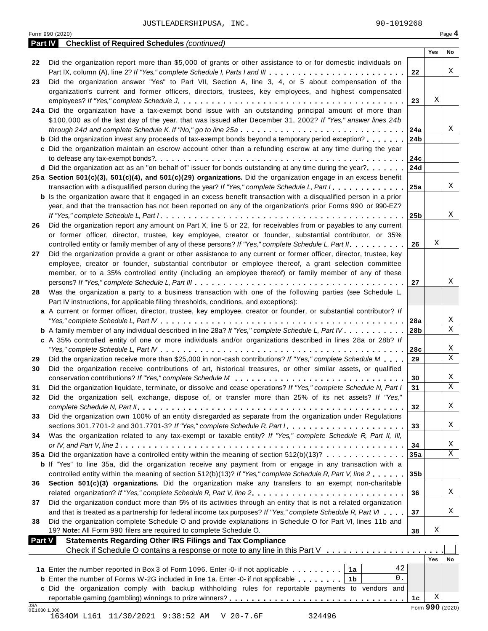|               | <b>Part IV</b> Checklist of Required Schedules (continued)                                                                       |                 |                 |                  |
|---------------|----------------------------------------------------------------------------------------------------------------------------------|-----------------|-----------------|------------------|
|               |                                                                                                                                  |                 | Yes             | No               |
| 22            | Did the organization report more than \$5,000 of grants or other assistance to or for domestic individuals on                    | 22              |                 | Χ                |
| 23            | Did the organization answer "Yes" to Part VII, Section A, line 3, 4, or 5 about compensation of the                              |                 |                 |                  |
|               | organization's current and former officers, directors, trustees, key employees, and highest compensated                          |                 |                 |                  |
|               |                                                                                                                                  | 23              | Χ               |                  |
|               | 24a Did the organization have a tax-exempt bond issue with an outstanding principal amount of more than                          |                 |                 |                  |
|               | \$100,000 as of the last day of the year, that was issued after December 31, 2002? If "Yes," answer lines 24b                    |                 |                 |                  |
|               | through 24d and complete Schedule K. If "No," go to line 25a $\dots \dots \dots \dots \dots \dots \dots \dots \dots \dots \dots$ | 24a             |                 | Χ                |
|               | <b>b</b> Did the organization invest any proceeds of tax-exempt bonds beyond a temporary period exception?                       | 24 <sub>b</sub> |                 |                  |
|               | c Did the organization maintain an escrow account other than a refunding escrow at any time during the year                      |                 |                 |                  |
|               |                                                                                                                                  | 24c             |                 |                  |
|               | <b>d</b> Did the organization act as an "on behalf of" issuer for bonds outstanding at any time during the year? 24d             |                 |                 |                  |
|               | 25a Section 501(c)(3), 501(c)(4), and 501(c)(29) organizations. Did the organization engage in an excess benefit                 |                 |                 |                  |
|               | transaction with a disqualified person during the year? If "Yes," complete Schedule L, Part $1, \ldots, \ldots, \ldots, \ldots$  | 25a             |                 | X                |
|               | <b>b</b> Is the organization aware that it engaged in an excess benefit transaction with a disqualified person in a prior        |                 |                 |                  |
|               | year, and that the transaction has not been reported on any of the organization's prior Forms 990 or 990-EZ?                     |                 |                 | X                |
|               | Did the organization report any amount on Part X, line 5 or 22, for receivables from or payables to any current                  | 25b             |                 |                  |
| 26            | or former officer, director, trustee, key employee, creator or founder, substantial contributor, or 35%                          |                 |                 |                  |
|               | controlled entity or family member of any of these persons? If "Yes," complete Schedule L, Part II.                              | 26              | Χ               |                  |
| 27            | Did the organization provide a grant or other assistance to any current or former officer, director, trustee, key                |                 |                 |                  |
|               | employee, creator or founder, substantial contributor or employee thereof, a grant selection committee                           |                 |                 |                  |
|               | member, or to a 35% controlled entity (including an employee thereof) or family member of any of these                           |                 |                 |                  |
|               |                                                                                                                                  | 27              |                 | X                |
| 28            | Was the organization a party to a business transaction with one of the following parties (see Schedule L,                        |                 |                 |                  |
|               | Part IV instructions, for applicable filing thresholds, conditions, and exceptions):                                             |                 |                 |                  |
|               | a A current or former officer, director, trustee, key employee, creator or founder, or substantial contributor? If               |                 |                 |                  |
|               |                                                                                                                                  | 28a             |                 | X                |
|               | <b>b</b> A family member of any individual described in line 28a? If "Yes," complete Schedule L, Part IV.                        | 28 <sub>b</sub> |                 | $\mathbf X$      |
|               | c A 35% controlled entity of one or more individuals and/or organizations described in lines 28a or 28b? If                      |                 |                 |                  |
|               |                                                                                                                                  | 28c             |                 | X                |
| 29            | Did the organization receive more than \$25,000 in non-cash contributions? If "Yes," complete Schedule M $\ldots$                | 29              |                 | $\mathbf X$      |
| 30            | Did the organization receive contributions of art, historical treasures, or other similar assets, or qualified                   |                 |                 |                  |
|               |                                                                                                                                  | 30              |                 | X<br>$\mathbf X$ |
| 31            | Did the organization liquidate, terminate, or dissolve and cease operations? If "Yes," complete Schedule N, Part I               | 31              |                 |                  |
| 32            | Did the organization sell, exchange, dispose of, or transfer more than 25% of its net assets? If "Yes,"                          |                 |                 | X                |
|               | Did the organization own 100% of an entity disregarded as separate from the organization under Regulations                       | 32              |                 |                  |
| 33            |                                                                                                                                  | 33              |                 | Χ                |
| 34            | Was the organization related to any tax-exempt or taxable entity? If "Yes," complete Schedule R, Part II, III,                   |                 |                 |                  |
|               |                                                                                                                                  | 34              |                 | Χ                |
|               | 35a Did the organization have a controlled entity within the meaning of section 512(b)(13)?                                      | 35a             |                 | X                |
|               | <b>b</b> If "Yes" to line 35a, did the organization receive any payment from or engage in any transaction with a                 |                 |                 |                  |
|               | controlled entity within the meaning of section 512(b)(13)? If "Yes," complete Schedule R, Part V, line 2                        | 35 <sub>b</sub> |                 |                  |
| 36            | Section 501(c)(3) organizations. Did the organization make any transfers to an exempt non-charitable                             |                 |                 |                  |
|               | related organization? If "Yes," complete Schedule R, Part V, line 2.                                                             | 36              |                 | X                |
| 37            | Did the organization conduct more than 5% of its activities through an entity that is not a related organization                 |                 |                 |                  |
|               | and that is treated as a partnership for federal income tax purposes? If "Yes," complete Schedule R, Part VI                     | 37              |                 | X                |
| 38            | Did the organization complete Schedule O and provide explanations in Schedule O for Part VI, lines 11b and                       |                 |                 |                  |
|               | 19? Note: All Form 990 filers are required to complete Schedule O.                                                               | 38              | Χ               |                  |
| <b>Part V</b> | <b>Statements Regarding Other IRS Filings and Tax Compliance</b>                                                                 |                 |                 |                  |
|               | Check if Schedule O contains a response or note to any line in this Part V                                                       |                 |                 |                  |
|               | 42                                                                                                                               |                 | Yes             | No               |
|               | 1a Enter the number reported in Box 3 of Form 1096. Enter -0- if not applicable   1a<br>0.                                       |                 |                 |                  |
|               | <b>b</b> Enter the number of Forms W-2G included in line 1a. Enter -0- if not applicable   1b                                    |                 |                 |                  |
|               | c Did the organization comply with backup withholding rules for reportable payments to vendors and                               | 1c              | Χ               |                  |
| <b>JSA</b>    |                                                                                                                                  |                 | Form 990 (2020) |                  |
| 0E1030 1.000  |                                                                                                                                  |                 |                 |                  |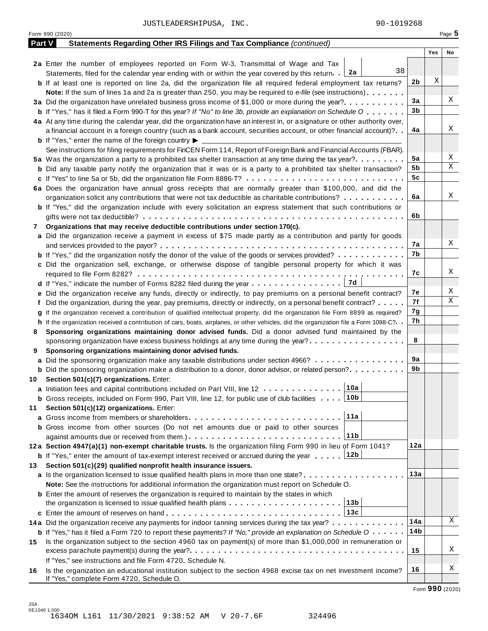|               | Form 990 (2020)                                                                                                                      |     |     | Page 5 |
|---------------|--------------------------------------------------------------------------------------------------------------------------------------|-----|-----|--------|
| <b>Part V</b> | Statements Regarding Other IRS Filings and Tax Compliance (continued)                                                                |     |     |        |
|               |                                                                                                                                      |     | Yes | No     |
|               | 2a Enter the number of employees reported on Form W-3, Transmittal of Wage and Tax                                                   |     |     |        |
|               | 38<br>Statements, filed for the calendar year ending with or within the year covered by this return. [2a                             |     |     |        |
|               | <b>b</b> If at least one is reported on line 2a, did the organization file all required federal employment tax returns?              | 2b  | Χ   |        |
|               | <b>Note:</b> If the sum of lines 1a and 2a is greater than 250, you may be required to e-file (see instructions).                    |     |     |        |
|               | 3a Did the organization have unrelated business gross income of \$1,000 or more during the year?                                     | 3a  |     | Χ      |
|               | <b>b</b> If "Yes," has it filed a Form 990-T for this year? If "No" to line 3b, provide an explanation on Schedule O                 | 3b  |     |        |
|               | 4a At any time during the calendar year, did the organization have an interest in, or a signature or other authority over,           |     |     |        |
|               | a financial account in a foreign country (such as a bank account, securities account, or other financial account)?                   | 4a  |     | Χ      |
|               | <b>b</b> If "Yes," enter the name of the foreign country $\blacktriangleright$                                                       |     |     |        |
|               | See instructions for filing requirements for FinCEN Form 114, Report of Foreign Bank and Financial Accounts (FBAR).                  |     |     |        |
|               | 5a Was the organization a party to a prohibited tax shelter transaction at any time during the tax year?.                            | 5a  |     | Χ      |
|               |                                                                                                                                      | 5b  |     | Χ      |
|               | <b>b</b> Did any taxable party notify the organization that it was or is a party to a prohibited tax shelter transaction?            | 5c  |     |        |
|               | c If "Yes" to line 5a or 5b, did the organization file Form 8886-T?                                                                  |     |     |        |
|               | 6a Does the organization have annual gross receipts that are normally greater than \$100,000, and did the                            |     |     | Χ      |
|               | organization solicit any contributions that were not tax deductible as charitable contributions?                                     | 6a  |     |        |
|               | <b>b</b> If "Yes," did the organization include with every solicitation an express statement that such contributions or              |     |     |        |
|               |                                                                                                                                      | 6b  |     |        |
| 7             | Organizations that may receive deductible contributions under section 170(c).                                                        |     |     |        |
|               | a Did the organization receive a payment in excess of \$75 made partly as a contribution and partly for goods                        |     |     |        |
|               |                                                                                                                                      | 7а  |     | Χ      |
|               | <b>b</b> If "Yes," did the organization notify the donor of the value of the goods or services provided?                             | 7b  |     |        |
|               | c Did the organization sell, exchange, or otherwise dispose of tangible personal property for which it was                           |     |     |        |
|               |                                                                                                                                      | 7с  |     | Χ      |
|               |                                                                                                                                      |     |     |        |
|               | e Did the organization receive any funds, directly or indirectly, to pay premiums on a personal benefit contract?                    | 7е  |     | Χ      |
|               | Did the organization, during the year, pay premiums, directly or indirectly, on a personal benefit contract?                         | 7f  |     | Χ      |
|               | g If the organization received a contribution of qualified intellectual property, did the organization file Form 8899 as required?   | 7g  |     |        |
|               |                                                                                                                                      | 7h  |     |        |
|               | h If the organization received a contribution of cars, boats, airplanes, or other vehicles, did the organization file a Form 1098-C? |     |     |        |
| 8             | Sponsoring organizations maintaining donor advised funds. Did a donor advised fund maintained by the                                 | 8   |     |        |
|               | sponsoring organization have excess business holdings at any time during the year?                                                   |     |     |        |
| 9             | Sponsoring organizations maintaining donor advised funds.                                                                            |     |     |        |
|               | a Did the sponsoring organization make any taxable distributions under section 4966?                                                 | 9a  |     |        |
|               | <b>b</b> Did the sponsoring organization make a distribution to a donor, donor advisor, or related person?                           | 9b  |     |        |
|               | 10 Section 501(c)(7) organizations. Enter:                                                                                           |     |     |        |
|               | 10a <br>a Initiation fees and capital contributions included on Part VIII, line 12                                                   |     |     |        |
|               | ∣10b<br><b>b</b> Gross receipts, included on Form 990, Part VIII, line 12, for public use of club facilities                         |     |     |        |
| 11            | Section 501(c)(12) organizations. Enter:                                                                                             |     |     |        |
|               | 11a                                                                                                                                  |     |     |        |
|               | b Gross income from other sources (Do not net amounts due or paid to other sources                                                   |     |     |        |
|               | 11 <sub>b</sub>                                                                                                                      |     |     |        |
|               | 12a Section 4947(a)(1) non-exempt charitable trusts. Is the organization filing Form 990 in lieu of Form 1041?                       | 12a |     |        |
|               | <b>b</b> If "Yes," enter the amount of tax-exempt interest received or accrued during the year $\ldots$ [12b                         |     |     |        |
| 13            | Section 501(c)(29) qualified nonprofit health insurance issuers.                                                                     |     |     |        |
|               | a Is the organization licensed to issue qualified health plans in more than one state?                                               | 13а |     |        |
|               | Note: See the instructions for additional information the organization must report on Schedule O.                                    |     |     |        |
|               | <b>b</b> Enter the amount of reserves the organization is required to maintain by the states in which                                |     |     |        |
|               | 13b<br>the organization is licensed to issue qualified health plans $\dots \dots \dots \dots \dots \dots \dots$                      |     |     |        |
|               |                                                                                                                                      |     |     |        |
|               | 14a Did the organization receive any payments for indoor tanning services during the tax year?                                       | 14a |     | Χ      |
|               |                                                                                                                                      | 14b |     |        |
|               | <b>b</b> If "Yes," has it filed a Form 720 to report these payments? If "No," provide an explanation on Schedule O                   |     |     |        |
| 15            | Is the organization subject to the section 4960 tax on payment(s) of more than \$1,000,000 in remuneration or                        |     |     | Χ      |
|               |                                                                                                                                      | 15  |     |        |
|               | If "Yes," see instructions and file Form 4720, Schedule N.                                                                           |     |     |        |
| 16            | Is the organization an educational institution subject to the section 4968 excise tax on net investment income?                      | 16  |     | Χ      |
|               | If "Yes," complete Form 4720, Schedule O.                                                                                            |     |     |        |

Form **990** (2020)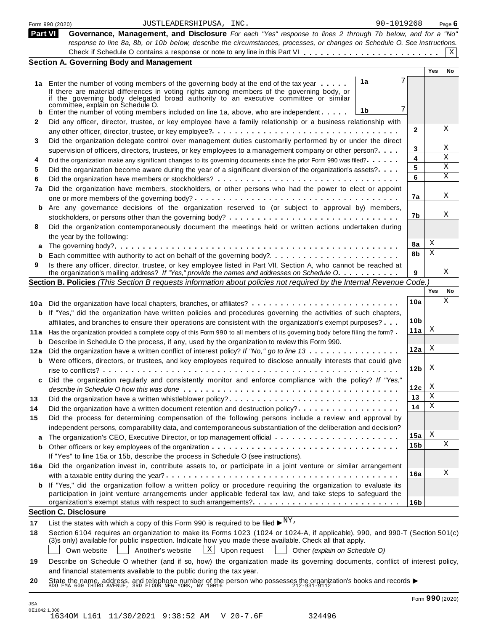|                | JUSTLEADERSHIPUSA, INC.<br>Form 990 (2020)                                                                                                                                                     | 90-1019268      |     | Page $6$        |
|----------------|------------------------------------------------------------------------------------------------------------------------------------------------------------------------------------------------|-----------------|-----|-----------------|
| <b>Part VI</b> | Governance, Management, and Disclosure For each "Yes" response to lines 2 through 7b below, and for a "No"                                                                                     |                 |     |                 |
|                | response to line 8a, 8b, or 10b below, describe the circumstances, processes, or changes on Schedule O. See instructions.                                                                      |                 |     |                 |
|                |                                                                                                                                                                                                |                 |     | $\mathbf X$     |
|                | <b>Section A. Governing Body and Management</b>                                                                                                                                                |                 |     |                 |
|                |                                                                                                                                                                                                |                 | Yes | No              |
|                | 1a<br>1a Enter the number of voting members of the governing body at the end of the tax year                                                                                                   |                 |     |                 |
|                | If there are material differences in voting rights among members of the governing body, or                                                                                                     |                 |     |                 |
|                | if the governing body delegated broad authority to an executive committee or similar<br>committée, explain on Schedule O.                                                                      |                 |     |                 |
| b              | 1b<br>Enter the number of voting members included on line 1a, above, who are independent                                                                                                       | 7               |     |                 |
| $\mathbf{2}$   | Did any officer, director, trustee, or key employee have a family relationship or a business relationship with                                                                                 |                 |     |                 |
|                |                                                                                                                                                                                                | $\mathbf{2}$    |     | Χ               |
| 3              | Did the organization delegate control over management duties customarily performed by or under the direct                                                                                      |                 |     |                 |
|                | supervision of officers, directors, trustees, or key employees to a management company or other person?                                                                                        | 3               |     | Χ               |
| 4              | Did the organization make any significant changes to its governing documents since the prior Form 990 was filed?                                                                               | 4               |     | $\mathbf X$     |
| 5              | Did the organization become aware during the year of a significant diversion of the organization's assets?                                                                                     | 5               |     | Χ               |
| 6              |                                                                                                                                                                                                | 6               |     | $\mathbf X$     |
|                | Did the organization have members, stockholders, or other persons who had the power to elect or appoint                                                                                        |                 |     |                 |
| 7a             |                                                                                                                                                                                                | 7a              |     | Χ               |
|                |                                                                                                                                                                                                |                 |     |                 |
| b              | Are any governance decisions of the organization reserved to (or subject to approval by) members,                                                                                              | 7b              |     | Χ               |
|                |                                                                                                                                                                                                |                 |     |                 |
| 8              | Did the organization contemporaneously document the meetings held or written actions undertaken during                                                                                         |                 |     |                 |
|                | the year by the following:                                                                                                                                                                     |                 | Χ   |                 |
| a              |                                                                                                                                                                                                | 8а              | Χ   |                 |
| b              |                                                                                                                                                                                                | 8b              |     |                 |
| 9              | Is there any officer, director, trustee, or key employee listed in Part VII, Section A, who cannot be reached at                                                                               |                 |     | Χ               |
|                | the organization's mailing address? If "Yes," provide the names and addresses on Schedule O.                                                                                                   | 9               |     |                 |
|                | Section B. Policies (This Section B requests information about policies not required by the Internal Revenue Code.)                                                                            |                 | Yes | No              |
|                |                                                                                                                                                                                                |                 |     |                 |
|                |                                                                                                                                                                                                | 10a             |     | Χ               |
| b              | If "Yes," did the organization have written policies and procedures governing the activities of such chapters,                                                                                 |                 |     |                 |
|                | affiliates, and branches to ensure their operations are consistent with the organization's exempt purposes?                                                                                    | 10b             |     |                 |
|                | 11a Has the organization provided a complete copy of this Form 990 to all members of its governing body before filing the form?                                                                | 11a             | Χ   |                 |
| b              | Describe in Schedule O the process, if any, used by the organization to review this Form 990.                                                                                                  |                 |     |                 |
| 12a            | Did the organization have a written conflict of interest policy? If "No," go to line 13                                                                                                        | 12a             | Χ   |                 |
| b              | Were officers, directors, or trustees, and key employees required to disclose annually interests that could give                                                                               |                 |     |                 |
|                |                                                                                                                                                                                                | 12 <sub>b</sub> | X   |                 |
| c              | Did the organization regularly and consistently monitor and enforce compliance with the policy? If "Yes,"                                                                                      |                 |     |                 |
|                |                                                                                                                                                                                                | 12c             | X   |                 |
| 13             | Did the organization have a written whistleblower policy?                                                                                                                                      | 13              | Χ   |                 |
| 14             | Did the organization have a written document retention and destruction policy?                                                                                                                 | 14              | Χ   |                 |
| 15             | Did the process for determining compensation of the following persons include a review and approval by                                                                                         |                 |     |                 |
|                | independent persons, comparability data, and contemporaneous substantiation of the deliberation and decision?                                                                                  |                 |     |                 |
| а              |                                                                                                                                                                                                | 15a             | Χ   |                 |
| b              |                                                                                                                                                                                                | 15b             |     | Χ               |
|                | If "Yes" to line 15a or 15b, describe the process in Schedule O (see instructions).                                                                                                            |                 |     |                 |
| 16a            | Did the organization invest in, contribute assets to, or participate in a joint venture or similar arrangement                                                                                 |                 |     |                 |
|                |                                                                                                                                                                                                | 16a             |     | Χ               |
| b              | If "Yes," did the organization follow a written policy or procedure requiring the organization to evaluate its                                                                                 |                 |     |                 |
|                | participation in joint venture arrangements under applicable federal tax law, and take steps to safeguard the                                                                                  |                 |     |                 |
|                |                                                                                                                                                                                                | 16b             |     |                 |
|                | <b>Section C. Disclosure</b>                                                                                                                                                                   |                 |     |                 |
|                |                                                                                                                                                                                                |                 |     |                 |
| 17             | List the states with which a copy of this Form 990 is required to be filed $\blacktriangleright^{\text{NY}}$ .                                                                                 |                 |     |                 |
| 18             | Section 6104 requires an organization to make its Forms 1023 (1024 or 1024-A, if applicable), 990, and 990-T (Section 501(c)                                                                   |                 |     |                 |
|                | (3)s only) available for public inspection. Indicate how you made these available. Check all that apply.                                                                                       |                 |     |                 |
|                | $\mathbf{X}$<br>Own website<br>Another's website<br>Upon request<br>Other (explain on Schedule O)                                                                                              |                 |     |                 |
| 19             | Describe on Schedule O whether (and if so, how) the organization made its governing documents, conflict of interest policy,                                                                    |                 |     |                 |
|                | and financial statements available to the public during the tax year.                                                                                                                          |                 |     |                 |
| 20             | State the name, address, and telephone number of the person who possesses the organization's books and records $\blacktriangleright$<br>BDO FMA 600 THIRD AVENUE, 3RD FLOOR NEW YORK, NY 10016 |                 |     |                 |
|                |                                                                                                                                                                                                |                 |     |                 |
| JSA            |                                                                                                                                                                                                |                 |     | Form 990 (2020) |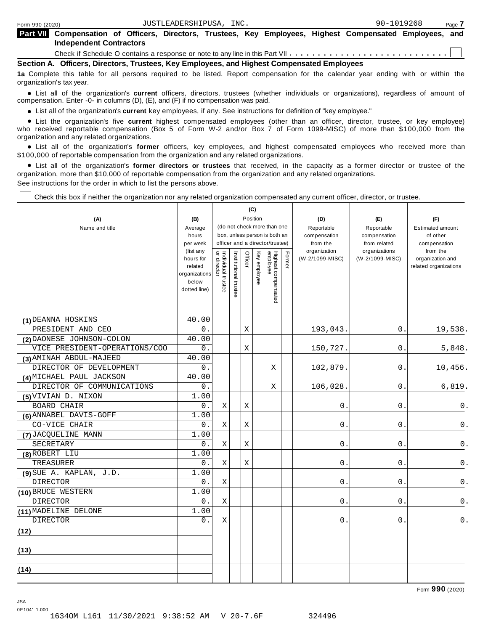| Part VII Compensation of Officers, Directors, Trustees, Key Employees, Highest Compensated Employees, and |  |  |  |  |  |
|-----------------------------------------------------------------------------------------------------------|--|--|--|--|--|
| <b>Independent Contractors</b>                                                                            |  |  |  |  |  |

Check if Schedule O contains a response or note to any line in this Part VII  $\ldots \ldots \ldots \ldots \ldots \ldots \ldots \ldots$ 

**Section A. Officers, Directors, Trustees, Key Employees, and Highest Compensated Employees**

**1a** Complete this table for all persons required to be listed. Report compensation for the calendar year ending with or within the organization's tax year.

anization's lax year.<br>● List all of the organization's **current** officers, directors, trustees (whether individuals or organizations), regardless of amount of<br>nnensation Enter -0- in columns (D) (E) and (E) if no compensa compensation. Enter -0- in columns (D), (E), and (F) if no compensation was paid.

• List all of the organization's current key employees, if any. See instructions for definition of "key employee."

■ List all of the organization's current key employees, if any. See instructions for definition of "key employee."<br>■ List the organization's five current highest compensated employees (other than an officer, director, tru who received reportable compensation (Box 5 of Form W-2 and/or Box 7 of Form 1099-MISC) of more than \$100,000 from the

organization and any related organizations.<br>• List all of the organization's **former** officers, key employees, and highest compensated employees who received more than<br>\$1.00.000 of reportable componention from the erganiza \$100,000 of reportable compensation from the organization and any related organizations.

% List all of the organization's **former directors or trustees** that received, in the capacity as a former director or trustee of the organization, more than \$10,000 of reportable compensation from the organization and any related organizations. See instructions for the order in which to list the persons above.

Check this box if neither the organization nor any related organization compensated any current officer, director, or trustee.

|                               |                                       |                                   |                                                                  |             | (C)          |                                 |       |                          |                              |                                           |
|-------------------------------|---------------------------------------|-----------------------------------|------------------------------------------------------------------|-------------|--------------|---------------------------------|-------|--------------------------|------------------------------|-------------------------------------------|
| (A)                           | (B)                                   |                                   |                                                                  | Position    |              |                                 |       | (D)                      | (E)                          | (F)                                       |
| Name and title                | Average                               |                                   |                                                                  |             |              | (do not check more than one     |       | Reportable               | Reportable                   | <b>Estimated amount</b>                   |
|                               | hours<br>per week                     |                                   | box, unless person is both an<br>officer and a director/trustee) |             |              |                                 |       | compensation<br>from the | compensation<br>from related | of other<br>compensation                  |
|                               | (list any                             |                                   |                                                                  |             |              |                                 |       | organization             | organizations                | from the                                  |
|                               | hours for<br>related<br>organizations | Individual trustee<br>or director |                                                                  | Officer     | Key employee |                                 | Fomer | (W-2/1099-MISC)          | (W-2/1099-MISC)              | organization and<br>related organizations |
|                               | below<br>dotted line)                 |                                   | Institutional trustee                                            |             |              | Highest compensated<br>employee |       |                          |                              |                                           |
| (1) DEANNA HOSKINS            | 40.00                                 |                                   |                                                                  |             |              |                                 |       |                          |                              |                                           |
| PRESIDENT AND CEO             | 0.                                    |                                   |                                                                  | Χ           |              |                                 |       | 193,043.                 | 0.                           | 19,538.                                   |
| (2) DAONESE JOHNSON-COLON     | 40.00                                 |                                   |                                                                  |             |              |                                 |       |                          |                              |                                           |
| VICE PRESIDENT-OPERATIONS/COO | 0.                                    |                                   |                                                                  | Χ           |              |                                 |       | 150,727.                 | 0.                           | 5,848.                                    |
| (3) AMINAH ABDUL-MAJEED       | 40.00                                 |                                   |                                                                  |             |              |                                 |       |                          |                              |                                           |
| DIRECTOR OF DEVELOPMENT       | 0.                                    |                                   |                                                                  |             |              | X                               |       | 102,879.                 | 0.                           | 10,456.                                   |
| (4) MICHAEL PAUL JACKSON      | 40.00                                 |                                   |                                                                  |             |              |                                 |       |                          |                              |                                           |
| DIRECTOR OF COMMUNICATIONS    | 0.                                    |                                   |                                                                  |             |              | X                               |       | 106,028                  | $\mathbf{0}$ .               | 6,819.                                    |
| (5) VIVIAN D. NIXON           | 1.00                                  |                                   |                                                                  |             |              |                                 |       |                          |                              |                                           |
| BOARD CHAIR                   | 0.                                    | Χ                                 |                                                                  | Χ           |              |                                 |       | $0$ .                    | $0$ .                        | 0.                                        |
| (6) ANNABEL DAVIS-GOFF        | 1.00                                  |                                   |                                                                  |             |              |                                 |       |                          |                              |                                           |
| CO-VICE CHAIR                 | 0.                                    | Χ                                 |                                                                  | Χ           |              |                                 |       | 0                        | 0.                           | 0.                                        |
| (7) JACQUELINE MANN           | 1.00                                  |                                   |                                                                  |             |              |                                 |       |                          |                              |                                           |
| SECRETARY                     | 0.                                    | X                                 |                                                                  | $\mathbf X$ |              |                                 |       | $\mathbf 0$              | $\mathsf{O}$                 | 0.                                        |
| (8) ROBERT LIU                | 1.00                                  |                                   |                                                                  |             |              |                                 |       |                          |                              |                                           |
| TREASURER                     | 0.                                    | Χ                                 |                                                                  | Χ           |              |                                 |       | 0                        | $\mathsf{O}$ .               | 0.                                        |
| $(9)$ SUE A. KAPLAN, J.D.     | 1.00                                  |                                   |                                                                  |             |              |                                 |       |                          |                              |                                           |
| <b>DIRECTOR</b>               | 0.                                    | X                                 |                                                                  |             |              |                                 |       | 0                        | 0                            | 0.                                        |
| (10) BRUCE WESTERN            | 1.00                                  |                                   |                                                                  |             |              |                                 |       |                          |                              |                                           |
| <b>DIRECTOR</b>               | 0.                                    | X                                 |                                                                  |             |              |                                 |       | $\mathbf 0$              | $\mathbf 0$                  | $0$ .                                     |
| (11) MADELINE DELONE          | 1.00                                  |                                   |                                                                  |             |              |                                 |       |                          |                              |                                           |
| <b>DIRECTOR</b>               | 0.                                    | Χ                                 |                                                                  |             |              |                                 |       | 0                        | 0.                           | 0.                                        |
| (12)                          |                                       |                                   |                                                                  |             |              |                                 |       |                          |                              |                                           |
| (13)                          |                                       |                                   |                                                                  |             |              |                                 |       |                          |                              |                                           |
| (14)                          |                                       |                                   |                                                                  |             |              |                                 |       |                          |                              |                                           |

Form **990** (2020)

JSA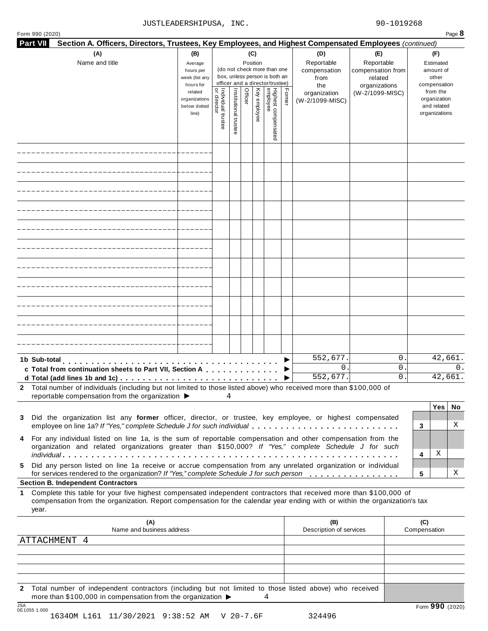#### JUSTLEADERSHIPUSA, INC. 90-1019268

| Form 990 (2020)<br><b>Part VII</b> | Section A. Officers, Directors, Trustees, Key Employees, and Highest Compensated Employees (continued)                                                                                                                                           |                                                                                                                                                               |  |   |  |                                 |        |                                                                                     |                                                                                       |  |            |                                                                                                                    | Page 8                |
|------------------------------------|--------------------------------------------------------------------------------------------------------------------------------------------------------------------------------------------------------------------------------------------------|---------------------------------------------------------------------------------------------------------------------------------------------------------------|--|---|--|---------------------------------|--------|-------------------------------------------------------------------------------------|---------------------------------------------------------------------------------------|--|------------|--------------------------------------------------------------------------------------------------------------------|-----------------------|
|                                    | (B)<br>Average<br>hours per<br>week (list any<br>hours for<br>related<br>organizations<br>below dotted<br>line)                                                                                                                                  | (do not check more than one<br>box, unless person is both an<br>officer and a director/trustee)<br>Individual trustee<br>or director<br>Institutional trustee |  |   |  | Highest compensated<br>employee | Former | (D)<br>Reportable<br>compensation<br>from<br>the<br>organization<br>(W-2/1099-MISC) | (E)<br>Reportable<br>compensation from<br>related<br>organizations<br>(W-2/1099-MISC) |  |            | (F)<br>Estimated<br>amount of<br>other<br>compensation<br>from the<br>organization<br>and related<br>organizations |                       |
|                                    |                                                                                                                                                                                                                                                  |                                                                                                                                                               |  |   |  |                                 |        |                                                                                     |                                                                                       |  |            |                                                                                                                    |                       |
|                                    |                                                                                                                                                                                                                                                  |                                                                                                                                                               |  |   |  |                                 |        |                                                                                     |                                                                                       |  |            |                                                                                                                    |                       |
|                                    |                                                                                                                                                                                                                                                  |                                                                                                                                                               |  |   |  |                                 |        |                                                                                     |                                                                                       |  |            |                                                                                                                    |                       |
|                                    |                                                                                                                                                                                                                                                  |                                                                                                                                                               |  |   |  |                                 |        |                                                                                     |                                                                                       |  |            |                                                                                                                    |                       |
|                                    |                                                                                                                                                                                                                                                  |                                                                                                                                                               |  |   |  |                                 |        |                                                                                     |                                                                                       |  |            |                                                                                                                    |                       |
|                                    |                                                                                                                                                                                                                                                  |                                                                                                                                                               |  |   |  |                                 |        |                                                                                     |                                                                                       |  |            |                                                                                                                    |                       |
|                                    |                                                                                                                                                                                                                                                  |                                                                                                                                                               |  |   |  |                                 |        |                                                                                     |                                                                                       |  |            |                                                                                                                    |                       |
|                                    |                                                                                                                                                                                                                                                  |                                                                                                                                                               |  |   |  |                                 |        |                                                                                     |                                                                                       |  |            |                                                                                                                    |                       |
|                                    |                                                                                                                                                                                                                                                  |                                                                                                                                                               |  |   |  |                                 |        |                                                                                     |                                                                                       |  |            |                                                                                                                    |                       |
|                                    |                                                                                                                                                                                                                                                  |                                                                                                                                                               |  |   |  |                                 |        |                                                                                     |                                                                                       |  |            |                                                                                                                    |                       |
|                                    |                                                                                                                                                                                                                                                  |                                                                                                                                                               |  |   |  |                                 |        |                                                                                     |                                                                                       |  |            |                                                                                                                    |                       |
|                                    |                                                                                                                                                                                                                                                  |                                                                                                                                                               |  |   |  |                                 |        |                                                                                     |                                                                                       |  |            |                                                                                                                    |                       |
|                                    |                                                                                                                                                                                                                                                  |                                                                                                                                                               |  |   |  |                                 |        |                                                                                     |                                                                                       |  |            |                                                                                                                    |                       |
|                                    | 1b Sub-total                                                                                                                                                                                                                                     |                                                                                                                                                               |  |   |  |                                 |        |                                                                                     | 552,677.                                                                              |  | $0$ .      |                                                                                                                    | 42,661.<br>$\Omega$ . |
|                                    | c Total from continuation sheets to Part VII, Section A entrancement of the U.S.<br>d Total (add lines 1b and 1c) $\ldots \ldots \ldots \ldots \ldots \ldots \ldots \ldots \ldots \ldots \ldots$                                                 |                                                                                                                                                               |  |   |  |                                 |        |                                                                                     | $0$ .<br>552,677.                                                                     |  | $0$ .<br>0 |                                                                                                                    | 42,661.               |
|                                    | 2 Total number of individuals (including but not limited to those listed above) who received more than \$100,000 of<br>reportable compensation from the organization $\blacktriangleright$                                                       |                                                                                                                                                               |  | 4 |  |                                 |        |                                                                                     |                                                                                       |  |            |                                                                                                                    |                       |
|                                    | 3 Did the organization list any former officer, director, or trustee, key employee, or highest compensated<br>employee on line 1a? If "Yes," complete Schedule J for such individual                                                             |                                                                                                                                                               |  |   |  |                                 |        |                                                                                     |                                                                                       |  |            | 3                                                                                                                  | Yes  <br>No<br>X      |
|                                    | 4 For any individual listed on line 1a, is the sum of reportable compensation and other compensation from the<br>organization and related organizations greater than \$150,000? If "Yes," complete Schedule J for such                           |                                                                                                                                                               |  |   |  |                                 |        |                                                                                     |                                                                                       |  |            | 4                                                                                                                  | Χ                     |
|                                    | Did any person listed on line 1a receive or accrue compensation from any unrelated organization or individual<br>for services rendered to the organization? If "Yes," complete Schedule J for such person                                        |                                                                                                                                                               |  |   |  |                                 |        |                                                                                     |                                                                                       |  |            | 5                                                                                                                  | X                     |
|                                    | <b>Section B. Independent Contractors</b>                                                                                                                                                                                                        |                                                                                                                                                               |  |   |  |                                 |        |                                                                                     |                                                                                       |  |            |                                                                                                                    |                       |
| 1<br>year.                         | Complete this table for your five highest compensated independent contractors that received more than \$100,000 of<br>compensation from the organization. Report compensation for the calendar year ending with or within the organization's tax |                                                                                                                                                               |  |   |  |                                 |        |                                                                                     |                                                                                       |  |            |                                                                                                                    |                       |
|                                    | (A)<br>Name and business address                                                                                                                                                                                                                 |                                                                                                                                                               |  |   |  |                                 |        |                                                                                     | (B)<br>Description of services                                                        |  |            | (C)<br>Compensation                                                                                                |                       |
|                                    | ATTACHMENT 4                                                                                                                                                                                                                                     |                                                                                                                                                               |  |   |  |                                 |        |                                                                                     |                                                                                       |  |            |                                                                                                                    |                       |
|                                    |                                                                                                                                                                                                                                                  |                                                                                                                                                               |  |   |  |                                 |        |                                                                                     |                                                                                       |  |            |                                                                                                                    |                       |
|                                    |                                                                                                                                                                                                                                                  |                                                                                                                                                               |  |   |  |                                 |        |                                                                                     |                                                                                       |  |            |                                                                                                                    |                       |
|                                    | Total number of independent contractors (including but not limited to those listed above) who received<br>more than \$100,000 in compensation from the organization $\blacktriangleright$                                                        |                                                                                                                                                               |  |   |  |                                 | 4      |                                                                                     |                                                                                       |  |            |                                                                                                                    |                       |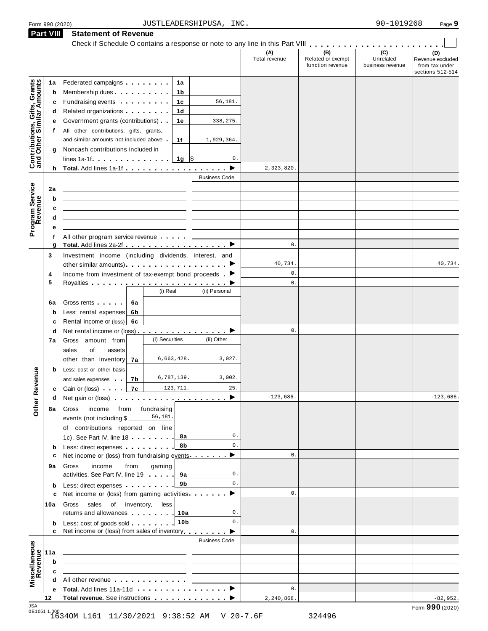**Part VIII Statement of Revenue**

|                                                           | <b>Part VIII</b> | Statement of Revenue<br>Check if Schedule O contains a response or note to any line in this Part VIII                                                                                                                                      |                      |                                              |                                      |                                                               |
|-----------------------------------------------------------|------------------|--------------------------------------------------------------------------------------------------------------------------------------------------------------------------------------------------------------------------------------------|----------------------|----------------------------------------------|--------------------------------------|---------------------------------------------------------------|
|                                                           |                  |                                                                                                                                                                                                                                            | (A)<br>Total revenue | (B)<br>Related or exempt<br>function revenue | (C)<br>Unrelated<br>business revenue | (D)<br>Revenue excluded<br>from tax under<br>sections 512-514 |
|                                                           | 1a               | Federated campaigns <b>Federated</b><br>1а                                                                                                                                                                                                 |                      |                                              |                                      |                                                               |
| Contributions, Gifts, Grants<br>and Other Similar Amounts | b                | Membership dues<br>1b                                                                                                                                                                                                                      |                      |                                              |                                      |                                                               |
|                                                           | c                | Fundraising events <b>Fundraising</b><br>1c<br>56,181.                                                                                                                                                                                     |                      |                                              |                                      |                                                               |
|                                                           | d                | Related organizations <b>and the set of the set of the set of the set of the set of the set of the set of the set of the set of the set of the set of the set of the set of the set of the set of the set of the set of the set </b><br>1d |                      |                                              |                                      |                                                               |
|                                                           | е                | Government grants (contributions)<br>1е<br>338, 275.                                                                                                                                                                                       |                      |                                              |                                      |                                                               |
|                                                           | f                | All other contributions, gifts, grants,                                                                                                                                                                                                    |                      |                                              |                                      |                                                               |
|                                                           |                  | and similar amounts not included above<br>1f<br>1,929,364.                                                                                                                                                                                 |                      |                                              |                                      |                                                               |
|                                                           | g                | Noncash contributions included in                                                                                                                                                                                                          |                      |                                              |                                      |                                                               |
|                                                           |                  | lines 1a-1f. $\ldots$ $\ldots$ $\ldots$ $\ldots$ $\frac{1}{9}$ \$<br>0.                                                                                                                                                                    |                      |                                              |                                      |                                                               |
|                                                           |                  | h Total. Add lines 1a-1f<br>▶                                                                                                                                                                                                              | 2,323,820.           |                                              |                                      |                                                               |
|                                                           |                  | <b>Business Code</b>                                                                                                                                                                                                                       |                      |                                              |                                      |                                                               |
|                                                           | 2a               |                                                                                                                                                                                                                                            |                      |                                              |                                      |                                                               |
| Program Service<br>Revenue                                | b                |                                                                                                                                                                                                                                            |                      |                                              |                                      |                                                               |
|                                                           | с                |                                                                                                                                                                                                                                            |                      |                                              |                                      |                                                               |
|                                                           | d                |                                                                                                                                                                                                                                            |                      |                                              |                                      |                                                               |
|                                                           | е                |                                                                                                                                                                                                                                            |                      |                                              |                                      |                                                               |
|                                                           | f                | All other program service revenue                                                                                                                                                                                                          |                      |                                              |                                      |                                                               |
|                                                           | g                |                                                                                                                                                                                                                                            | $0$ .                |                                              |                                      |                                                               |
|                                                           | 3                | Investment income (including dividends, interest, and                                                                                                                                                                                      |                      |                                              |                                      |                                                               |
|                                                           |                  |                                                                                                                                                                                                                                            | 40,734.              |                                              |                                      | 40,734.                                                       |
|                                                           | 4                | Income from investment of tax-exempt bond proceeds $\blacktriangleright$                                                                                                                                                                   | 0.                   |                                              |                                      |                                                               |
|                                                           | 5                |                                                                                                                                                                                                                                            | 0.                   |                                              |                                      |                                                               |
|                                                           |                  | (i) Real<br>(ii) Personal                                                                                                                                                                                                                  |                      |                                              |                                      |                                                               |
|                                                           | 6a               | Gross rents  <br>6a                                                                                                                                                                                                                        |                      |                                              |                                      |                                                               |
|                                                           | $\mathbf b$      | Less: rental expenses<br>6b                                                                                                                                                                                                                |                      |                                              |                                      |                                                               |
|                                                           | c                | Rental income or (loss) 6c                                                                                                                                                                                                                 |                      |                                              |                                      |                                                               |
|                                                           | d                | Net rental income or (loss) ▶                                                                                                                                                                                                              | 0.                   |                                              |                                      |                                                               |
|                                                           | 7а               | (i) Securities<br>(ii) Other<br>Gross amount from                                                                                                                                                                                          |                      |                                              |                                      |                                                               |
|                                                           |                  | sales<br>of<br>assets                                                                                                                                                                                                                      |                      |                                              |                                      |                                                               |
|                                                           |                  | 6,663,428.<br>3,027.<br>other than inventory<br>7a                                                                                                                                                                                         |                      |                                              |                                      |                                                               |
|                                                           | b                | Less: cost or other basis                                                                                                                                                                                                                  |                      |                                              |                                      |                                                               |
| evenue                                                    |                  | 6,787,139.<br>3,002.<br>and sales expenses<br>7b                                                                                                                                                                                           |                      |                                              |                                      |                                                               |
|                                                           |                  | 25.<br>7c<br>$-123,711.$<br><b>c</b> Gain or (loss) <b>c</b>                                                                                                                                                                               |                      |                                              |                                      |                                                               |
|                                                           | d                | Net gain or (loss) $\cdots$ $\cdots$ $\cdots$ $\cdots$ $\cdots$ $\cdots$ $\cdots$                                                                                                                                                          | $-123,686.$          |                                              |                                      | $-123,686.$                                                   |
| Other <sub>R</sub>                                        |                  |                                                                                                                                                                                                                                            |                      |                                              |                                      |                                                               |
|                                                           | 8а               | income from fundraising<br>Gross<br>56,181.                                                                                                                                                                                                |                      |                                              |                                      |                                                               |
|                                                           |                  | events (not including \$                                                                                                                                                                                                                   |                      |                                              |                                      |                                                               |
|                                                           |                  | of contributions reported on line<br>0.<br>8а                                                                                                                                                                                              |                      |                                              |                                      |                                                               |
|                                                           |                  | 1c). See Part IV, line 18<br>$\mathbf{0}$ .<br>8b                                                                                                                                                                                          |                      |                                              |                                      |                                                               |
|                                                           | b<br>c           | Less: direct expenses<br>Net income or (loss) from fundraising events.<br>▸                                                                                                                                                                | $\mathbf{0}$ .       |                                              |                                      |                                                               |
|                                                           |                  |                                                                                                                                                                                                                                            |                      |                                              |                                      |                                                               |
|                                                           | 9а               | gaming<br>income<br>from<br>Gross<br>activities. See Part IV, line 19<br>0.<br>9а                                                                                                                                                          |                      |                                              |                                      |                                                               |
|                                                           |                  | $0$ .                                                                                                                                                                                                                                      |                      |                                              |                                      |                                                               |
|                                                           | b                | 9b<br>Less: direct expenses                                                                                                                                                                                                                | 0.                   |                                              |                                      |                                                               |
|                                                           | c                | Net income or (loss) from gaming activities.<br>▶                                                                                                                                                                                          |                      |                                              |                                      |                                                               |
|                                                           | 10a              | sales of inventory,<br>less<br>Gross<br>0.                                                                                                                                                                                                 |                      |                                              |                                      |                                                               |
|                                                           |                  | returns and allowances 10a<br>0.                                                                                                                                                                                                           |                      |                                              |                                      |                                                               |
|                                                           | b<br>c           | 10 <sub>b</sub><br>Less: cost of goods sold<br>Net income or (loss) from sales of inventory                                                                                                                                                | $\mathbf{0}$ .       |                                              |                                      |                                                               |
|                                                           |                  | ▶<br><b>Business Code</b>                                                                                                                                                                                                                  |                      |                                              |                                      |                                                               |
|                                                           |                  |                                                                                                                                                                                                                                            |                      |                                              |                                      |                                                               |
|                                                           | 11a              |                                                                                                                                                                                                                                            |                      |                                              |                                      |                                                               |
|                                                           | b                | <u> 1989 - Johann Stein, mars an deus Amerikaansk kommunister (</u>                                                                                                                                                                        |                      |                                              |                                      |                                                               |
|                                                           | c                | the control of the control of the control of the control of the control of                                                                                                                                                                 |                      |                                              |                                      |                                                               |
| Miscellaneous<br>Revenue                                  | d                | All other revenue example and the state of the state of the state of the state of the state of the state of the state of the state of the state of the state of the state of the state of the state of the state of the state              |                      |                                              |                                      |                                                               |
|                                                           | е                |                                                                                                                                                                                                                                            | 0.                   |                                              |                                      |                                                               |
| LSA                                                       | 12               |                                                                                                                                                                                                                                            | 2,240,868.           |                                              |                                      | $-82,952.$                                                    |

JSA Form **990** (2020) 0E1051 1.000 1634OM L161 11/30/2021 9:38:52 AM V 20-7.6F 324496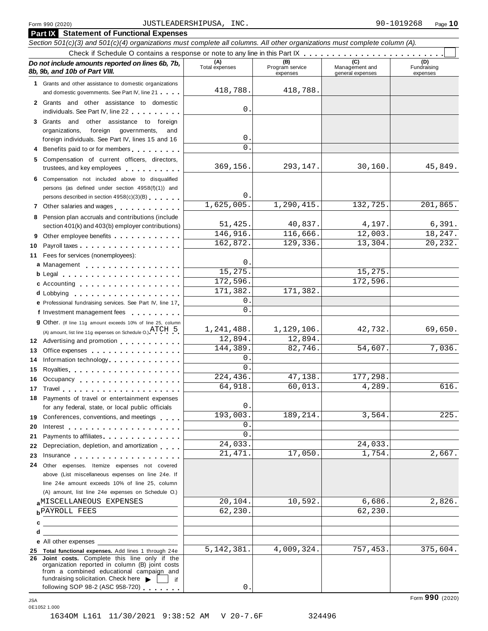#### Form <sup>990</sup> (2020) Page **10** JUSTLEADERSHIPUSA, INC. 90-1019268

|        | Section 501(c)(3) and 501(c)(4) organizations must complete all columns. All other organizations must complete column (A).                                                                                                     |                       |                                    |                                    |                                |
|--------|--------------------------------------------------------------------------------------------------------------------------------------------------------------------------------------------------------------------------------|-----------------------|------------------------------------|------------------------------------|--------------------------------|
|        | Do not include amounts reported on lines 6b, 7b,<br>8b, 9b, and 10b of Part VIII.                                                                                                                                              | (A)<br>Total expenses | (B)<br>Program service<br>expenses | Management and<br>general expenses | (D)<br>Fundraising<br>expenses |
|        | 1 Grants and other assistance to domestic organizations                                                                                                                                                                        |                       |                                    |                                    |                                |
|        | and domestic governments. See Part IV, line 21                                                                                                                                                                                 | 418,788.              | 418,788.                           |                                    |                                |
|        | 2 Grants and other assistance to domestic                                                                                                                                                                                      |                       |                                    |                                    |                                |
|        | individuals. See Part IV, line 22                                                                                                                                                                                              | 0.                    |                                    |                                    |                                |
|        | 3 Grants and other assistance to foreign                                                                                                                                                                                       |                       |                                    |                                    |                                |
|        | organizations,<br>foreign<br>governments,<br>and                                                                                                                                                                               |                       |                                    |                                    |                                |
|        | foreign individuals. See Part IV, lines 15 and 16                                                                                                                                                                              | $0$ .                 |                                    |                                    |                                |
|        | Benefits paid to or for members                                                                                                                                                                                                | $\Omega$ .            |                                    |                                    |                                |
|        | 5 Compensation of current officers, directors,<br>trustees, and key employees expressed and the state of                                                                                                                       | 369,156.              | 293,147.                           | 30,160.                            | 45,849.                        |
| 6      | Compensation not included above to disqualified                                                                                                                                                                                |                       |                                    |                                    |                                |
|        | persons (as defined under section 4958(f)(1)) and                                                                                                                                                                              |                       |                                    |                                    |                                |
|        | persons described in section 4958(c)(3)(B)                                                                                                                                                                                     | $0$ .                 |                                    |                                    |                                |
|        | 7 Other salaries and wages <b>contained contained contained contained contained contained </b>                                                                                                                                 | 1,625,005.            | 1,290,415.                         | 132,725.                           | 201,865.                       |
| 8      | Pension plan accruals and contributions (include                                                                                                                                                                               |                       |                                    |                                    |                                |
|        | section 401(k) and 403(b) employer contributions)                                                                                                                                                                              | 51,425.               | 40,837.                            | 4,197.                             | 6,391.                         |
| 9      | Other employee benefits                                                                                                                                                                                                        | 146,916.              | 116,666.                           | 12,003.                            | 18,247.                        |
| 10     |                                                                                                                                                                                                                                | 162,872.              | 129,336.                           | 13,304.                            | 20,232.                        |
| 11     | Fees for services (nonemployees):                                                                                                                                                                                              | $0$ .                 |                                    |                                    |                                |
|        | a Management                                                                                                                                                                                                                   | 15,275.               |                                    | 15,275.                            |                                |
|        |                                                                                                                                                                                                                                | 172,596.              |                                    | 172,596.                           |                                |
|        | c Accounting                                                                                                                                                                                                                   | 171,382.              | 171,382.                           |                                    |                                |
|        |                                                                                                                                                                                                                                | $\mathbf 0$ .         |                                    |                                    |                                |
|        | e Professional fundraising services. See Part IV, line 17<br>f Investment management fees                                                                                                                                      | 0.                    |                                    |                                    |                                |
|        | 9 Other. (If line 11g amount exceeds 10% of line 25, column                                                                                                                                                                    |                       |                                    |                                    |                                |
|        | (A) amount, list line 11g expenses on Schedule O.) $\text{ATCH} \quad 5$                                                                                                                                                       | 1,241,488.            | 1,129,106.                         | 42,732.                            | 69,650.                        |
|        | 12 Advertising and promotion                                                                                                                                                                                                   | 12,894.               | 12,894.                            |                                    |                                |
| 13     | Office expenses extensive and the set of the set of the set of the set of the set of the set of the set of the                                                                                                                 | 144,389.              | 82,746.                            | 54,607.                            | 7,036.                         |
| 14     | Information technology experience and the state of the state of the state of the state of the state of the state of the state of the state of the state of the state of the state of the state of the state of the state of th | 0.                    |                                    |                                    |                                |
| 15     |                                                                                                                                                                                                                                | $\Omega$ .            |                                    |                                    |                                |
| 16     | Occupancy experience and the contract of the contract of the contract of the contract of the contract of the contract of the contract of the contract of the contract of the contract of the contract of the contract of the c | 224,436.              | 47,138                             | 177,298.                           |                                |
|        |                                                                                                                                                                                                                                | 64,918                | 60,013                             | 4,289                              | 616.                           |
|        | 18 Payments of travel or entertainment expenses                                                                                                                                                                                |                       |                                    |                                    |                                |
|        | for any federal, state, or local public officials                                                                                                                                                                              | 0.                    |                                    |                                    |                                |
|        | 19 Conferences, conventions, and meetings                                                                                                                                                                                      | 193,003.              | 189, 214.                          | 3,564.                             | 225.                           |
| 20     |                                                                                                                                                                                                                                | 0.                    |                                    |                                    |                                |
| 21     | Payments to affiliates.                                                                                                                                                                                                        | $\Omega$ .            |                                    |                                    |                                |
| 22     | Depreciation, depletion, and amortization                                                                                                                                                                                      | 24,033.               |                                    | 24,033.                            |                                |
| 23     | Insurance                                                                                                                                                                                                                      | 21, 471.              | 17,050.                            | 1,754.                             | 2,667.                         |
|        | 24 Other expenses. Itemize expenses not covered                                                                                                                                                                                |                       |                                    |                                    |                                |
|        | above (List miscellaneous expenses on line 24e. If                                                                                                                                                                             |                       |                                    |                                    |                                |
|        | line 24e amount exceeds 10% of line 25, column<br>(A) amount, list line 24e expenses on Schedule O.)                                                                                                                           |                       |                                    |                                    |                                |
|        | aMISCELLANEOUS EXPENSES                                                                                                                                                                                                        | 20,104.               | 10,592.                            | 6,686.                             | 2,826.                         |
|        | <b>b</b> PAYROLL FEES                                                                                                                                                                                                          | 62,230.               |                                    | 62,230.                            |                                |
|        |                                                                                                                                                                                                                                |                       |                                    |                                    |                                |
| С<br>d | <u> 1989 - Johann Barn, mars ann an t-Amhain Aonaich an t-Aonaich an t-Aonaich an t-Aonaich an t-Aonaich an t-Aon</u>                                                                                                          |                       |                                    |                                    |                                |
|        | e All other expenses                                                                                                                                                                                                           |                       |                                    |                                    |                                |
|        | 25 Total functional expenses. Add lines 1 through 24e                                                                                                                                                                          | 5, 142, 381.          | 4,009,324.                         | 757,453.                           | 375,604.                       |
| 26     | Joint costs. Complete this line only if the                                                                                                                                                                                    |                       |                                    |                                    |                                |
|        | organization reported in column (B) joint costs<br>from a combined educational campaign and                                                                                                                                    |                       |                                    |                                    |                                |
|        | fundraising solicitation. Check here<br>if                                                                                                                                                                                     |                       |                                    |                                    |                                |
|        | following SOP 98-2 (ASC 958-720)                                                                                                                                                                                               | 0                     |                                    |                                    |                                |

Form **990** (2020) JSA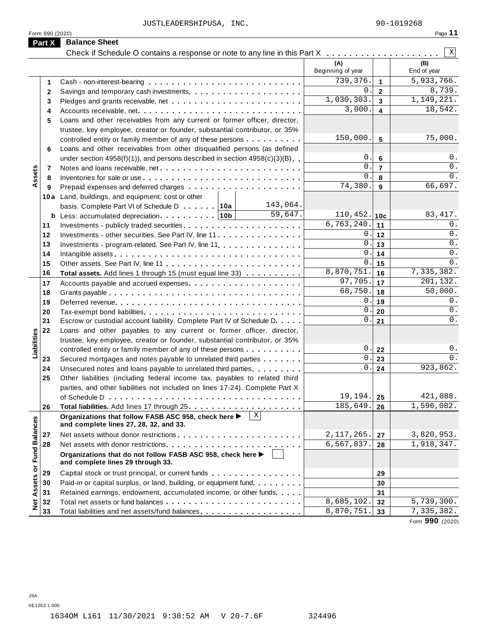|                      | Form 990 (2020) | JUSTLEADERSHIPUSA, INC.                                                                                                                                          |                          |                         | 90-1019268<br>Page 11 |
|----------------------|-----------------|------------------------------------------------------------------------------------------------------------------------------------------------------------------|--------------------------|-------------------------|-----------------------|
|                      | Part X          | <b>Balance Sheet</b>                                                                                                                                             |                          |                         |                       |
|                      |                 |                                                                                                                                                                  |                          |                         | X                     |
|                      |                 |                                                                                                                                                                  | (A)<br>Beginning of year |                         | (B)<br>End of year    |
|                      | 1               |                                                                                                                                                                  | 739,376.                 | $\mathbf{1}$            | 5,933,766.            |
|                      | 2               |                                                                                                                                                                  | 0                        | $\overline{2}$          | 8,739.                |
|                      | 3               |                                                                                                                                                                  | 1,030,303.               | $\overline{\mathbf{3}}$ | 1,149,221.            |
|                      | 4               | Accounts receivable, net                                                                                                                                         | 3,000                    | $\overline{\mathbf{4}}$ | 18,542.               |
|                      | 5               | Loans and other receivables from any current or former officer, director,                                                                                        |                          |                         |                       |
|                      |                 | trustee, key employee, creator or founder, substantial contributor, or 35%                                                                                       |                          |                         |                       |
|                      |                 | controlled entity or family member of any of these persons                                                                                                       | 150,000.                 | 5                       | 75,000.               |
|                      | 6               | Loans and other receivables from other disqualified persons (as defined                                                                                          |                          |                         |                       |
|                      |                 | under section $4958(f)(1)$ , and persons described in section $4958(c)(3)(B)$                                                                                    | 0.                       | $\bf 6$                 | 0.                    |
|                      | $\overline{7}$  | Notes and loans receivable, net                                                                                                                                  | $\mathsf{0}$ .           | $\overline{7}$          | 0.                    |
| Assets               | 8               |                                                                                                                                                                  | $\mathsf{O}$ .           | 8                       | 0.                    |
|                      | 9               |                                                                                                                                                                  | 74,380.                  | 9                       | 66,697.               |
|                      |                 | 10a Land, buildings, and equipment: cost or other                                                                                                                |                          |                         |                       |
|                      |                 | 143,064.<br>basis. Complete Part VI of Schedule D 10a<br>59,647.                                                                                                 | 110,452.                 |                         | 83, 417.              |
|                      | 11              |                                                                                                                                                                  | 6,763,240.               | 10c<br>11               | 0.                    |
|                      | 12              |                                                                                                                                                                  | $\mathbf{0}$ .           | 12                      | 0.                    |
|                      | 13              | Investments - other securities. See Part IV, line 11<br>Investments - program-related. See Part IV, line 11                                                      | $\mathbf{0}$             | 13                      | 0.                    |
|                      | 14              |                                                                                                                                                                  | 0                        | 14                      | 0.                    |
|                      | 15              |                                                                                                                                                                  | $\mathbf 0$              | 15                      | 0.                    |
|                      | 16              | Total assets. Add lines 1 through 15 (must equal line 33)                                                                                                        | 8,870,751                | 16                      | 7,335,382.            |
|                      | 17              |                                                                                                                                                                  | 97,705.                  | 17                      | 201,132.              |
|                      | 18              |                                                                                                                                                                  | 68,750                   | 18                      | 50,000.               |
|                      | 19              |                                                                                                                                                                  | $\mathbf{0}$             | 19                      | 0.                    |
|                      | 20              |                                                                                                                                                                  | $\mathsf{O}$             | 20                      | 0.                    |
|                      | 21              | Escrow or custodial account liability. Complete Part IV of Schedule D.                                                                                           | 0.                       | 21                      | 0.                    |
|                      | 22              | Loans and other payables to any current or former officer, director,                                                                                             |                          |                         |                       |
|                      |                 | trustee, key employee, creator or founder, substantial contributor, or 35%                                                                                       |                          |                         |                       |
| Liabilities          |                 | controlled entity or family member of any of these persons                                                                                                       | 0.                       | 22                      | 0.                    |
|                      | 23              | Secured mortgages and notes payable to unrelated third parties                                                                                                   | 0.                       | 23                      | 0.                    |
|                      | 24              | Unsecured notes and loans payable to unrelated third parties.                                                                                                    | $\overline{0}$ .         | 24                      | 923,862.              |
|                      | 25              | Other liabilities (including federal income tax, payables to related third                                                                                       |                          |                         |                       |
|                      |                 | parties, and other liabilities not included on lines 17-24). Complete Part X                                                                                     | 19,194.                  |                         | 421,088.              |
|                      | 26              |                                                                                                                                                                  | 185,649.                 | 25<br>26                | 1,596,082.            |
|                      |                 | Organizations that follow FASB ASC 958, check here $\blacktriangleright \begin{array}{c} \perp \mathbb{X} \end{array}$<br>and complete lines 27, 28, 32, and 33. |                          |                         |                       |
|                      | 27              |                                                                                                                                                                  | 2, 117, 265.             | 27                      | 3,820,953.            |
|                      | 28              |                                                                                                                                                                  | 6,567,837.               | 28                      | 1,918,347.            |
| <b>Fund Balances</b> |                 | Organizations that do not follow FASB ASC 958, check here ▶<br>and complete lines 29 through 33.                                                                 |                          |                         |                       |
| Assets or            | 29              | Capital stock or trust principal, or current funds                                                                                                               |                          | 29                      |                       |
|                      | 30              | Paid-in or capital surplus, or land, building, or equipment fund.                                                                                                |                          | 30                      |                       |
|                      | 31              | Retained earnings, endowment, accumulated income, or other funds                                                                                                 |                          | 31                      |                       |
| $\frac{1}{2}$        | 32              |                                                                                                                                                                  | 8,685,102                | 32                      | 5,739,300.            |
|                      | 33              | Total liabilities and net assets/fund balances                                                                                                                   | 8,870,751                | 33                      | 7,335,382.            |
|                      |                 |                                                                                                                                                                  |                          |                         | Form 990 (2020)       |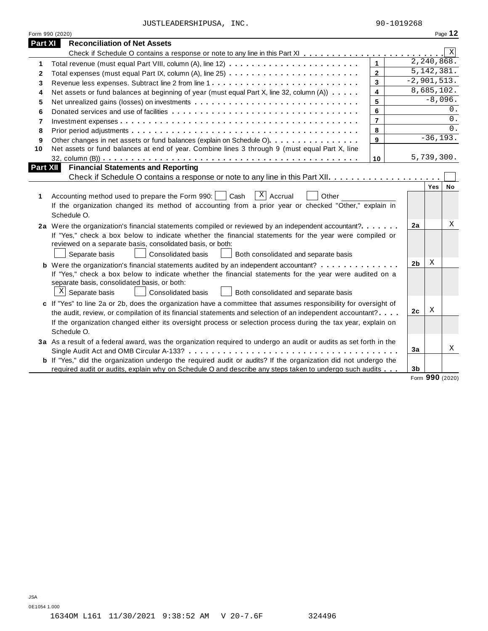JUSTLEADERSHIPUSA, INC. 90-1019268

 $\overline{\phantom{a}}$ 

|                | Form 990 (2020)                                                                                                                                                                                                                                                |                         |                |               | Page 12 |
|----------------|----------------------------------------------------------------------------------------------------------------------------------------------------------------------------------------------------------------------------------------------------------------|-------------------------|----------------|---------------|---------|
| <b>Part XI</b> | <b>Reconciliation of Net Assets</b>                                                                                                                                                                                                                            |                         |                |               |         |
|                |                                                                                                                                                                                                                                                                |                         |                |               | X       |
| 1              |                                                                                                                                                                                                                                                                | $\mathbf{1}$            |                | 2,240,868.    |         |
| 2              | Total expenses (must equal Part IX, column (A), line 25)                                                                                                                                                                                                       | $\overline{2}$          |                | 5,142,381.    |         |
| 3              | Revenue less expenses. Subtract line 2 from line 1                                                                                                                                                                                                             | $\overline{3}$          |                | $-2,901,513.$ |         |
| 4              | Net assets or fund balances at beginning of year (must equal Part X, line 32, column (A))                                                                                                                                                                      | $\overline{\mathbf{4}}$ |                | 8,685,102.    |         |
| 5              |                                                                                                                                                                                                                                                                | 5                       |                | $-8,096.$     |         |
| 6              |                                                                                                                                                                                                                                                                | 6                       |                |               | 0.      |
| 7              |                                                                                                                                                                                                                                                                | $\overline{7}$          |                |               | 0.      |
| 8              |                                                                                                                                                                                                                                                                | 8                       |                |               | 0.      |
| 9              | Other changes in net assets or fund balances (explain on Schedule O).                                                                                                                                                                                          | 9                       |                | $-36, 193.$   |         |
| 10             | Net assets or fund balances at end of year. Combine lines 3 through 9 (must equal Part X, line                                                                                                                                                                 |                         |                |               |         |
|                |                                                                                                                                                                                                                                                                | 10                      |                | 5,739,300.    |         |
| Part XII       | <b>Financial Statements and Reporting</b>                                                                                                                                                                                                                      |                         |                |               |         |
|                |                                                                                                                                                                                                                                                                |                         |                |               |         |
| 1              | $\overline{X}$ Accrual<br>Accounting method used to prepare the Form 990:<br>Cash<br>Other<br>If the organization changed its method of accounting from a prior year or checked "Other," explain in<br>Schedule O.                                             |                         |                | Yes           | No      |
|                | 2a Were the organization's financial statements compiled or reviewed by an independent accountant?<br>If "Yes," check a box below to indicate whether the financial statements for the year were compiled or                                                   |                         | 2a             |               | Χ       |
|                | reviewed on a separate basis, consolidated basis, or both:<br>Separate basis<br><b>Consolidated basis</b><br>Both consolidated and separate basis                                                                                                              |                         |                |               |         |
|                | <b>b</b> Were the organization's financial statements audited by an independent accountant?                                                                                                                                                                    |                         | 2 <sub>b</sub> | Χ             |         |
|                | If "Yes," check a box below to indicate whether the financial statements for the year were audited on a<br>separate basis, consolidated basis, or both:<br>$\mathbf{x}$<br>Separate basis<br><b>Consolidated basis</b><br>Both consolidated and separate basis |                         |                |               |         |
|                | c If "Yes" to line 2a or 2b, does the organization have a committee that assumes responsibility for oversight of                                                                                                                                               |                         |                |               |         |
|                | the audit, review, or compilation of its financial statements and selection of an independent accountant?                                                                                                                                                      |                         | 2 <sub>c</sub> | Χ             |         |
|                | If the organization changed either its oversight process or selection process during the tax year, explain on<br>Schedule O.                                                                                                                                   |                         |                |               |         |
|                | 3a As a result of a federal award, was the organization required to undergo an audit or audits as set forth in the                                                                                                                                             |                         | 3a             |               | X       |
|                | <b>b</b> If "Yes," did the organization undergo the required audit or audits? If the organization did not undergo the                                                                                                                                          |                         |                |               |         |

Form **990** (2020)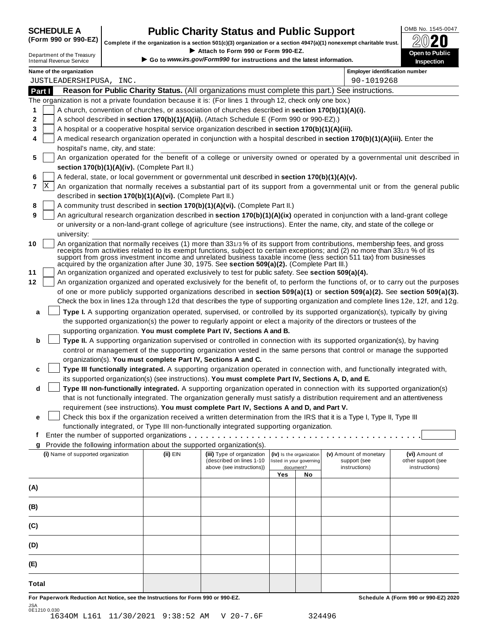## **CHEDULE A Public Charity Status and Public Support**  $\frac{100\text{dB No. }1545-0047}{000\text{dB No.}}$

(Form 990 or 990-EZ) complete if the organization is a section 501(c)(3) organization or a section 4947(a)(1) nonexempt charitable trust.  $2020$ 

|        |                                                               |                                                            | Complete if the organization is a section 501(c)(3) organization or a section 4947(a)(1) nonexempt charitable trust.                                                                                  |     |                                                      |                                                                                                                                                                                                                                                           | ZWŁU                                                                                                                             |
|--------|---------------------------------------------------------------|------------------------------------------------------------|-------------------------------------------------------------------------------------------------------------------------------------------------------------------------------------------------------|-----|------------------------------------------------------|-----------------------------------------------------------------------------------------------------------------------------------------------------------------------------------------------------------------------------------------------------------|----------------------------------------------------------------------------------------------------------------------------------|
|        | Department of the Treasury<br><b>Internal Revenue Service</b> |                                                            | Attach to Form 990 or Form 990-EZ.<br>Go to www.irs.gov/Form990 for instructions and the latest information.                                                                                          |     |                                                      |                                                                                                                                                                                                                                                           | Open to Public<br><b>Inspection</b>                                                                                              |
|        | Name of the organization                                      |                                                            |                                                                                                                                                                                                       |     |                                                      | <b>Employer identification number</b>                                                                                                                                                                                                                     |                                                                                                                                  |
|        | JUSTLEADERSHIPUSA, INC.                                       |                                                            |                                                                                                                                                                                                       |     |                                                      | 90-1019268                                                                                                                                                                                                                                                |                                                                                                                                  |
| Part I |                                                               |                                                            |                                                                                                                                                                                                       |     |                                                      | Reason for Public Charity Status. (All organizations must complete this part.) See instructions.                                                                                                                                                          |                                                                                                                                  |
|        |                                                               |                                                            | The organization is not a private foundation because it is: (For lines 1 through 12, check only one box.)                                                                                             |     |                                                      |                                                                                                                                                                                                                                                           |                                                                                                                                  |
| 1      |                                                               |                                                            | A church, convention of churches, or association of churches described in section 170(b)(1)(A)(i).                                                                                                    |     |                                                      |                                                                                                                                                                                                                                                           |                                                                                                                                  |
| 2      |                                                               |                                                            | A school described in section 170(b)(1)(A)(ii). (Attach Schedule E (Form 990 or 990-EZ).)                                                                                                             |     |                                                      |                                                                                                                                                                                                                                                           |                                                                                                                                  |
| 3      |                                                               |                                                            | A hospital or a cooperative hospital service organization described in section 170(b)(1)(A)(iii).                                                                                                     |     |                                                      |                                                                                                                                                                                                                                                           |                                                                                                                                  |
| 4      |                                                               |                                                            |                                                                                                                                                                                                       |     |                                                      | A medical research organization operated in conjunction with a hospital described in section 170(b)(1)(A)(iii). Enter the                                                                                                                                 |                                                                                                                                  |
| 5      | hospital's name, city, and state:                             |                                                            |                                                                                                                                                                                                       |     |                                                      |                                                                                                                                                                                                                                                           | An organization operated for the benefit of a college or university owned or operated by a governmental unit described in        |
|        |                                                               | section 170(b)(1)(A)(iv). (Complete Part II.)              |                                                                                                                                                                                                       |     |                                                      |                                                                                                                                                                                                                                                           |                                                                                                                                  |
| 6      |                                                               |                                                            | A federal, state, or local government or governmental unit described in section 170(b)(1)(A)(v).                                                                                                      |     |                                                      |                                                                                                                                                                                                                                                           |                                                                                                                                  |
| 7      | x                                                             |                                                            |                                                                                                                                                                                                       |     |                                                      |                                                                                                                                                                                                                                                           | An organization that normally receives a substantial part of its support from a governmental unit or from the general public     |
|        |                                                               | described in section 170(b)(1)(A)(vi). (Complete Part II.) |                                                                                                                                                                                                       |     |                                                      |                                                                                                                                                                                                                                                           |                                                                                                                                  |
| 8      |                                                               |                                                            | A community trust described in section 170(b)(1)(A)(vi). (Complete Part II.)                                                                                                                          |     |                                                      |                                                                                                                                                                                                                                                           |                                                                                                                                  |
| 9      |                                                               |                                                            |                                                                                                                                                                                                       |     |                                                      | An agricultural research organization described in section 170(b)(1)(A)(ix) operated in conjunction with a land-grant college                                                                                                                             |                                                                                                                                  |
|        |                                                               |                                                            |                                                                                                                                                                                                       |     |                                                      | or university or a non-land-grant college of agriculture (see instructions). Enter the name, city, and state of the college or                                                                                                                            |                                                                                                                                  |
|        | university:                                                   |                                                            |                                                                                                                                                                                                       |     |                                                      |                                                                                                                                                                                                                                                           |                                                                                                                                  |
| 10     |                                                               |                                                            |                                                                                                                                                                                                       |     |                                                      | An organization that normally receives (1) more than 331/3% of its support from contributions, membership fees, and gross<br>receipts from activities related to its exempt functions, subject to certain exceptions; and (2) no more than 331/3 % of its |                                                                                                                                  |
|        |                                                               |                                                            |                                                                                                                                                                                                       |     |                                                      | support from gross investment income and unrelated business taxable income (less section 511 tax) from businesses                                                                                                                                         |                                                                                                                                  |
| 11     |                                                               |                                                            | acquired by the organization after June 30, 1975. See section 509(a)(2). (Complete Part III.)<br>An organization organized and operated exclusively to test for public safety. See section 509(a)(4). |     |                                                      |                                                                                                                                                                                                                                                           |                                                                                                                                  |
| 12     |                                                               |                                                            |                                                                                                                                                                                                       |     |                                                      |                                                                                                                                                                                                                                                           | An organization organized and operated exclusively for the benefit of, to perform the functions of, or to carry out the purposes |
|        |                                                               |                                                            |                                                                                                                                                                                                       |     |                                                      |                                                                                                                                                                                                                                                           | of one or more publicly supported organizations described in section 509(a)(1) or section 509(a)(2). See section 509(a)(3).      |
|        |                                                               |                                                            |                                                                                                                                                                                                       |     |                                                      |                                                                                                                                                                                                                                                           | Check the box in lines 12a through 12d that describes the type of supporting organization and complete lines 12e, 12f, and 12g.  |
| a      |                                                               |                                                            |                                                                                                                                                                                                       |     |                                                      | Type I. A supporting organization operated, supervised, or controlled by its supported organization(s), typically by giving                                                                                                                               |                                                                                                                                  |
|        |                                                               |                                                            |                                                                                                                                                                                                       |     |                                                      | the supported organization(s) the power to regularly appoint or elect a majority of the directors or trustees of the                                                                                                                                      |                                                                                                                                  |
|        |                                                               |                                                            | supporting organization. You must complete Part IV, Sections A and B.                                                                                                                                 |     |                                                      |                                                                                                                                                                                                                                                           |                                                                                                                                  |
| b      |                                                               |                                                            |                                                                                                                                                                                                       |     |                                                      | Type II. A supporting organization supervised or controlled in connection with its supported organization(s), by having                                                                                                                                   |                                                                                                                                  |
|        |                                                               |                                                            |                                                                                                                                                                                                       |     |                                                      | control or management of the supporting organization vested in the same persons that control or manage the supported                                                                                                                                      |                                                                                                                                  |
|        |                                                               |                                                            | organization(s). You must complete Part IV, Sections A and C.                                                                                                                                         |     |                                                      |                                                                                                                                                                                                                                                           |                                                                                                                                  |
| c      |                                                               |                                                            |                                                                                                                                                                                                       |     |                                                      | Type III functionally integrated. A supporting organization operated in connection with, and functionally integrated with,                                                                                                                                |                                                                                                                                  |
| d      |                                                               |                                                            | its supported organization(s) (see instructions). You must complete Part IV, Sections A, D, and E.                                                                                                    |     |                                                      | Type III non-functionally integrated. A supporting organization operated in connection with its supported organization(s)                                                                                                                                 |                                                                                                                                  |
|        |                                                               |                                                            |                                                                                                                                                                                                       |     |                                                      | that is not functionally integrated. The organization generally must satisfy a distribution requirement and an attentiveness                                                                                                                              |                                                                                                                                  |
|        |                                                               |                                                            | requirement (see instructions). You must complete Part IV, Sections A and D, and Part V.                                                                                                              |     |                                                      |                                                                                                                                                                                                                                                           |                                                                                                                                  |
| е      |                                                               |                                                            |                                                                                                                                                                                                       |     |                                                      | Check this box if the organization received a written determination from the IRS that it is a Type I, Type II, Type III                                                                                                                                   |                                                                                                                                  |
|        |                                                               |                                                            | functionally integrated, or Type III non-functionally integrated supporting organization.                                                                                                             |     |                                                      |                                                                                                                                                                                                                                                           |                                                                                                                                  |
| f      |                                                               |                                                            |                                                                                                                                                                                                       |     |                                                      |                                                                                                                                                                                                                                                           |                                                                                                                                  |
| g      |                                                               |                                                            | Provide the following information about the supported organization(s).                                                                                                                                |     |                                                      |                                                                                                                                                                                                                                                           |                                                                                                                                  |
|        | (i) Name of supported organization                            | (ii) EIN                                                   | (iii) Type of organization<br>(described on lines 1-10                                                                                                                                                |     | (iv) Is the organization<br>listed in your governing | (v) Amount of monetary<br>support (see                                                                                                                                                                                                                    | (vi) Amount of<br>other support (see                                                                                             |
|        |                                                               |                                                            | above (see instructions))                                                                                                                                                                             |     | document?                                            | instructions)                                                                                                                                                                                                                                             | instructions)                                                                                                                    |
|        |                                                               |                                                            |                                                                                                                                                                                                       | Yes | No                                                   |                                                                                                                                                                                                                                                           |                                                                                                                                  |
| (A)    |                                                               |                                                            |                                                                                                                                                                                                       |     |                                                      |                                                                                                                                                                                                                                                           |                                                                                                                                  |
|        |                                                               |                                                            |                                                                                                                                                                                                       |     |                                                      |                                                                                                                                                                                                                                                           |                                                                                                                                  |
| (B)    |                                                               |                                                            |                                                                                                                                                                                                       |     |                                                      |                                                                                                                                                                                                                                                           |                                                                                                                                  |
| (C)    |                                                               |                                                            |                                                                                                                                                                                                       |     |                                                      |                                                                                                                                                                                                                                                           |                                                                                                                                  |
|        |                                                               |                                                            |                                                                                                                                                                                                       |     |                                                      |                                                                                                                                                                                                                                                           |                                                                                                                                  |
| (D)    |                                                               |                                                            |                                                                                                                                                                                                       |     |                                                      |                                                                                                                                                                                                                                                           |                                                                                                                                  |
|        |                                                               |                                                            |                                                                                                                                                                                                       |     |                                                      |                                                                                                                                                                                                                                                           |                                                                                                                                  |
| (E)    |                                                               |                                                            |                                                                                                                                                                                                       |     |                                                      |                                                                                                                                                                                                                                                           |                                                                                                                                  |
|        |                                                               |                                                            |                                                                                                                                                                                                       |     |                                                      |                                                                                                                                                                                                                                                           |                                                                                                                                  |
| Total  |                                                               |                                                            |                                                                                                                                                                                                       |     |                                                      |                                                                                                                                                                                                                                                           |                                                                                                                                  |

JSA 0E1210 0.030 1634OM L161 11/30/2021 9:38:52 AM V 20-7.6F 324496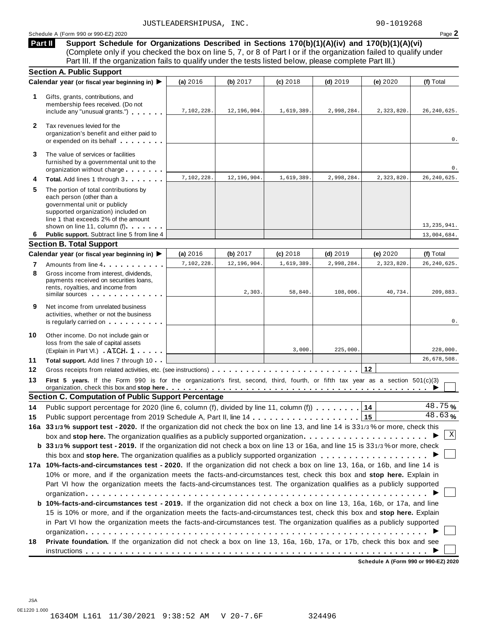**Support Schedule for Organizations Described in Sections 170(b)(1)(A)(iv) and 170(b)(1)(A)(vi)** (Complete only if you checked the box on line 5, 7, or 8 of Part I or if the organization failed to qualify under Part III. If the organization fails to qualify under the tests listed below, please complete Part III.) **Part II**

|              | <b>Section A. Public Support</b>                                                                                                                                                                |            |             |            |            |            |               |
|--------------|-------------------------------------------------------------------------------------------------------------------------------------------------------------------------------------------------|------------|-------------|------------|------------|------------|---------------|
|              | Calendar year (or fiscal year beginning in) ▶                                                                                                                                                   | (a) 2016   | (b) $2017$  | $(c)$ 2018 | $(d)$ 2019 | (e) $2020$ | (f) Total     |
| 1            | Gifts, grants, contributions, and<br>membership fees received. (Do not<br>include any "unusual grants.")                                                                                        | 7,102,228. | 12,196,904. | 1,619,389. | 2,998,284. | 2,323,820. | 26, 240, 625. |
| $\mathbf{2}$ | Tax revenues levied for the<br>organization's benefit and either paid to<br>or expended on its behalf                                                                                           |            |             |            |            |            | 0.            |
| 3            | The value of services or facilities<br>furnished by a governmental unit to the<br>organization without charge                                                                                   |            |             |            |            |            | 0.            |
| 4            | Total. Add lines 1 through 3                                                                                                                                                                    | 7,102,228. | 12,196,904. | 1,619,389  | 2,998,284. | 2,323,820  | 26, 240, 625. |
| 5            | The portion of total contributions by<br>each person (other than a<br>governmental unit or publicly<br>supported organization) included on<br>line 1 that exceeds 2% of the amount              |            |             |            |            |            | 13, 235, 941. |
| 6            | shown on line 11, column (f)<br>Public support. Subtract line 5 from line 4                                                                                                                     |            |             |            |            |            | 13,004,684.   |
|              | <b>Section B. Total Support</b>                                                                                                                                                                 |            |             |            |            |            |               |
|              | Calendar year (or fiscal year beginning in) ▶                                                                                                                                                   | (a) 2016   | (b) 2017    | (c) 2018   | $(d)$ 2019 | (e) 2020   | (f) Total     |
| 7            | Amounts from line 4                                                                                                                                                                             | 7,102,228. | 12,196,904. | 1,619,389  | 2,998,284. | 2,323,820  | 26, 240, 625. |
| 8            | Gross income from interest, dividends.<br>payments received on securities loans,<br>rents, royalties, and income from<br>similar sources experiences                                            |            | 2,303.      | 58,840.    | 108,006.   | 40,734.    | 209,883.      |
| 9            | Net income from unrelated business<br>activities, whether or not the business<br>is regularly carried on the control of the set of the set of the set of the set of the set of the set of the s |            |             |            |            |            | 0.            |
| 10           | Other income. Do not include gain or<br>loss from the sale of capital assets<br>(Explain in Part VI.) ATCH 1                                                                                    |            |             | 3,000      | 225,000.   |            | 228,000.      |
| 11           | Total support. Add lines 7 through 10                                                                                                                                                           |            |             |            |            |            | 26,678,508.   |
| 12           | Gross receipts from related activities, etc. (see instructions)                                                                                                                                 |            |             |            |            | 12         |               |
| 13           | First 5 years. If the Form 990 is for the organization's first, second, third, fourth, or fifth tax year as a section 501(c)(3)                                                                 |            |             |            |            |            |               |
|              | <b>Section C. Computation of Public Support Percentage</b>                                                                                                                                      |            |             |            |            |            |               |
| 14           | Public support percentage for 2020 (line 6, column (f), divided by line 11, column (f)                                                                                                          |            |             |            |            | 14         | 48.75%        |
| 15           |                                                                                                                                                                                                 |            |             |            |            |            | 48.63%        |
|              | 16a 331/3% support test - 2020. If the organization did not check the box on line 13, and line 14 is 331/3% or more, check this                                                                 |            |             |            |            |            |               |
|              | box and stop here. The organization qualifies as a publicly supported organization                                                                                                              |            |             |            |            |            | Χ             |
|              | b 331/3% support test - 2019. If the organization did not check a box on line 13 or 16a, and line 15 is 331/3% or more, check                                                                   |            |             |            |            |            |               |
|              |                                                                                                                                                                                                 |            |             |            |            |            |               |
|              | 17a 10%-facts-and-circumstances test - 2020. If the organization did not check a box on line 13, 16a, or 16b, and line 14 is                                                                    |            |             |            |            |            |               |
|              | 10% or more, and if the organization meets the facts-and-circumstances test, check this box and stop here. Explain in                                                                           |            |             |            |            |            |               |
|              | Part VI how the organization meets the facts-and-circumstances test. The organization qualifies as a publicly supported                                                                         |            |             |            |            |            |               |
|              |                                                                                                                                                                                                 |            |             |            |            |            |               |
|              | <b>b 10%-facts-and-circumstances test - 2019.</b> If the organization did not check a box on line 13, 16a, 16b, or 17a, and line                                                                |            |             |            |            |            |               |
|              | 15 is 10% or more, and if the organization meets the facts-and-circumstances test, check this box and stop here. Explain                                                                        |            |             |            |            |            |               |
|              | in Part VI how the organization meets the facts-and-circumstances test. The organization qualifies as a publicly supported                                                                      |            |             |            |            |            |               |
|              |                                                                                                                                                                                                 |            |             |            |            |            |               |
|              |                                                                                                                                                                                                 |            |             |            |            |            |               |
| 18           | Private foundation. If the organization did not check a box on line 13, 16a, 16b, 17a, or 17b, check this box and see                                                                           |            |             |            |            |            |               |

**Schedule A (Form 990 or 990-EZ) 2020**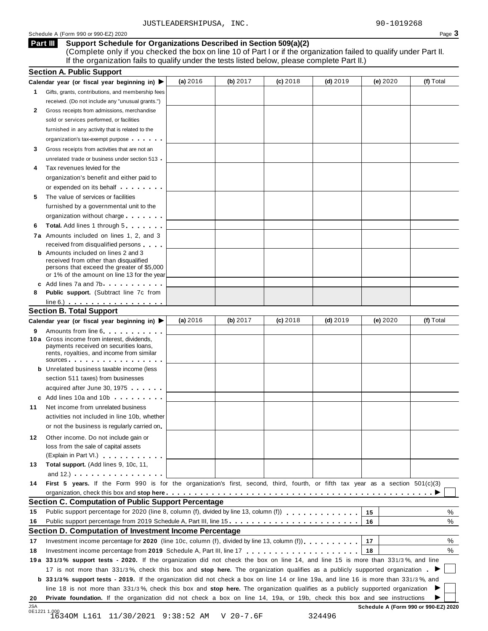#### Schedule A (Form 990 or 990-EZ) 2020 Page 3

#### **Support Schedule for Organizations Described in Section 509(a)(2) Part III**

(Complete only if you checked the box on line 10 of Part I or if the organization failed to qualify under Part II. If the organization fails to qualify under the tests listed below, please complete Part II.)

|              | <b>Section A. Public Support</b>                                                                                                                                                                                                                                      |            |             |            |            |          |                                      |
|--------------|-----------------------------------------------------------------------------------------------------------------------------------------------------------------------------------------------------------------------------------------------------------------------|------------|-------------|------------|------------|----------|--------------------------------------|
|              | Calendar year (or fiscal year beginning in)                                                                                                                                                                                                                           | (a) $2016$ | (b) $2017$  | $(c)$ 2018 | $(d)$ 2019 | (e) 2020 | (f) Total                            |
| 1            | Gifts, grants, contributions, and membership fees                                                                                                                                                                                                                     |            |             |            |            |          |                                      |
|              | received. (Do not include any "unusual grants.")                                                                                                                                                                                                                      |            |             |            |            |          |                                      |
| $\mathbf{2}$ | Gross receipts from admissions, merchandise                                                                                                                                                                                                                           |            |             |            |            |          |                                      |
|              | sold or services performed, or facilities                                                                                                                                                                                                                             |            |             |            |            |          |                                      |
|              | furnished in any activity that is related to the                                                                                                                                                                                                                      |            |             |            |            |          |                                      |
|              | organization's tax-exempt purpose                                                                                                                                                                                                                                     |            |             |            |            |          |                                      |
| 3            | Gross receipts from activities that are not an                                                                                                                                                                                                                        |            |             |            |            |          |                                      |
|              | unrelated trade or business under section 513                                                                                                                                                                                                                         |            |             |            |            |          |                                      |
| 4            | Tax revenues levied for the                                                                                                                                                                                                                                           |            |             |            |            |          |                                      |
|              | organization's benefit and either paid to                                                                                                                                                                                                                             |            |             |            |            |          |                                      |
|              | or expended on its behalf <b>contains the set of the set of the set of the set of the set of the set of the set of the set of the set of the set of the set of the set of the set of the set of the set of the set of the set of</b>                                  |            |             |            |            |          |                                      |
| 5            | The value of services or facilities                                                                                                                                                                                                                                   |            |             |            |            |          |                                      |
|              | furnished by a governmental unit to the                                                                                                                                                                                                                               |            |             |            |            |          |                                      |
|              | organization without charge                                                                                                                                                                                                                                           |            |             |            |            |          |                                      |
| 6            | <b>Total.</b> Add lines 1 through 5                                                                                                                                                                                                                                   |            |             |            |            |          |                                      |
|              | 7a Amounts included on lines 1, 2, and 3                                                                                                                                                                                                                              |            |             |            |            |          |                                      |
|              | received from disqualified persons                                                                                                                                                                                                                                    |            |             |            |            |          |                                      |
|              | <b>b</b> Amounts included on lines 2 and 3                                                                                                                                                                                                                            |            |             |            |            |          |                                      |
|              | received from other than disqualified                                                                                                                                                                                                                                 |            |             |            |            |          |                                      |
|              | persons that exceed the greater of \$5,000<br>or 1% of the amount on line 13 for the year                                                                                                                                                                             |            |             |            |            |          |                                      |
|              | c Add lines 7a and 7b                                                                                                                                                                                                                                                 |            |             |            |            |          |                                      |
| 8            | Public support. (Subtract line 7c from                                                                                                                                                                                                                                |            |             |            |            |          |                                      |
|              | $line 6.)$                                                                                                                                                                                                                                                            |            |             |            |            |          |                                      |
|              | <b>Section B. Total Support</b>                                                                                                                                                                                                                                       |            |             |            |            |          |                                      |
|              | Calendar year (or fiscal year beginning in)                                                                                                                                                                                                                           | (a) 2016   | (b) $2017$  | $(c)$ 2018 | $(d)$ 2019 | (e) 2020 | (f) Total                            |
| 9            | Amounts from line 6                                                                                                                                                                                                                                                   |            |             |            |            |          |                                      |
|              | 10 a Gross income from interest, dividends,<br>payments received on securities loans,<br>rents, royalties, and income from similar<br>sources                                                                                                                         |            |             |            |            |          |                                      |
|              | <b>b</b> Unrelated business taxable income (less                                                                                                                                                                                                                      |            |             |            |            |          |                                      |
|              | section 511 taxes) from businesses                                                                                                                                                                                                                                    |            |             |            |            |          |                                      |
|              | acquired after June 30, 1975                                                                                                                                                                                                                                          |            |             |            |            |          |                                      |
|              | c Add lines 10a and 10b                                                                                                                                                                                                                                               |            |             |            |            |          |                                      |
| 11           | Net income from unrelated business                                                                                                                                                                                                                                    |            |             |            |            |          |                                      |
|              | activities not included in line 10b, whether                                                                                                                                                                                                                          |            |             |            |            |          |                                      |
|              | or not the business is regularly carried on                                                                                                                                                                                                                           |            |             |            |            |          |                                      |
|              |                                                                                                                                                                                                                                                                       |            |             |            |            |          |                                      |
| 12           | Other income. Do not include gain or                                                                                                                                                                                                                                  |            |             |            |            |          |                                      |
|              | loss from the sale of capital assets<br>(Explain in Part VI.) Canada and The Contract of the Contract of The Contract of The Contract of The Contract of The Contract of The Contract of The Contract of The Contract of The Contract of The Contract of The Contract |            |             |            |            |          |                                      |
| 13           | Total support. (Add lines 9, 10c, 11,                                                                                                                                                                                                                                 |            |             |            |            |          |                                      |
|              | and 12.) $\ldots$ $\ldots$ $\ldots$ $\ldots$ $\ldots$                                                                                                                                                                                                                 |            |             |            |            |          |                                      |
| 14           | First 5 years. If the Form 990 is for the organization's first, second, third, fourth, or fifth tax year as a section 501(c)(3)                                                                                                                                       |            |             |            |            |          |                                      |
|              |                                                                                                                                                                                                                                                                       |            |             |            |            |          |                                      |
|              | <b>Section C. Computation of Public Support Percentage</b>                                                                                                                                                                                                            |            |             |            |            |          |                                      |
| 15           |                                                                                                                                                                                                                                                                       |            |             |            |            | 15       | %                                    |
| 16           | Public support percentage from 2019 Schedule A, Part III, line 15.                                                                                                                                                                                                    |            |             |            |            | 16       | %                                    |
|              | Section D. Computation of Investment Income Percentage                                                                                                                                                                                                                |            |             |            |            |          |                                      |
| 17           | Investment income percentage for 2020 (line 10c, column (f), divided by line 13, column (f)                                                                                                                                                                           |            |             |            |            | 17       | %                                    |
| 18           |                                                                                                                                                                                                                                                                       |            |             |            |            | 18       | %                                    |
|              | 19a 331/3% support tests - 2020. If the organization did not check the box on line 14, and line 15 is more than 331/3%, and line                                                                                                                                      |            |             |            |            |          |                                      |
|              |                                                                                                                                                                                                                                                                       |            |             |            |            |          |                                      |
|              | 17 is not more than 331/3%, check this box and stop here. The organization qualifies as a publicly supported organization.                                                                                                                                            |            |             |            |            |          |                                      |
|              | b 331/3% support tests - 2019. If the organization did not check a box on line 14 or line 19a, and line 16 is more than 331/3%, and                                                                                                                                   |            |             |            |            |          |                                      |
|              | line 18 is not more than 331/3%, check this box and stop here. The organization qualifies as a publicly supported organization                                                                                                                                        |            |             |            |            |          |                                      |
| 20<br>JSA    | Private foundation. If the organization did not check a box on line 14, 19a, or 19b, check this box and see instructions                                                                                                                                              |            |             |            |            |          | Schedule A (Form 990 or 990-EZ) 2020 |
|              | 0E1221 1.000<br>16340M L161 11/30/2021 9:38:52 AM                                                                                                                                                                                                                     |            | $V$ 20-7.6F |            | 324496     |          |                                      |
|              |                                                                                                                                                                                                                                                                       |            |             |            |            |          |                                      |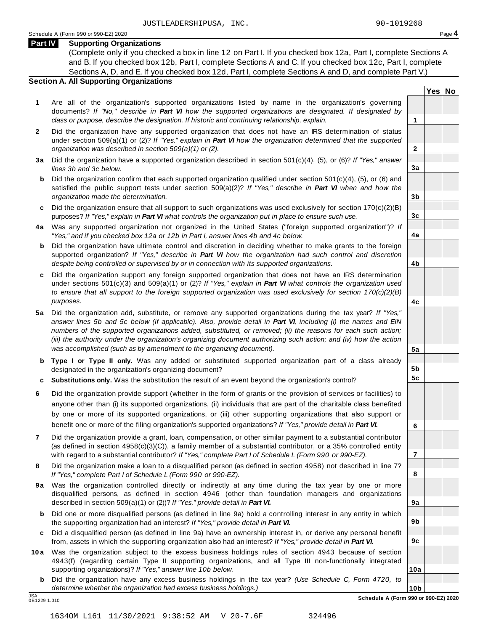**Yes No**

**2**

**3a**

**3b**

**3c**

**4a**

**4b**

**4c**

**5a**

**5b 5c**

**6**

**7**

**8**

**9a**

**9b**

**9c**

**10a**

#### **Part IV Supporting Organizations**

(Complete only if you checked a box in line 12 on Part I. If you checked box 12a, Part I, complete Sections A and B. If you checked box 12b, Part I, complete Sections A and C. If you checked box 12c, Part I, complete Sections A, D, and E. If you checked box 12d, Part I, complete Sections A and D, and complete Part V.)

#### **Section A. All Supporting Organizations**

- **1** Are all of the organization's supported organizations listed by name in the organization's governing documents? *If "No," describe in Part VI how the supported organizations are designated. If designated by class or purpose, describe the designation. If historic and continuing relationship, explain.* **1**
- **2** Did the organization have any supported organization that does not have an IRS determination of status under section 509(a)(1) or (2)? *If"Yes," explain in Part VI how the organization determined that the supported organization was described in section 509(a)(1) or (2).*
- **3 a** Did the organization have a supported organization described in section 501(c)(4), (5), or (6)? *If "Yes," answer lines 3b and 3c below.*
- **b** Did the organization confirm that each supported organization qualified under section 501(c)(4), (5), or (6) and | satisfied the public support tests under section 509(a)(2)? *If "Yes," describe in Part VI when and how the organization made the determination.*
- **c** Did the organization ensure that all support to such organizations was used exclusively for section 170(c)(2)(B) purposes? *If"Yes," explain in Part VI what controls the organization put in place to ensure such use.*
- **4 a** Was any supported organization not organized in the United States ("foreign supported organization")? *If "Yes," and if you checked box 12a or 12b in Part I, answer lines 4b and 4c below.*
- **b** Did the organization have ultimate control and discretion in deciding whether to make grants to the foreign | supported organization? *If "Yes," describe in Part VI how the organization had such control and discretion despite being controlled or supervised by or in connection with its supported organizations.*
- **c** Did the organization support any foreign supported organization that does not have an IRS determination | under sections 501(c)(3) and 509(a)(1) or (2)? *If "Yes," explain in Part VI what controls the organization used to ensure that all support to the foreign supported organization was used exclusively for section 170(c)(2)(B) purposes.*
- **5 a** Did the organization add, substitute, or remove any supported organizations during the tax year? *If "Yes,"* answer lines 5b and 5c below (if applicable). Also, provide detail in Part VI, including (i) the names and EIN *numbers of the supported organizations added, substituted, or removed; (ii) the reasons for each such action;* (iii) the authority under the organization's organizing document authorizing such action; and (iv) how the action *was accomplished (such as by amendment to the organizing document).*
- **b Type I or Type II only.** Was any added or substituted supported organization part of a class already designated in the organization's organizing document?
- **c Substitutions only.** Was the substitution the result of an event beyond the organization's control?
- **6** Did the organization provide support (whether in the form of grants or the provision of services or facilities) to anyone other than (i) its supported organizations, (ii) individuals that are part of the charitable class benefited by one or more of its supported organizations, or (iii) other supporting organizations that also support or benefit one or more of the filing organization's supported organizations? *If"Yes," provide detail in Part VI.*
- **7** Did the organization provide a grant, loan, compensation, or other similar payment to a substantial contributor (as defined in section 4958(c)(3)(C)), a family member of a substantial contributor, or a 35% controlled entity with regard to a substantial contributor? *If"Yes," complete Part I of Schedule L (Form 990 or 990-EZ).*
- **8** Did the organization make a loan to a disqualified person (as defined in section 4958) not described in line 7? *If "Yes," complete Part I of Schedule L (Form 990 or 990-EZ).*
- **9a** Was the organization controlled directly or indirectly at any time during the tax year by one or more | disqualified persons, as defined in section 4946 (other than foundation managers and organizations described in section 509(a)(1) or (2))? *If"Yes," provide detail in Part VI.*
- **b** Did one or more disqualified persons (as defined in line 9a) hold a controlling interest in any entity in which | the supporting organization had an interest? *If"Yes," provide detail in Part VI.*
- **c** Did a disqualified person (as defined in line 9a) have an ownership interest in, or derive any personal benefit from, assets in which the supporting organization also had an interest? *If"Yes," provide detail in Part VI.*
- **10a** Was the organization subject to the excess business holdings rules of section 4943 because of section | 4943(f) (regarding certain Type II supporting organizations, and all Type III non-functionally integrated supporting organizations)? *If"Yes," answer line 10b below.*
	- **b** Did the organization have any excess business holdings in the tax year? *(Use Schedule C, Form 4720, to determine whether the organization had excess business holdings.)*

0E1229 1.010

**10b** JSA **Schedule A (Form 990 or 990-EZ) 2020**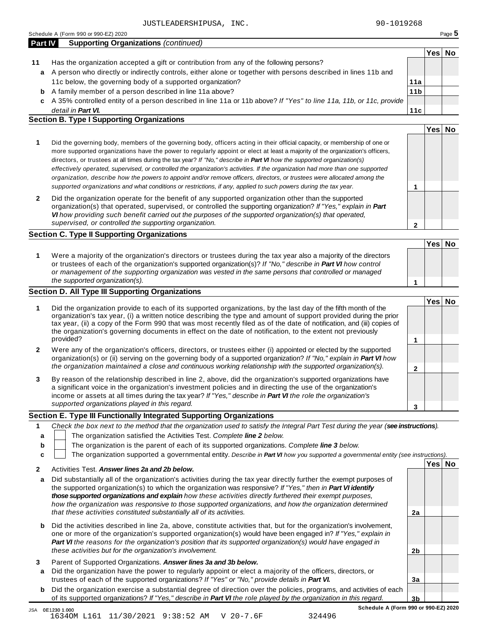**11c**

|         | Schedule A (Form 990 or 990-EZ) 2020                                                                             |                 |        | Page 5 |
|---------|------------------------------------------------------------------------------------------------------------------|-----------------|--------|--------|
| Part IV | <b>Supporting Organizations (continued)</b>                                                                      |                 |        |        |
|         |                                                                                                                  |                 | Yes∃No |        |
| 11      | Has the organization accepted a gift or contribution from any of the following persons?                          |                 |        |        |
|         | a A person who directly or indirectly controls, either alone or together with persons described in lines 11b and |                 |        |        |
|         | 11c below, the governing body of a supported organization?                                                       | 11a             |        |        |
|         | A family member of a person described in line 11a above?                                                         | 11 <sub>b</sub> |        |        |

- A family member of a person described in line 11a above? **b**
- A 35% controlled entity of a person described in line 11a or 11b above? *If"Yes" to line 11a, 11b, or 11c, provide* **c** *detail in Part VI.*

## **Section B. Type I Supporting Organizations**

|                                                                                                                                                                                                                                                                                                                                                                                                                                                                                                                                                                                                                                                                                                                                                                                 | Yes |  |
|---------------------------------------------------------------------------------------------------------------------------------------------------------------------------------------------------------------------------------------------------------------------------------------------------------------------------------------------------------------------------------------------------------------------------------------------------------------------------------------------------------------------------------------------------------------------------------------------------------------------------------------------------------------------------------------------------------------------------------------------------------------------------------|-----|--|
| Did the governing body, members of the governing body, officers acting in their official capacity, or membership of one or<br>more supported organizations have the power to regularly appoint or elect at least a majority of the organization's officers,<br>directors, or trustees at all times during the tax year? If "No," describe in <b>Part VI</b> how the supported organization(s)<br>effectively operated, supervised, or controlled the organization's activities. If the organization had more than one supported<br>organization, describe how the powers to appoint and/or remove officers, directors, or trustees were allocated among the<br>supported organizations and what conditions or restrictions, if any, applied to such powers during the tax year. |     |  |
| Did the organization operate for the benefit of any supported organization other than the supported<br>organization(s) that operated, supervised, or controlled the supporting organization? If "Yes," explain in Part<br>VI how providing such benefit carried out the purposes of the supported organization(s) that operated,<br>supervised, or controlled the supporting organization.                                                                                                                                                                                                                                                                                                                                                                                      |     |  |

#### **Section C. Type II Supporting Organizations**

**1 Yes No 1** Were a majority of the organization's directors or trustees during the tax year also a majority of the directors or trustees of each of the organization's supported organization(s)? *If"No," describe in Part VI how control or management of the supporting organization was vested in the same persons that controlled or managed the supported organization(s).*

#### **Section D. All Type III Supporting Organizations**

|              |                                                                                                                                                                                                                                                                                                                                                                                                                                                                                          | Yes⊺ |  |
|--------------|------------------------------------------------------------------------------------------------------------------------------------------------------------------------------------------------------------------------------------------------------------------------------------------------------------------------------------------------------------------------------------------------------------------------------------------------------------------------------------------|------|--|
|              | Did the organization provide to each of its supported organizations, by the last day of the fifth month of the<br>organization's tax year, (i) a written notice describing the type and amount of support provided during the prior<br>tax year, (ii) a copy of the Form 990 that was most recently filed as of the date of notification, and (iii) copies of<br>the organization's governing documents in effect on the date of notification, to the extent not previously<br>provided? |      |  |
| $\mathbf{2}$ | Were any of the organization's officers, directors, or trustees either (i) appointed or elected by the supported<br>organization(s) or (ii) serving on the governing body of a supported organization? If "No," explain in <b>Part VI</b> how<br>the organization maintained a close and continuous working relationship with the supported organization(s).                                                                                                                             |      |  |
| 3            | By reason of the relationship described in line 2, above, did the organization's supported organizations have<br>a significant voice in the organization's investment policies and in directing the use of the organization's<br>income or assets at all times during the tax year? If "Yes," describe in Part VI the role the organization's                                                                                                                                            |      |  |
|              | supported organizations played in this regard.                                                                                                                                                                                                                                                                                                                                                                                                                                           |      |  |

#### **Section E. Type III Functionally Integrated Supporting Organizations**

| Check the box next to the method that the organization used to satisfy the Integral Part Test during the year (see instructions). |          |  |
|-----------------------------------------------------------------------------------------------------------------------------------|----------|--|
| The organization satisfied the Activities Test. Complete line 2 below.                                                            |          |  |
| The organization is the parent of each of its supported organizations. Complete line 3 below.                                     |          |  |
| The organization supported a governmental entity. Describe in Part VI how you supported a governmental entity (see instructions). |          |  |
|                                                                                                                                   | `Yes∣ No |  |
| Activities Test. Answer lines 2a and 2b below.                                                                                    |          |  |

| a                 | Did substantially all of the organization's activities during the tax year directly further the exempt purposes of<br>the supported organization(s) to which the organization was responsive? If "Yes," then in Part VI identify<br>those supported organizations and explain how these activities directly furthered their exempt purposes,<br>how the organization was responsive to those supported organizations, and how the organization determined<br>that these activities constituted substantially all of its activities. | 2a             |  |
|-------------------|-------------------------------------------------------------------------------------------------------------------------------------------------------------------------------------------------------------------------------------------------------------------------------------------------------------------------------------------------------------------------------------------------------------------------------------------------------------------------------------------------------------------------------------|----------------|--|
| b                 | Did the activities described in line 2a, above, constitute activities that, but for the organization's involvement,<br>one or more of the organization's supported organization(s) would have been engaged in? If "Yes," explain in<br>Part VI the reasons for the organization's position that its supported organization(s) would have engaged in<br>these activities but for the organization's involvement.                                                                                                                     | 2b             |  |
| 3<br>$\mathbf{a}$ | Parent of Supported Organizations. Answer lines 3a and 3b below.<br>Did the organization have the power to regularly appoint or elect a majority of the officers, directors, or<br>trustees of each of the supported organizations? If "Yes" or "No," provide details in Part VI.                                                                                                                                                                                                                                                   | Зa             |  |
| b                 | Did the organization exercise a substantial degree of direction over the policies, programs, and activities of each<br>of its supported organizations? If "Yes," describe in Part VI the role played by the organization in this regard.                                                                                                                                                                                                                                                                                            | 3 <sub>b</sub> |  |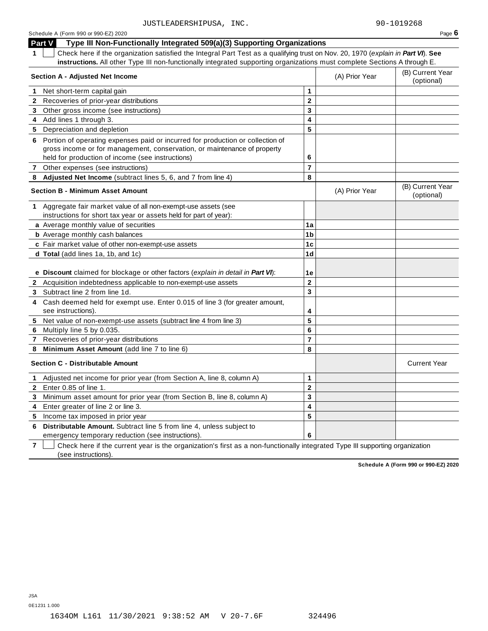|                 | Schedule A (Form 990 or 990-EZ) 2020                                                                                                 |                         |                | Page $6$                       |
|-----------------|--------------------------------------------------------------------------------------------------------------------------------------|-------------------------|----------------|--------------------------------|
|                 | Type III Non-Functionally Integrated 509(a)(3) Supporting Organizations<br><b>Part V</b>                                             |                         |                |                                |
| $\mathbf 1$     | Check here if the organization satisfied the Integral Part Test as a qualifying trust on Nov. 20, 1970 (explain in Part VI). See     |                         |                |                                |
|                 | instructions. All other Type III non-functionally integrated supporting organizations must complete Sections A through E.            |                         |                |                                |
|                 | Section A - Adjusted Net Income                                                                                                      |                         | (A) Prior Year | (B) Current Year<br>(optional) |
| 1.              | Net short-term capital gain                                                                                                          | 1                       |                |                                |
|                 | 2 Recoveries of prior-year distributions                                                                                             | $\mathbf 2$             |                |                                |
|                 | 3 Other gross income (see instructions)                                                                                              | 3                       |                |                                |
| 4               | Add lines 1 through 3.                                                                                                               | 4                       |                |                                |
|                 | 5 Depreciation and depletion                                                                                                         | 5                       |                |                                |
| 6               | Portion of operating expenses paid or incurred for production or collection of                                                       |                         |                |                                |
|                 | gross income or for management, conservation, or maintenance of property                                                             |                         |                |                                |
|                 | held for production of income (see instructions)                                                                                     | 6                       |                |                                |
|                 | 7 Other expenses (see instructions)                                                                                                  | $\overline{7}$          |                |                                |
| 8               | Adjusted Net Income (subtract lines 5, 6, and 7 from line 4)                                                                         | 8                       |                |                                |
|                 | <b>Section B - Minimum Asset Amount</b>                                                                                              |                         | (A) Prior Year | (B) Current Year<br>(optional) |
|                 | 1 Aggregate fair market value of all non-exempt-use assets (see<br>instructions for short tax year or assets held for part of year): |                         |                |                                |
|                 | a Average monthly value of securities                                                                                                | 1a                      |                |                                |
|                 | <b>b</b> Average monthly cash balances                                                                                               | 1 <sub>b</sub>          |                |                                |
|                 | c Fair market value of other non-exempt-use assets                                                                                   | 1 <sub>c</sub>          |                |                                |
|                 | d Total (add lines 1a, 1b, and 1c)                                                                                                   | 1 <sub>d</sub>          |                |                                |
|                 |                                                                                                                                      |                         |                |                                |
|                 | e Discount claimed for blockage or other factors (explain in detail in Part VI):                                                     | 1e                      |                |                                |
|                 | 2 Acquisition indebtedness applicable to non-exempt-use assets                                                                       | $\overline{2}$          |                |                                |
| 3               | Subtract line 2 from line 1d.                                                                                                        | $\overline{\mathbf{3}}$ |                |                                |
| 4               | Cash deemed held for exempt use. Enter 0.015 of line 3 (for greater amount,                                                          |                         |                |                                |
|                 | see instructions).                                                                                                                   | 4                       |                |                                |
|                 | 5 Net value of non-exempt-use assets (subtract line 4 from line 3)                                                                   | 5                       |                |                                |
|                 | <b>6</b> Multiply line 5 by 0.035.                                                                                                   | 6                       |                |                                |
| $7\phantom{.0}$ | Recoveries of prior-year distributions                                                                                               | $\overline{7}$          |                |                                |
| 8               | Minimum Asset Amount (add line 7 to line 6)                                                                                          | 8                       |                |                                |
|                 | <b>Section C - Distributable Amount</b>                                                                                              |                         |                | <b>Current Year</b>            |
| 1.              | Adjusted net income for prior year (from Section A, line 8, column A)                                                                | 1                       |                |                                |
| $\mathbf{2}$    | Enter 0.85 of line 1.                                                                                                                | $\mathbf 2$             |                |                                |
| 3               | Minimum asset amount for prior year (from Section B, line 8, column A)                                                               | 3                       |                |                                |
| 4               | Enter greater of line 2 or line 3.                                                                                                   | 4                       |                |                                |
| 5               | Income tax imposed in prior year                                                                                                     | 5                       |                |                                |
| 6               | Distributable Amount. Subtract line 5 from line 4, unless subject to                                                                 |                         |                |                                |

emergency temporary reduction (see instructions).

**7**  $\Box$  Check here if the current year is the organization's first as a non-functionally integrated Type III supporting organization (see instructions).

**Schedule A (Form 990 or 990-EZ) 2020**

JSA

**6**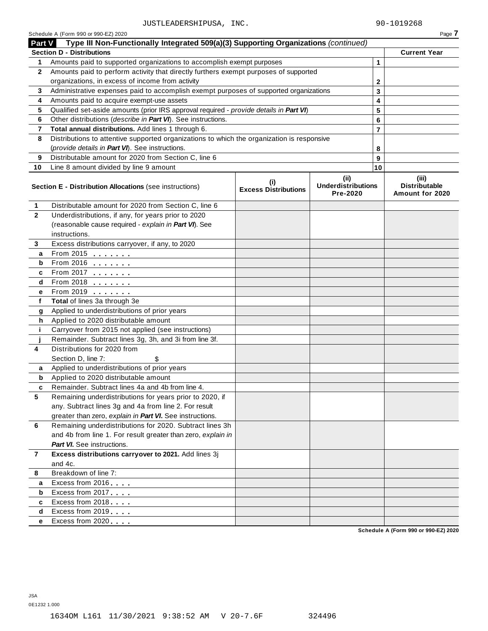Schedule A (Form 990 or 990-EZ) 2020  $\blacksquare$ 

| <b>Part V</b>  | Type III Non-Functionally Integrated 509(a)(3) Supporting Organizations (continued)        |                                    |                                               |                |                                                  |
|----------------|--------------------------------------------------------------------------------------------|------------------------------------|-----------------------------------------------|----------------|--------------------------------------------------|
|                | <b>Section D - Distributions</b>                                                           |                                    |                                               |                | <b>Current Year</b>                              |
| 1              | Amounts paid to supported organizations to accomplish exempt purposes                      |                                    |                                               | $\mathbf 1$    |                                                  |
| $\mathbf{2}$   | Amounts paid to perform activity that directly furthers exempt purposes of supported       |                                    |                                               |                |                                                  |
|                | organizations, in excess of income from activity                                           |                                    |                                               | $\mathbf{2}$   |                                                  |
| 3              | Administrative expenses paid to accomplish exempt purposes of supported organizations      |                                    |                                               | 3              |                                                  |
| 4              | Amounts paid to acquire exempt-use assets                                                  |                                    |                                               | 4              |                                                  |
| 5              | Qualified set-aside amounts (prior IRS approval required - provide details in Part VI)     |                                    |                                               | 5              |                                                  |
| 6              | Other distributions (describe in Part VI). See instructions.                               |                                    |                                               | 6              |                                                  |
| 7              | Total annual distributions. Add lines 1 through 6.                                         |                                    |                                               | $\overline{7}$ |                                                  |
| 8              | Distributions to attentive supported organizations to which the organization is responsive |                                    |                                               |                |                                                  |
|                | (provide details in Part VI). See instructions.                                            |                                    |                                               | 8              |                                                  |
| 9              | Distributable amount for 2020 from Section C, line 6                                       |                                    |                                               | 9              |                                                  |
| 10             | Line 8 amount divided by line 9 amount                                                     |                                    |                                               | 10             |                                                  |
|                | Section E - Distribution Allocations (see instructions)                                    | (i)<br><b>Excess Distributions</b> | (ii)<br><b>Underdistributions</b><br>Pre-2020 |                | (iii)<br><b>Distributable</b><br>Amount for 2020 |
| 1              | Distributable amount for 2020 from Section C, line 6                                       |                                    |                                               |                |                                                  |
| $\mathbf{2}$   | Underdistributions, if any, for years prior to 2020                                        |                                    |                                               |                |                                                  |
|                | (reasonable cause required - explain in Part VI). See                                      |                                    |                                               |                |                                                  |
|                | instructions.                                                                              |                                    |                                               |                |                                                  |
| 3              | Excess distributions carryover, if any, to 2020                                            |                                    |                                               |                |                                                  |
| a              | From 2015                                                                                  |                                    |                                               |                |                                                  |
| b              | $\overline{F}$ rom 2016                                                                    |                                    |                                               |                |                                                  |
| c              | $F$ rom 2017                                                                               |                                    |                                               |                |                                                  |
| d              | $\overline{F}$ rom 2018                                                                    |                                    |                                               |                |                                                  |
| е              | From 2019                                                                                  |                                    |                                               |                |                                                  |
| f              | Total of lines 3a through 3e                                                               |                                    |                                               |                |                                                  |
| g              | Applied to underdistributions of prior years                                               |                                    |                                               |                |                                                  |
| h              | Applied to 2020 distributable amount                                                       |                                    |                                               |                |                                                  |
| Ť.             | Carryover from 2015 not applied (see instructions)                                         |                                    |                                               |                |                                                  |
|                | Remainder. Subtract lines 3g, 3h, and 3i from line 3f.                                     |                                    |                                               |                |                                                  |
| 4              | Distributions for 2020 from                                                                |                                    |                                               |                |                                                  |
|                | Section D, line 7:<br>\$                                                                   |                                    |                                               |                |                                                  |
| a              | Applied to underdistributions of prior years                                               |                                    |                                               |                |                                                  |
| b              | Applied to 2020 distributable amount                                                       |                                    |                                               |                |                                                  |
| c              | Remainder. Subtract lines 4a and 4b from line 4.                                           |                                    |                                               |                |                                                  |
| 5              | Remaining underdistributions for years prior to 2020, if                                   |                                    |                                               |                |                                                  |
|                | any. Subtract lines 3g and 4a from line 2. For result                                      |                                    |                                               |                |                                                  |
|                | greater than zero, explain in Part VI. See instructions.                                   |                                    |                                               |                |                                                  |
| 6              | Remaining underdistributions for 2020. Subtract lines 3h                                   |                                    |                                               |                |                                                  |
|                | and 4b from line 1. For result greater than zero, explain in                               |                                    |                                               |                |                                                  |
|                | Part VI. See instructions.                                                                 |                                    |                                               |                |                                                  |
| $\overline{7}$ | Excess distributions carryover to 2021. Add lines 3j                                       |                                    |                                               |                |                                                  |
|                | and 4c.                                                                                    |                                    |                                               |                |                                                  |
| 8              | Breakdown of line 7:                                                                       |                                    |                                               |                |                                                  |
| a              | Excess from 2016                                                                           |                                    |                                               |                |                                                  |
| b              | Excess from 2017                                                                           |                                    |                                               |                |                                                  |
| c              | Excess from 2018                                                                           |                                    |                                               |                |                                                  |
| d              | Excess from 2019                                                                           |                                    |                                               |                |                                                  |
| е              | Excess from 2020                                                                           |                                    |                                               |                |                                                  |
|                |                                                                                            |                                    |                                               |                | Schedule A (Form 990 or 990-EZ) 2020             |

JSA 0E1232 1.000 1634OM L161 11/30/2021 9:38:52 AM V 20-7.6F 324496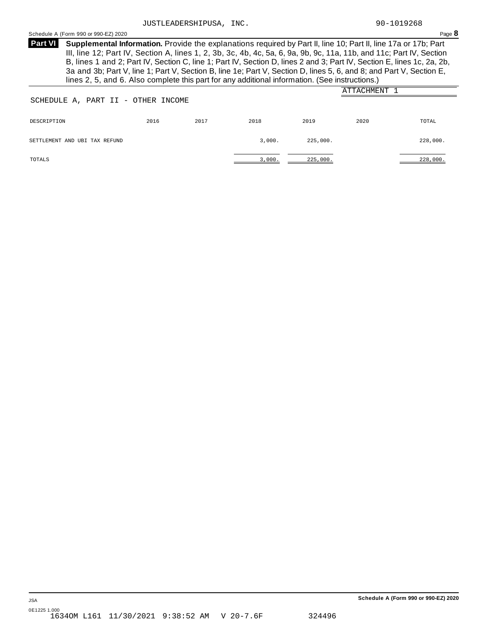#### <span id="page-20-0"></span>Schedule <sup>A</sup> (Form <sup>990</sup> or 990-EZ) <sup>2020</sup> Page **8**

**Supplemental Information.** Provide the explanations required by Part II, line 10; Part II, line 17a or 17b; Part **Part VI** III, line 12; Part IV, Section A, lines 1, 2, 3b, 3c, 4b, 4c, 5a, 6, 9a, 9b, 9c, 11a, 11b, and 11c; Part IV, Section B, lines 1 and 2; Part IV, Section C, line 1; Part IV, Section D, lines 2 and 3; Part IV, Section E, lines 1c, 2a, 2b, 3a and 3b; Part V, line 1; Part V, Section B, line 1e; Part V, Section D, lines 5, 6, and 8; and Part V, Section E, lines 2, 5, and 6. Also complete this part for any additional information. (See instructions.)

|                                    |      |      |        |          | ATTACHMENT |          |
|------------------------------------|------|------|--------|----------|------------|----------|
| SCHEDULE A, PART II - OTHER INCOME |      |      |        |          |            |          |
|                                    |      |      |        |          |            |          |
| DESCRIPTION                        | 2016 | 2017 | 2018   | 2019     | 2020       | TOTAL    |
|                                    |      |      |        |          |            |          |
| SETTLEMENT AND UBI TAX REFUND      |      |      | 3,000. | 225,000. |            | 228,000. |
|                                    |      |      |        |          |            |          |
| TOTALS                             |      |      | 3,000. | 225,000. |            | 228,000. |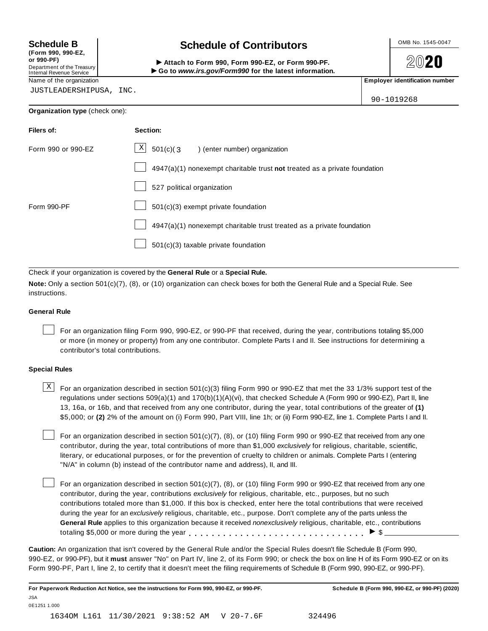# **(Form 990, 990-EZ,**

| $(1$ VIIII 330, 330-LL,    |
|----------------------------|
| or 990-PF)                 |
| Department of the Treasury |
| Internal Revenue Service   |

# **Schedule B chedule of Contributors**

(Form 990, 990-EZ,<br>
or 990-PF,<br>
Department of the Treasury **COLOCY**<br>
Internal Revenue Service **COLOCY**<br>
Name of the organization<br>
Name of the organization

**2020** 

90-1019268

JUSTLEADERSHIPUSA, INC.

#### **Organization type** (check one):

| Filers of:         | Section:                                                                    |
|--------------------|-----------------------------------------------------------------------------|
| Form 990 or 990-EZ | $X$ 501(c)(3) (enter number) organization                                   |
|                    | $4947(a)(1)$ nonexempt charitable trust not treated as a private foundation |
|                    | 527 political organization                                                  |
| Form 990-PF        | 501(c)(3) exempt private foundation                                         |
|                    | 4947(a)(1) nonexempt charitable trust treated as a private foundation       |
|                    | 501(c)(3) taxable private foundation                                        |

Check if your organization is covered by the **General Rule** or a **Special Rule.**

**Note:** Only a section 501(c)(7), (8), or (10) organization can check boxes for both the General Rule and a Special Rule. See instructions.

#### **General Rule**

For an organization filing Form 990, 990-EZ, or 990-PF that received, during the year, contributions totaling \$5,000 or more (in money or property) from any one contributor. Complete Parts I and II. See instructions for determining a contributor's total contributions.

#### **Special Rules**

 $\text{X}$  For an organization described in section 501(c)(3) filing Form 990 or 990-EZ that met the 33 1/3% support test of the regulations under sections 509(a)(1) and 170(b)(1)(A)(vi), that checked Schedule A (Form 990 or 990-EZ), Part II, line 13, 16a, or 16b, and that received from any one contributor, during the year, total contributions of the greater of **(1)** \$5,000; or **(2)** 2% of the amount on (i) Form 990, Part VIII, line 1h; or (ii) Form 990-EZ, line 1. Complete Parts I and II.

For an organization described in section 501(c)(7), (8), or (10) filing Form 990 or 990-EZ that received from any one contributor, during the year, total contributions of more than \$1,000 *exclusively* for religious, charitable, scientific, literary, or educational purposes, or for the prevention of cruelty to children or animals. Complete Parts I (entering "N/A" in column (b) instead of the contributor name and address), II, and III.

For an organization described in section 501(c)(7), (8), or (10) filing Form 990 or 990-EZ that received from any one contributor, during the year, contributions *exclusively* for religious, charitable, etc., purposes, but no such contributions totaled more than \$1,000. If this box is checked, enter here the total contributions that were received during the year for an *exclusively* religious, charitable, etc., purpose. Don't complete any of the parts unless the **General Rule** applies to this organization because it received *nonexclusively* religious, charitable, etc., contributions totaling \$5,000 or more during the year  $\ldots \ldots \ldots \ldots \ldots \ldots \ldots \ldots \ldots \vdots$ 

**Caution:** An organization that isn't covered by the General Rule and/or the Special Rules doesn't file Schedule B (Form 990, 990-EZ, or 990-PF), but it **must** answer "No" on Part IV, line 2, of its Form 990; or check the box on line H of its Form 990-EZ or on its Form 990-PF, Part I, line 2, to certify that it doesn't meet the filing requirements of Schedule B (Form 990, 990-EZ, or 990-PF).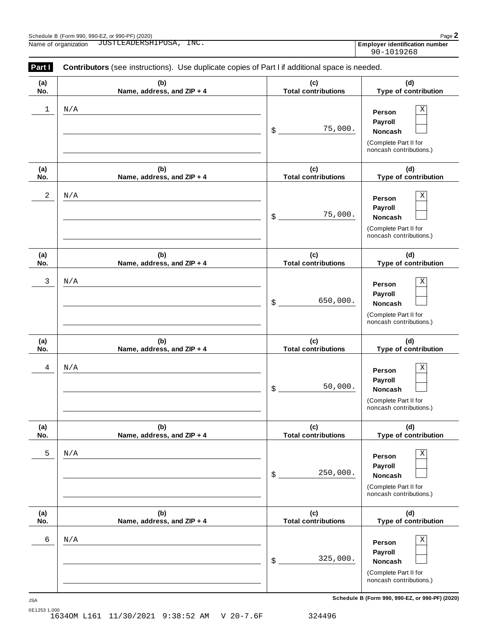| Schedule B (Form 990, 990-EZ, or 990-PF) (2020) |                        |      | $Page \triangle$                    |
|-------------------------------------------------|------------------------|------|-------------------------------------|
| Name of<br>organization                         | LLEADERSHIPUSA<br>ປປວມ | INC. | ∶ identification number<br>Emplover |

| <b>Employer identification number</b> |  |
|---------------------------------------|--|
| 90-1019268                            |  |

| Contributors (see instructions). Use duplicate copies of Part I if additional space is needed. |                                   |                                                                                       |
|------------------------------------------------------------------------------------------------|-----------------------------------|---------------------------------------------------------------------------------------|
| (b)<br>Name, address, and ZIP + 4                                                              | (c)<br><b>Total contributions</b> | (d)<br>Type of contribution                                                           |
| N/A                                                                                            | 75,000.<br>\$                     | Χ<br>Person<br>Payroll<br>Noncash<br>(Complete Part II for<br>noncash contributions.) |
| (b)<br>Name, address, and ZIP + 4                                                              | (c)<br><b>Total contributions</b> | (d)<br>Type of contribution                                                           |
| N/A                                                                                            | 75,000.<br>\$                     | Χ<br>Person<br>Payroll<br>Noncash<br>(Complete Part II for<br>noncash contributions.) |
| (b)<br>Name, address, and ZIP + 4                                                              | (c)<br><b>Total contributions</b> | (d)<br>Type of contribution                                                           |
| N/A                                                                                            | 650,000.<br>\$                    | Χ<br>Person<br>Payroll<br>Noncash<br>(Complete Part II for<br>noncash contributions.) |
| (b)<br>Name, address, and ZIP + 4                                                              | (c)<br><b>Total contributions</b> | (d)<br>Type of contribution                                                           |
| N/A                                                                                            | 50,000.<br>\$                     | Χ<br>Person<br>Payroll<br>Noncash<br>(Complete Part II for<br>noncash contributions.) |
| (b)<br>Name, address, and ZIP + 4                                                              | (c)<br><b>Total contributions</b> | (d)<br>Type of contribution                                                           |
| N/A                                                                                            | 250,000.<br>\$                    | Χ<br>Person<br>Payroll<br>Noncash<br>(Complete Part II for<br>noncash contributions.) |
| (b)<br>Name, address, and ZIP + 4                                                              | (c)<br><b>Total contributions</b> | (d)<br>Type of contribution                                                           |
| N/A                                                                                            | 325,000.<br>\$                    | Χ<br>Person<br>Payroll<br><b>Noncash</b>                                              |
|                                                                                                |                                   |                                                                                       |

0E1253 1.000 1634OM L161 11/30/2021 9:38:52 AM V 20-7.6F 324496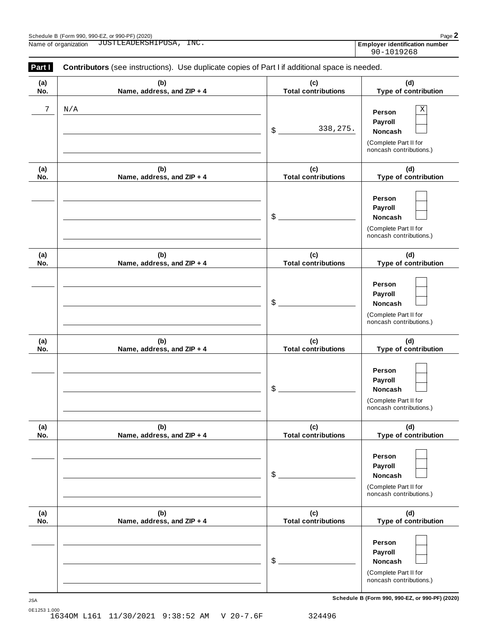| Schedule B (Form 990, 990-EZ, or 990-PF) (2020) |                   |      | Page                                       |
|-------------------------------------------------|-------------------|------|--------------------------------------------|
| Name of<br>i organization                       | JUSTLEADERSHIPUSA | INC. | r identification number<br><b>Employer</b> |

|                                       | ים ו |
|---------------------------------------|------|
| <b>Employer identification number</b> |      |
| 90-1019268                            |      |

| (a)<br>No. | (b)<br>Name, address, and ZIP + 4 | (c)<br><b>Total contributions</b> | (d)<br>Type of contribution                      |
|------------|-----------------------------------|-----------------------------------|--------------------------------------------------|
|            |                                   |                                   |                                                  |
| 7          | N/A                               |                                   | $\mathbf X$<br>Person                            |
|            |                                   |                                   | Payroll                                          |
|            |                                   | 338, 275.<br>\$                   | Noncash                                          |
|            |                                   |                                   |                                                  |
|            |                                   |                                   | (Complete Part II for<br>noncash contributions.) |
| (a)        | (b)                               | (c)                               | (d)                                              |
| No.        | Name, address, and ZIP + 4        | <b>Total contributions</b>        | Type of contribution                             |
|            |                                   |                                   | Person                                           |
|            |                                   |                                   |                                                  |
|            |                                   | \$                                | Payroll<br>Noncash                               |
|            |                                   |                                   |                                                  |
|            |                                   |                                   | (Complete Part II for<br>noncash contributions.) |
| (a)        | (b)                               | (c)                               | (d)                                              |
| No.        | Name, address, and ZIP + 4        | <b>Total contributions</b>        | Type of contribution                             |
|            |                                   |                                   |                                                  |
|            |                                   |                                   | Person                                           |
|            |                                   |                                   | Payroll                                          |
|            |                                   | \$                                | Noncash                                          |
|            |                                   |                                   | (Complete Part II for                            |
|            |                                   |                                   | noncash contributions.)                          |
| (a)        | (b)                               | (c)                               | (d)                                              |
| No.        | Name, address, and ZIP + 4        | <b>Total contributions</b>        | Type of contribution                             |
|            |                                   |                                   |                                                  |
|            |                                   |                                   | Person                                           |
|            |                                   |                                   | Payroll                                          |
|            |                                   | \$                                | Noncash                                          |
|            |                                   |                                   | (Complete Part II for                            |
|            |                                   |                                   | noncash contributions.)                          |
| (a)        | (b)                               | (c)                               | (d)                                              |
| No.        | Name, address, and ZIP + 4        | <b>Total contributions</b>        | Type of contribution                             |
|            |                                   |                                   |                                                  |
|            |                                   |                                   | Person                                           |
|            |                                   |                                   | Payroll                                          |
|            |                                   | \$                                | <b>Noncash</b>                                   |
|            |                                   |                                   | (Complete Part II for                            |
|            |                                   |                                   | noncash contributions.)                          |
| (a)        | (b)                               | (c)                               | (d)                                              |
| No.        | Name, address, and ZIP + 4        | <b>Total contributions</b>        | Type of contribution                             |
|            |                                   |                                   | Person                                           |
|            |                                   |                                   | Payroll                                          |
|            |                                   | \$                                | Noncash                                          |
|            |                                   |                                   |                                                  |
|            |                                   |                                   | (Complete Part II for<br>noncash contributions.) |
|            |                                   |                                   |                                                  |

**Schedule B (Form 990, 990-EZ, or 990-PF) (2020)** JSA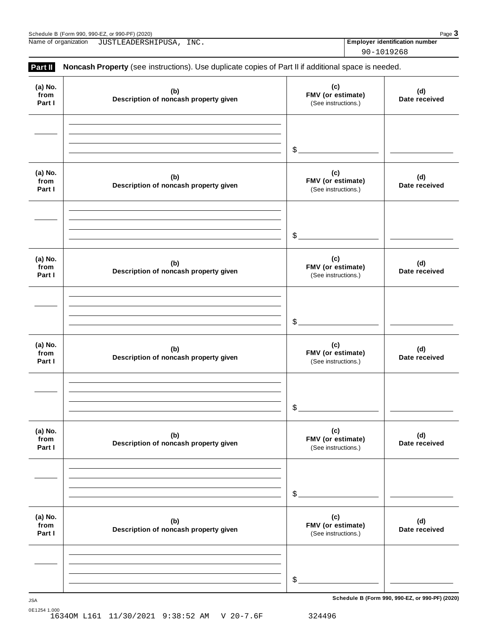| Name of organization | JUSTLEADERSHIPUSA, | INC. |
|----------------------|--------------------|------|
|----------------------|--------------------|------|

Name of organization **Employer identification number** 90-1019268

| Part II                   | Noncash Property (see instructions). Use duplicate copies of Part II if additional space is needed. |                                                 |                      |
|---------------------------|-----------------------------------------------------------------------------------------------------|-------------------------------------------------|----------------------|
| (a) No.<br>from<br>Part I | (b)<br>Description of noncash property given                                                        | (c)<br>FMV (or estimate)<br>(See instructions.) | (d)<br>Date received |
|                           |                                                                                                     | $\delta$                                        |                      |
| (a) No.<br>from<br>Part I | (b)<br>Description of noncash property given                                                        | (c)<br>FMV (or estimate)<br>(See instructions.) | (d)<br>Date received |
|                           |                                                                                                     | $\delta$                                        |                      |
| (a) No.<br>from<br>Part I | (b)<br>Description of noncash property given                                                        | (c)<br>FMV (or estimate)<br>(See instructions.) | (d)<br>Date received |
|                           |                                                                                                     | $\delta$                                        |                      |
| (a) No.<br>from<br>Part I | (b)<br>Description of noncash property given                                                        | (c)<br>FMV (or estimate)<br>(See instructions.) | (d)<br>Date received |
|                           |                                                                                                     | $$$ .                                           |                      |
| (a) No.<br>from<br>Part I | (b)<br>Description of noncash property given                                                        | (c)<br>FMV (or estimate)<br>(See instructions.) | (d)<br>Date received |
|                           |                                                                                                     | \$                                              |                      |
| (a) No.<br>from<br>Part I | (b)<br>Description of noncash property given                                                        | (c)<br>FMV (or estimate)<br>(See instructions.) | (d)<br>Date received |
|                           |                                                                                                     |                                                 |                      |
|                           |                                                                                                     | \$                                              |                      |

**Schedule B (Form 990, 990-EZ, or 990-PF) (2020)** JSA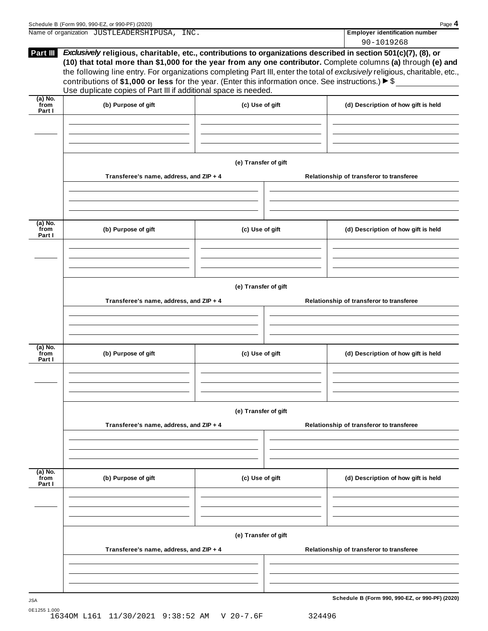|                             | Name of organization JUSTLEADERSHIPUSA, INC.                                                                                                                                                                                                    |                      |                                          | <b>Employer identification number</b>                                                                                                                                                                                                                       |
|-----------------------------|-------------------------------------------------------------------------------------------------------------------------------------------------------------------------------------------------------------------------------------------------|----------------------|------------------------------------------|-------------------------------------------------------------------------------------------------------------------------------------------------------------------------------------------------------------------------------------------------------------|
|                             | Part III Exclusively religious, charitable, etc., contributions to organizations described in section 501(c)(7), (8), or<br>contributions of \$1,000 or less for the year. (Enter this information once. See instructions.) $\triangleright$ \$ |                      |                                          | 90-1019268<br>(10) that total more than \$1,000 for the year from any one contributor. Complete columns (a) through (e) and<br>the following line entry. For organizations completing Part III, enter the total of exclusively religious, charitable, etc., |
|                             | Use duplicate copies of Part III if additional space is needed.                                                                                                                                                                                 |                      |                                          |                                                                                                                                                                                                                                                             |
| $(a)$ No.<br>from<br>Part I | (b) Purpose of gift                                                                                                                                                                                                                             | (c) Use of gift      |                                          | (d) Description of how gift is held                                                                                                                                                                                                                         |
|                             |                                                                                                                                                                                                                                                 |                      |                                          |                                                                                                                                                                                                                                                             |
|                             |                                                                                                                                                                                                                                                 | (e) Transfer of gift |                                          |                                                                                                                                                                                                                                                             |
|                             | Transferee's name, address, and ZIP + 4                                                                                                                                                                                                         |                      |                                          | Relationship of transferor to transferee                                                                                                                                                                                                                    |
| $(a)$ No.<br>from           |                                                                                                                                                                                                                                                 |                      |                                          |                                                                                                                                                                                                                                                             |
| Part I                      | (b) Purpose of gift                                                                                                                                                                                                                             | (c) Use of gift      |                                          | (d) Description of how gift is held                                                                                                                                                                                                                         |
|                             |                                                                                                                                                                                                                                                 |                      |                                          |                                                                                                                                                                                                                                                             |
|                             | (e) Transfer of gift<br>Transferee's name, address, and ZIP + 4<br>Relationship of transferor to transferee                                                                                                                                     |                      |                                          |                                                                                                                                                                                                                                                             |
|                             |                                                                                                                                                                                                                                                 |                      |                                          |                                                                                                                                                                                                                                                             |
| $(a)$ No.<br>from           | (b) Purpose of gift                                                                                                                                                                                                                             | (c) Use of gift      |                                          | (d) Description of how gift is held                                                                                                                                                                                                                         |
| Part I                      |                                                                                                                                                                                                                                                 |                      |                                          |                                                                                                                                                                                                                                                             |
|                             |                                                                                                                                                                                                                                                 |                      |                                          |                                                                                                                                                                                                                                                             |
|                             | (e) Transfer of gift<br>Transferee's name, address, and ZIP + 4                                                                                                                                                                                 |                      | Relationship of transferor to transferee |                                                                                                                                                                                                                                                             |
|                             |                                                                                                                                                                                                                                                 |                      |                                          |                                                                                                                                                                                                                                                             |
|                             |                                                                                                                                                                                                                                                 |                      |                                          |                                                                                                                                                                                                                                                             |
| (a) No.<br>from<br>Part I   | (b) Purpose of gift                                                                                                                                                                                                                             | (c) Use of gift      |                                          | (d) Description of how gift is held                                                                                                                                                                                                                         |
|                             |                                                                                                                                                                                                                                                 |                      |                                          |                                                                                                                                                                                                                                                             |
|                             | (e) Transfer of gift                                                                                                                                                                                                                            |                      |                                          |                                                                                                                                                                                                                                                             |
|                             | Transferee's name, address, and ZIP + 4                                                                                                                                                                                                         |                      |                                          | Relationship of transferor to transferee                                                                                                                                                                                                                    |
|                             |                                                                                                                                                                                                                                                 |                      |                                          |                                                                                                                                                                                                                                                             |
|                             |                                                                                                                                                                                                                                                 |                      |                                          | Schedule B (Form 990, 990-EZ, or 990-PF) (2020)                                                                                                                                                                                                             |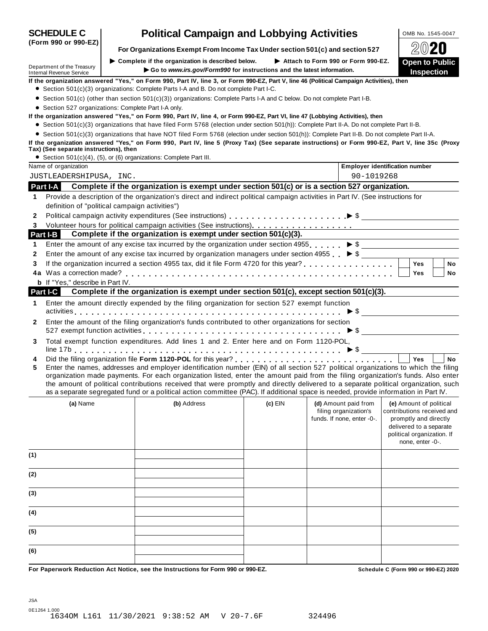| (Form 990 or 990-EZ)                                          | For Organizations Exempt From Income Tax Under section 501(c) and section 527                                                                                                                                                                                                                                                                                                                                                                                                                                                                        |         |                                                                             |                                                                                                                                                             |
|---------------------------------------------------------------|------------------------------------------------------------------------------------------------------------------------------------------------------------------------------------------------------------------------------------------------------------------------------------------------------------------------------------------------------------------------------------------------------------------------------------------------------------------------------------------------------------------------------------------------------|---------|-----------------------------------------------------------------------------|-------------------------------------------------------------------------------------------------------------------------------------------------------------|
|                                                               | Complete if the organization is described below.                                                                                                                                                                                                                                                                                                                                                                                                                                                                                                     |         | Attach to Form 990 or Form 990-EZ.                                          | <b>Open to Public</b>                                                                                                                                       |
| Department of the Treasury<br><b>Internal Revenue Service</b> | Go to www.irs.gov/Form990 for instructions and the latest information.                                                                                                                                                                                                                                                                                                                                                                                                                                                                               |         |                                                                             | <b>Inspection</b>                                                                                                                                           |
|                                                               | If the organization answered "Yes," on Form 990, Part IV, line 3, or Form 990-EZ, Part V, line 46 (Political Campaign Activities), then                                                                                                                                                                                                                                                                                                                                                                                                              |         |                                                                             |                                                                                                                                                             |
|                                                               | • Section 501(c)(3) organizations: Complete Parts I-A and B. Do not complete Part I-C.                                                                                                                                                                                                                                                                                                                                                                                                                                                               |         |                                                                             |                                                                                                                                                             |
|                                                               | ● Section 501(c) (other than section 501(c)(3)) organizations: Complete Parts I-A and C below. Do not complete Part I-B.                                                                                                                                                                                                                                                                                                                                                                                                                             |         |                                                                             |                                                                                                                                                             |
| • Section 527 organizations: Complete Part I-A only.          | If the organization answered "Yes," on Form 990, Part IV, line 4, or Form 990-EZ, Part VI, line 47 (Lobbying Activities), then                                                                                                                                                                                                                                                                                                                                                                                                                       |         |                                                                             |                                                                                                                                                             |
|                                                               | • Section 501(c)(3) organizations that have filed Form 5768 (election under section 501(h)): Complete Part II-A. Do not complete Part II-B.                                                                                                                                                                                                                                                                                                                                                                                                          |         |                                                                             |                                                                                                                                                             |
|                                                               | • Section 501(c)(3) organizations that have NOT filed Form 5768 (election under section 501(h)): Complete Part II-B. Do not complete Part II-A.                                                                                                                                                                                                                                                                                                                                                                                                      |         |                                                                             |                                                                                                                                                             |
| Tax) (See separate instructions), then                        | If the organization answered "Yes," on Form 990, Part IV, line 5 (Proxy Tax) (See separate instructions) or Form 990-EZ, Part V, line 35c (Proxy                                                                                                                                                                                                                                                                                                                                                                                                     |         |                                                                             |                                                                                                                                                             |
|                                                               | • Section 501(c)(4), (5), or (6) organizations: Complete Part III.                                                                                                                                                                                                                                                                                                                                                                                                                                                                                   |         |                                                                             |                                                                                                                                                             |
| Name of organization                                          |                                                                                                                                                                                                                                                                                                                                                                                                                                                                                                                                                      |         |                                                                             | <b>Employer identification number</b>                                                                                                                       |
| JUSTLEADERSHIPUSA, INC.                                       |                                                                                                                                                                                                                                                                                                                                                                                                                                                                                                                                                      |         | 90-1019268                                                                  |                                                                                                                                                             |
| Part I-A                                                      | Complete if the organization is exempt under section 501(c) or is a section 527 organization.                                                                                                                                                                                                                                                                                                                                                                                                                                                        |         |                                                                             |                                                                                                                                                             |
| 1                                                             | Provide a description of the organization's direct and indirect political campaign activities in Part IV. (See instructions for                                                                                                                                                                                                                                                                                                                                                                                                                      |         |                                                                             |                                                                                                                                                             |
| definition of "political campaign activities")                |                                                                                                                                                                                                                                                                                                                                                                                                                                                                                                                                                      |         |                                                                             |                                                                                                                                                             |
| 2                                                             |                                                                                                                                                                                                                                                                                                                                                                                                                                                                                                                                                      |         |                                                                             |                                                                                                                                                             |
| 3                                                             |                                                                                                                                                                                                                                                                                                                                                                                                                                                                                                                                                      |         |                                                                             |                                                                                                                                                             |
| Part I-B                                                      | Complete if the organization is exempt under section 501(c)(3).                                                                                                                                                                                                                                                                                                                                                                                                                                                                                      |         |                                                                             |                                                                                                                                                             |
| 1                                                             | Enter the amount of any excise tax incurred by the organization under section 4955. $\triangleright$ \$                                                                                                                                                                                                                                                                                                                                                                                                                                              |         |                                                                             |                                                                                                                                                             |
| 2                                                             | Enter the amount of any excise tax incurred by organization managers under section 4955 $\triangleright$ \$                                                                                                                                                                                                                                                                                                                                                                                                                                          |         |                                                                             |                                                                                                                                                             |
| 3                                                             |                                                                                                                                                                                                                                                                                                                                                                                                                                                                                                                                                      |         |                                                                             | <b>Yes</b><br><b>No</b>                                                                                                                                     |
|                                                               |                                                                                                                                                                                                                                                                                                                                                                                                                                                                                                                                                      |         |                                                                             | Yes<br>No                                                                                                                                                   |
| <b>b</b> If "Yes," describe in Part IV.                       |                                                                                                                                                                                                                                                                                                                                                                                                                                                                                                                                                      |         |                                                                             |                                                                                                                                                             |
| Part I-C                                                      | Complete if the organization is exempt under section 501(c), except section 501(c)(3).                                                                                                                                                                                                                                                                                                                                                                                                                                                               |         |                                                                             |                                                                                                                                                             |
| 1.                                                            | Enter the amount directly expended by the filing organization for section 527 exempt function                                                                                                                                                                                                                                                                                                                                                                                                                                                        |         |                                                                             |                                                                                                                                                             |
| 2                                                             | Enter the amount of the filing organization's funds contributed to other organizations for section                                                                                                                                                                                                                                                                                                                                                                                                                                                   |         |                                                                             |                                                                                                                                                             |
|                                                               | 527 exempt function activities $\ldots \ldots \ldots \ldots \ldots \ldots \ldots \ldots \ldots \ldots \ldots \vdots \blacktriangleright$ \$                                                                                                                                                                                                                                                                                                                                                                                                          |         |                                                                             |                                                                                                                                                             |
| 3                                                             | Total exempt function expenditures. Add lines 1 and 2. Enter here and on Form 1120-POL,                                                                                                                                                                                                                                                                                                                                                                                                                                                              |         |                                                                             |                                                                                                                                                             |
|                                                               |                                                                                                                                                                                                                                                                                                                                                                                                                                                                                                                                                      |         |                                                                             |                                                                                                                                                             |
| 4<br>5                                                        | Enter the names, addresses and employer identification number (EIN) of all section 527 political organizations to which the filing<br>organization made payments. For each organization listed, enter the amount paid from the filing organization's funds. Also enter<br>the amount of political contributions received that were promptly and directly delivered to a separate political organization, such<br>as a separate segregated fund or a political action committee (PAC). If additional space is needed, provide information in Part IV. |         |                                                                             | Yes<br><b>No</b>                                                                                                                                            |
| (a) Name                                                      | (b) Address                                                                                                                                                                                                                                                                                                                                                                                                                                                                                                                                          | (c) EIN | (d) Amount paid from<br>filing organization's<br>funds. If none, enter -0-. | (e) Amount of political<br>contributions received and<br>promptly and directly<br>delivered to a separate<br>political organization. If<br>none, enter -0-. |
| (1)                                                           |                                                                                                                                                                                                                                                                                                                                                                                                                                                                                                                                                      |         |                                                                             |                                                                                                                                                             |
| (2)                                                           |                                                                                                                                                                                                                                                                                                                                                                                                                                                                                                                                                      |         |                                                                             |                                                                                                                                                             |
| (3)                                                           |                                                                                                                                                                                                                                                                                                                                                                                                                                                                                                                                                      |         |                                                                             |                                                                                                                                                             |
| (4)                                                           |                                                                                                                                                                                                                                                                                                                                                                                                                                                                                                                                                      |         |                                                                             |                                                                                                                                                             |
| (5)                                                           |                                                                                                                                                                                                                                                                                                                                                                                                                                                                                                                                                      |         |                                                                             |                                                                                                                                                             |
| (6)                                                           |                                                                                                                                                                                                                                                                                                                                                                                                                                                                                                                                                      |         |                                                                             |                                                                                                                                                             |
|                                                               |                                                                                                                                                                                                                                                                                                                                                                                                                                                                                                                                                      |         |                                                                             |                                                                                                                                                             |

For Paperwork Reduction Act Notice, see the Instructions for Form 990 or 990-EZ. Schedule C (Form 990 or 990-EZ) 2020



**(Form 990 or 990-EZ)**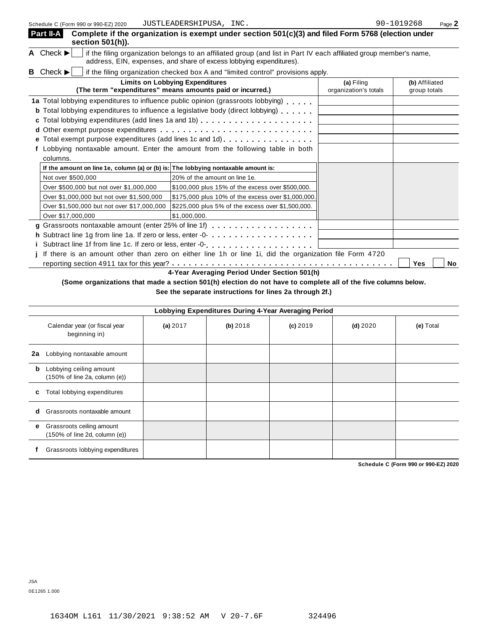| Part II-A<br>section 501(h)).                                                                                                              | Complete if the organization is exempt under section $501(c)(3)$ and filed Form 5768 (election under                                                                                                                              |                                     |                                |
|--------------------------------------------------------------------------------------------------------------------------------------------|-----------------------------------------------------------------------------------------------------------------------------------------------------------------------------------------------------------------------------------|-------------------------------------|--------------------------------|
| A Check $\blacktriangleright$                                                                                                              | if the filing organization belongs to an affiliated group (and list in Part IV each affiliated group member's name,<br>address, EIN, expenses, and share of excess lobbying expenditures).                                        |                                     |                                |
| <b>B</b> Check ►                                                                                                                           | if the filing organization checked box A and "limited control" provisions apply.                                                                                                                                                  |                                     |                                |
|                                                                                                                                            | <b>Limits on Lobbying Expenditures</b><br>(The term "expenditures" means amounts paid or incurred.)                                                                                                                               | (a) Filing<br>organization's totals | (b) Affiliated<br>group totals |
|                                                                                                                                            | 1a Total lobbying expenditures to influence public opinion (grassroots lobbying)<br><b>b</b> Total lobbying expenditures to influence a legislative body (direct lobbying)<br>c Total lobbying expenditures (add lines 1a and 1b) |                                     |                                |
| e Total exempt purpose expenditures (add lines 1c and 1d)<br>Lobbying nontaxable amount. Enter the amount from the following table in both |                                                                                                                                                                                                                                   |                                     |                                |
| columns.                                                                                                                                   |                                                                                                                                                                                                                                   |                                     |                                |
| If the amount on line 1e, column (a) or (b) is: The lobbying nontaxable amount is:                                                         |                                                                                                                                                                                                                                   |                                     |                                |
| Not over \$500,000                                                                                                                         | 20% of the amount on line 1e.                                                                                                                                                                                                     |                                     |                                |
| Over \$500,000 but not over \$1,000,000                                                                                                    | \$100,000 plus 15% of the excess over \$500,000.                                                                                                                                                                                  |                                     |                                |
| Over \$1,000,000 but not over \$1,500,000                                                                                                  | \$175,000 plus 10% of the excess over \$1,000,000.                                                                                                                                                                                |                                     |                                |
| Over \$1,500,000 but not over \$17,000,000                                                                                                 | \$225,000 plus 5% of the excess over \$1,500,000.                                                                                                                                                                                 |                                     |                                |
| Over \$17,000,000                                                                                                                          | \$1,000,000.                                                                                                                                                                                                                      |                                     |                                |
|                                                                                                                                            |                                                                                                                                                                                                                                   |                                     |                                |
|                                                                                                                                            |                                                                                                                                                                                                                                   |                                     |                                |
|                                                                                                                                            |                                                                                                                                                                                                                                   |                                     |                                |
|                                                                                                                                            | If there is an amount other than zero on either line 1h or line 1i, did the organization file Form 4720                                                                                                                           |                                     |                                |
|                                                                                                                                            |                                                                                                                                                                                                                                   |                                     | Yes<br><b>No</b>               |
|                                                                                                                                            | 4-Year Averaging Period Under Section 501(h)                                                                                                                                                                                      |                                     |                                |

(Some organizations that made a section 501(h) election do not have to complete all of the five columns below.

**See the separate instructions for lines 2a through 2f.)**

|    |                                                                                 |          |          | Lobbying Expenditures During 4-Year Averaging Period |            |           |
|----|---------------------------------------------------------------------------------|----------|----------|------------------------------------------------------|------------|-----------|
|    | Calendar year (or fiscal year<br>beginning in)                                  | (a) 2017 | (b) 2018 | $(c)$ 2019                                           | $(d)$ 2020 | (e) Total |
| 2a | Lobbying nontaxable amount                                                      |          |          |                                                      |            |           |
| b  | Lobbying ceiling amount<br>$(150\% \text{ of line } 2a, \text{ column } (e))$   |          |          |                                                      |            |           |
| c  | Total lobbying expenditures                                                     |          |          |                                                      |            |           |
| d  | Grassroots nontaxable amount                                                    |          |          |                                                      |            |           |
| е  | Grassroots ceiling amount<br>$(150\% \text{ of line } 2d, \text{ column } (e))$ |          |          |                                                      |            |           |
|    | Grassroots lobbying expenditures                                                |          |          |                                                      |            |           |

**Schedule C (Form 990 or 990-EZ) 2020**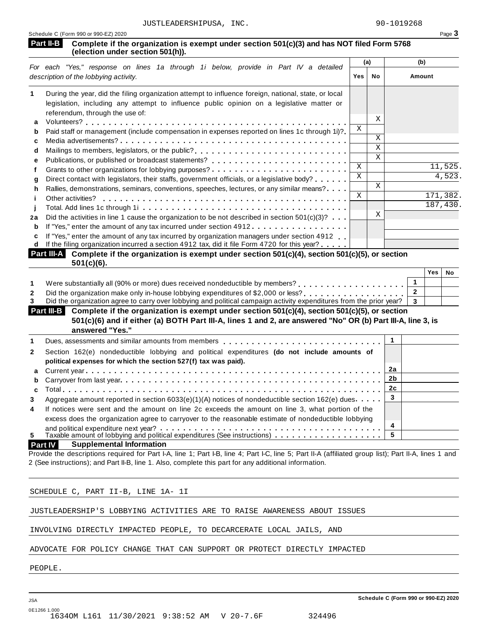|        | JUSTLEADERSHIPUSA, INC.                                                                                                                                                                                                              |                |                         | 90-1019268   |                |            |         |
|--------|--------------------------------------------------------------------------------------------------------------------------------------------------------------------------------------------------------------------------------------|----------------|-------------------------|--------------|----------------|------------|---------|
|        | Schedule C (Form 990 or 990-EZ) 2020<br>Part II-B<br>Complete if the organization is exempt under section 501(c)(3) and has NOT filed Form 5768<br>(election under section 501(h)).                                                  |                |                         |              |                |            | Page 3  |
|        | (a)<br>For each "Yes," response on lines 1a through 1i below, provide in Part IV a detailed                                                                                                                                          |                |                         |              |                | (b)        |         |
|        | description of the lobbying activity.                                                                                                                                                                                                | <b>Yes</b>     | No                      |              | Amount         |            |         |
| 1      | During the year, did the filing organization attempt to influence foreign, national, state, or local<br>legislation, including any attempt to influence public opinion on a legislative matter or<br>referendum, through the use of: |                |                         |              |                |            |         |
| a      |                                                                                                                                                                                                                                      |                | Χ                       |              |                |            |         |
| b      | Paid staff or management (include compensation in expenses reported on lines 1c through 1i)?                                                                                                                                         | X              |                         |              |                |            |         |
| c      |                                                                                                                                                                                                                                      |                | X                       |              |                |            |         |
| d      |                                                                                                                                                                                                                                      |                | $\overline{\mathbf{x}}$ |              |                |            |         |
| e      |                                                                                                                                                                                                                                      |                | $\mathbf X$             |              |                |            |         |
| f      |                                                                                                                                                                                                                                      | X              |                         |              |                |            | 11,525. |
| g      | Direct contact with legislators, their staffs, government officials, or a legislative body?                                                                                                                                          | $\overline{X}$ |                         |              |                |            | 4,523.  |
| h      | Rallies, demonstrations, seminars, conventions, speeches, lectures, or any similar means?                                                                                                                                            |                | $\mathbf{x}$            |              |                |            |         |
|        |                                                                                                                                                                                                                                      | Χ              |                         |              |                | 171,382.   |         |
|        |                                                                                                                                                                                                                                      |                |                         |              |                | 187,430.   |         |
| 2a     | Did the activities in line 1 cause the organization to be not described in section $501(c)(3)$ ?                                                                                                                                     |                | X                       |              |                |            |         |
| b      | If "Yes," enter the amount of any tax incurred under section 4912                                                                                                                                                                    |                |                         |              |                |            |         |
| c<br>d | If "Yes," enter the amount of any tax incurred by organization managers under section 4912<br>If the filing organization incurred a section 4912 tax, did it file Form 4720 for this year?                                           |                |                         |              |                |            |         |
|        | Part III-A Complete if the organization is exempt under section 501(c)(4), section 501(c)(5), or section<br>$501(c)(6)$ .                                                                                                            |                |                         |              |                |            |         |
|        |                                                                                                                                                                                                                                      |                |                         |              |                | <b>Yes</b> | No      |
|        | Were substantially all (90% or more) dues received nondeductible by members?<br>Were substantially all (90% or more) dues received nondeductible by members?<br>                                                                     |                |                         |              | $\mathbf{1}$   |            |         |
|        | Did the organization make only in-house lobbying expenditures of \$2,000 or less?                                                                                                                                                    |                |                         |              | $\overline{2}$ |            |         |
|        | Did the organization agree to carry over lobbying and political campaign activity expenditures from the prior year?                                                                                                                  |                |                         |              | $\mathbf{3}$   |            |         |
|        | Part III-B<br>Complete if the organization is exempt under section 501(c)(4), section 501(c)(5), or section                                                                                                                          |                |                         |              |                |            |         |
|        | 501(c)(6) and if either (a) BOTH Part III-A, lines 1 and 2, are answered "No" OR (b) Part III-A, line 3, is                                                                                                                          |                |                         |              |                |            |         |
|        | answered "Yes."                                                                                                                                                                                                                      |                |                         |              |                |            |         |
|        | Dues, assessments and similar amounts from members entitled value of the series of the series of the series of                                                                                                                       |                |                         | $\mathbf{1}$ |                |            |         |
|        | Section 162(e) nondeductible lobbying and political expenditures (do not include amounts of<br>political expenses for which the section 527(f) tax was paid).                                                                        |                |                         |              |                |            |         |
| a      |                                                                                                                                                                                                                                      |                |                         | 2a           |                |            |         |
| b      |                                                                                                                                                                                                                                      |                |                         | 2b           |                |            |         |
| C      |                                                                                                                                                                                                                                      |                |                         | 2c           |                |            |         |
|        | Aggregate amount reported in section $6033(e)(1)(A)$ notices of nondeductible section $162(e)$ dues $\cdots$                                                                                                                         |                |                         | 3            |                |            |         |
|        | If notices were sent and the amount on line 2c exceeds the amount on line 3, what portion of the                                                                                                                                     |                |                         |              |                |            |         |

and political expenditure next year?<br>
5 Taxable amount of lobbying and political expenditures (See instructions)<br> **Part IV Supplemental Information** 

**Supplemental Information** 

Provide the descriptions required for Part I-A, line 1; Part I-B, line 4; Part I-C, line 5; Part II-A (affiliated group list); Part II-A, lines 1 and 2 (See instructions); and Part II-B, line 1. Also, complete this part for any additional information.

SCHEDULE C, PART II-B, LINE 1A- 1I

JUSTLEADERSHIP'S LOBBYING ACTIVITIES ARE TO RAISE AWARENESS ABOUT ISSUES

excess does the organization agree to carryover to the reasonable estimate of nondeductible lobbying

INVOLVING DIRECTLY IMPACTED PEOPLE, TO DECARCERATE LOCAL JAILS, AND

ADVOCATE FOR POLICY CHANGE THAT CAN SUPPORT OR PROTECT DIRECTLY IMPACTED

PEOPLE.

**4 5**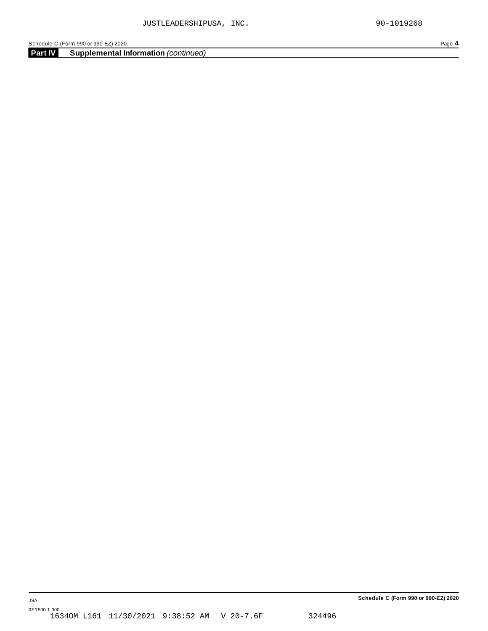**Part IV Supplemental Information** *(continued)*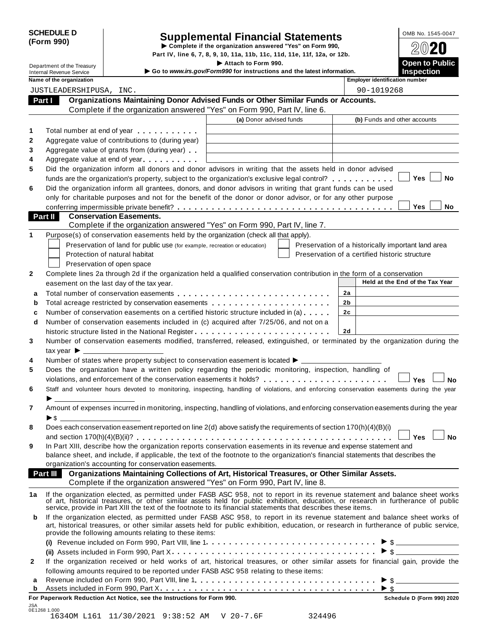| <b>SCHEDULE D</b> |  |
|-------------------|--|
| (Form 990)        |  |

# SCHEDULE D<br>
Supplemental Financial Statements<br>
Form 990)<br>
Part IV, line 6, 7, 8, 9, 10, 11a, 11b, 11c, 11d, 11e, 11f, 12a, or 12b.<br>
Part IV, line 6, 7, 8, 9, 10, 11a, 11b, 11c, 11d, 11e, 11f, 12a, or 12b.

|    |                                                               |                                                                                                                                                                                                                                                                                                                                                  | Part IV, line 6, 7, 8, 9, 10, 11a, 11b, 11c, 11d, 11e, 11f, 12a, or 12b.                      |    |                                                    |           |
|----|---------------------------------------------------------------|--------------------------------------------------------------------------------------------------------------------------------------------------------------------------------------------------------------------------------------------------------------------------------------------------------------------------------------------------|-----------------------------------------------------------------------------------------------|----|----------------------------------------------------|-----------|
|    | Department of the Treasury<br><b>Internal Revenue Service</b> |                                                                                                                                                                                                                                                                                                                                                  | Attach to Form 990.<br>Go to www.irs.gov/Form990 for instructions and the latest information. |    | <b>Open to Public</b><br><b>Inspection</b>         |           |
|    | Name of the organization                                      |                                                                                                                                                                                                                                                                                                                                                  |                                                                                               |    | <b>Employer identification number</b>              |           |
|    | JUSTLEADERSHIPUSA, INC.                                       |                                                                                                                                                                                                                                                                                                                                                  |                                                                                               |    | 90-1019268                                         |           |
|    | Part I                                                        | Organizations Maintaining Donor Advised Funds or Other Similar Funds or Accounts.                                                                                                                                                                                                                                                                |                                                                                               |    |                                                    |           |
|    |                                                               | Complete if the organization answered "Yes" on Form 990, Part IV, line 6.                                                                                                                                                                                                                                                                        |                                                                                               |    |                                                    |           |
|    |                                                               |                                                                                                                                                                                                                                                                                                                                                  | (a) Donor advised funds                                                                       |    | (b) Funds and other accounts                       |           |
| 1  |                                                               | Total number at end of year <b>that the state of the state of the state of the state of the state of the state of the state of the state of the state of the state of the state of the state of the state of the state of the st</b>                                                                                                             |                                                                                               |    |                                                    |           |
| 2  |                                                               | Aggregate value of contributions to (during year)                                                                                                                                                                                                                                                                                                |                                                                                               |    |                                                    |           |
| 3  |                                                               | Aggregate value of grants from (during year)                                                                                                                                                                                                                                                                                                     |                                                                                               |    |                                                    |           |
| 4  |                                                               | Aggregate value at end of year                                                                                                                                                                                                                                                                                                                   |                                                                                               |    |                                                    |           |
| 5  |                                                               | Did the organization inform all donors and donor advisors in writing that the assets held in donor advised                                                                                                                                                                                                                                       |                                                                                               |    |                                                    |           |
|    |                                                               | funds are the organization's property, subject to the organization's exclusive legal control?                                                                                                                                                                                                                                                    |                                                                                               |    | Yes                                                | No        |
| 6  |                                                               | Did the organization inform all grantees, donors, and donor advisors in writing that grant funds can be used                                                                                                                                                                                                                                     |                                                                                               |    |                                                    |           |
|    |                                                               | only for charitable purposes and not for the benefit of the donor or donor advisor, or for any other purpose                                                                                                                                                                                                                                     |                                                                                               |    |                                                    |           |
|    |                                                               |                                                                                                                                                                                                                                                                                                                                                  |                                                                                               |    | Yes                                                | No        |
|    | Part II                                                       | <b>Conservation Easements.</b>                                                                                                                                                                                                                                                                                                                   |                                                                                               |    |                                                    |           |
|    |                                                               | Complete if the organization answered "Yes" on Form 990, Part IV, line 7.                                                                                                                                                                                                                                                                        |                                                                                               |    |                                                    |           |
| 1  |                                                               | Purpose(s) of conservation easements held by the organization (check all that apply).                                                                                                                                                                                                                                                            |                                                                                               |    |                                                    |           |
|    |                                                               | Preservation of land for public use (for example, recreation or education)<br>Protection of natural habitat                                                                                                                                                                                                                                      |                                                                                               |    | Preservation of a historically important land area |           |
|    |                                                               |                                                                                                                                                                                                                                                                                                                                                  |                                                                                               |    | Preservation of a certified historic structure     |           |
| 2  |                                                               | Preservation of open space<br>Complete lines 2a through 2d if the organization held a qualified conservation contribution in the form of a conservation                                                                                                                                                                                          |                                                                                               |    |                                                    |           |
|    |                                                               | easement on the last day of the tax year.                                                                                                                                                                                                                                                                                                        |                                                                                               |    | Held at the End of the Tax Year                    |           |
| a  |                                                               |                                                                                                                                                                                                                                                                                                                                                  |                                                                                               | 2a |                                                    |           |
| b  |                                                               | Total acreage restricted by conservation easements                                                                                                                                                                                                                                                                                               |                                                                                               | 2b |                                                    |           |
| c  |                                                               | Number of conservation easements on a certified historic structure included in (a)                                                                                                                                                                                                                                                               |                                                                                               | 2c |                                                    |           |
| d  |                                                               | Number of conservation easements included in (c) acquired after 7/25/06, and not on a                                                                                                                                                                                                                                                            |                                                                                               |    |                                                    |           |
|    |                                                               |                                                                                                                                                                                                                                                                                                                                                  |                                                                                               | 2d |                                                    |           |
| 3  |                                                               | Number of conservation easements modified, transferred, released, extinguished, or terminated by the organization during the                                                                                                                                                                                                                     |                                                                                               |    |                                                    |           |
|    | tax year $\blacktriangleright$ $\perp$                        |                                                                                                                                                                                                                                                                                                                                                  |                                                                                               |    |                                                    |           |
| 4  |                                                               | Number of states where property subject to conservation easement is located ▶ _________                                                                                                                                                                                                                                                          |                                                                                               |    |                                                    |           |
| 5  |                                                               | Does the organization have a written policy regarding the periodic monitoring, inspection, handling of                                                                                                                                                                                                                                           |                                                                                               |    |                                                    |           |
|    |                                                               | violations, and enforcement of the conservation easements it holds?                                                                                                                                                                                                                                                                              |                                                                                               |    | Yes                                                | <b>No</b> |
| 6  |                                                               | Staff and volunteer hours devoted to monitoring, inspecting, handling of violations, and enforcing conservation easements during the year                                                                                                                                                                                                        |                                                                                               |    |                                                    |           |
|    |                                                               |                                                                                                                                                                                                                                                                                                                                                  |                                                                                               |    |                                                    |           |
| 7  |                                                               | Amount of expenses incurred in monitoring, inspecting, handling of violations, and enforcing conservation easements during the year                                                                                                                                                                                                              |                                                                                               |    |                                                    |           |
|    |                                                               |                                                                                                                                                                                                                                                                                                                                                  |                                                                                               |    |                                                    |           |
| 8  |                                                               | Does each conservation easement reported on line 2(d) above satisfy the requirements of section 170(h)(4)(B)(i)                                                                                                                                                                                                                                  |                                                                                               |    |                                                    |           |
|    |                                                               |                                                                                                                                                                                                                                                                                                                                                  |                                                                                               |    | Yes                                                | <b>No</b> |
| 9  |                                                               | In Part XIII, describe how the organization reports conservation easements in its revenue and expense statement and                                                                                                                                                                                                                              |                                                                                               |    |                                                    |           |
|    |                                                               | balance sheet, and include, if applicable, the text of the footnote to the organization's financial statements that describes the<br>organization's accounting for conservation easements.                                                                                                                                                       |                                                                                               |    |                                                    |           |
|    | Part III                                                      | Organizations Maintaining Collections of Art, Historical Treasures, or Other Similar Assets.                                                                                                                                                                                                                                                     |                                                                                               |    |                                                    |           |
|    |                                                               | Complete if the organization answered "Yes" on Form 990, Part IV, line 8.                                                                                                                                                                                                                                                                        |                                                                                               |    |                                                    |           |
| 1a |                                                               |                                                                                                                                                                                                                                                                                                                                                  |                                                                                               |    |                                                    |           |
|    |                                                               | If the organization elected, as permitted under FASB ASC 958, not to report in its revenue statement and balance sheet works of art, historical treasures, or other similar assets held for public exhibition, education, or r<br>service, provide in Part XIII the text of the footnote to its financial statements that describes these items. |                                                                                               |    |                                                    |           |
| b  |                                                               | If the organization elected, as permitted under FASB ASC 958, to report in its revenue statement and balance sheet works of<br>art, historical treasures, or other similar assets held for public exhibition, education, or research in furtherance of public service,<br>provide the following amounts relating to these items:                 |                                                                                               |    |                                                    |           |
|    |                                                               |                                                                                                                                                                                                                                                                                                                                                  |                                                                                               |    |                                                    |           |
|    |                                                               |                                                                                                                                                                                                                                                                                                                                                  |                                                                                               |    | $\triangleright$ \$                                |           |
| 2  |                                                               | If the organization received or held works of art, historical treasures, or other similar assets for financial gain, provide the                                                                                                                                                                                                                 |                                                                                               |    |                                                    |           |
|    |                                                               | following amounts required to be reported under FASB ASC 958 relating to these items:                                                                                                                                                                                                                                                            |                                                                                               |    |                                                    |           |
| а  |                                                               |                                                                                                                                                                                                                                                                                                                                                  |                                                                                               |    |                                                    |           |
| b  |                                                               |                                                                                                                                                                                                                                                                                                                                                  |                                                                                               |    |                                                    |           |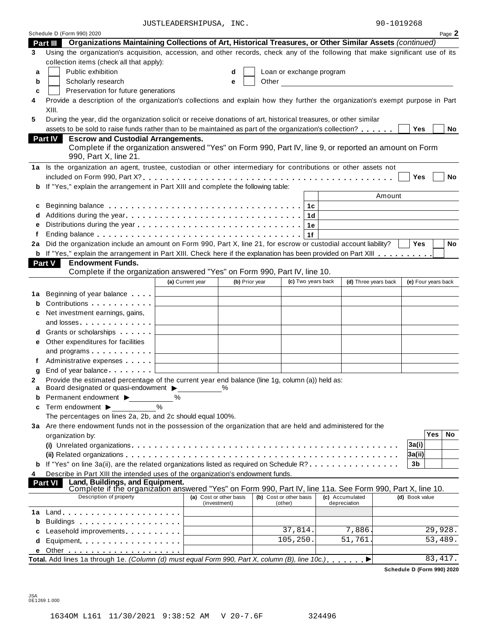JUSTLEADERSHIPUSA, INC. 90-1019268

| 90-1019268 |
|------------|
|------------|

|        |                                                                                                                                                                 | UUSILLADERSAIPUSA, INC. |              |                |                         |                          | $50 - 1019200$                                                                                                       |                     |            |           |
|--------|-----------------------------------------------------------------------------------------------------------------------------------------------------------------|-------------------------|--------------|----------------|-------------------------|--------------------------|----------------------------------------------------------------------------------------------------------------------|---------------------|------------|-----------|
|        | Schedule D (Form 990) 2020                                                                                                                                      |                         |              |                |                         |                          |                                                                                                                      |                     |            | Page 2    |
|        | Part III Organizations Maintaining Collections of Art, Historical Treasures, or Other Similar Assets (continued)                                                |                         |              |                |                         |                          |                                                                                                                      |                     |            |           |
| 3      | Using the organization's acquisition, accession, and other records, check any of the following that make significant use of its                                 |                         |              |                |                         |                          |                                                                                                                      |                     |            |           |
|        | collection items (check all that apply):<br>Public exhibition                                                                                                   |                         | d            |                |                         |                          |                                                                                                                      |                     |            |           |
| a<br>b | Scholarly research                                                                                                                                              |                         | e            | Other          |                         | Loan or exchange program |                                                                                                                      |                     |            |           |
| c      | Preservation for future generations                                                                                                                             |                         |              |                |                         |                          | <u> 1989 - Jan Barbara Barbara, prima prima prima prima prima prima prima prima prima prima prima prima prima pr</u> |                     |            |           |
| 4      | Provide a description of the organization's collections and explain how they further the organization's exempt purpose in Part                                  |                         |              |                |                         |                          |                                                                                                                      |                     |            |           |
|        | XIII.                                                                                                                                                           |                         |              |                |                         |                          |                                                                                                                      |                     |            |           |
| 5      | During the year, did the organization solicit or receive donations of art, historical treasures, or other similar                                               |                         |              |                |                         |                          |                                                                                                                      |                     |            |           |
|        | assets to be sold to raise funds rather than to be maintained as part of the organization's collection?                                                         |                         |              |                |                         |                          |                                                                                                                      | <b>Yes</b>          |            | No        |
|        | Part IV<br><b>Escrow and Custodial Arrangements.</b>                                                                                                            |                         |              |                |                         |                          |                                                                                                                      |                     |            |           |
|        | Complete if the organization answered "Yes" on Form 990, Part IV, line 9, or reported an amount on Form                                                         |                         |              |                |                         |                          |                                                                                                                      |                     |            |           |
|        | 990, Part X, line 21.                                                                                                                                           |                         |              |                |                         |                          |                                                                                                                      |                     |            |           |
|        | 1a Is the organization an agent, trustee, custodian or other intermediary for contributions or other assets not                                                 |                         |              |                |                         |                          |                                                                                                                      |                     |            |           |
|        |                                                                                                                                                                 |                         |              |                |                         |                          |                                                                                                                      | Yes                 |            | <b>No</b> |
|        | b If "Yes," explain the arrangement in Part XIII and complete the following table:                                                                              |                         |              |                |                         |                          |                                                                                                                      |                     |            |           |
|        |                                                                                                                                                                 |                         |              |                |                         |                          | Amount                                                                                                               |                     |            |           |
| c      |                                                                                                                                                                 |                         |              |                |                         | 1с                       |                                                                                                                      |                     |            |           |
| d      |                                                                                                                                                                 |                         |              |                |                         | 1d                       |                                                                                                                      |                     |            |           |
|        |                                                                                                                                                                 |                         |              |                |                         | 1e                       |                                                                                                                      |                     |            |           |
| f      |                                                                                                                                                                 |                         |              |                |                         | 1f                       |                                                                                                                      |                     |            |           |
| 2a     | Did the organization include an amount on Form 990, Part X, line 21, for escrow or custodial account liability?                                                 |                         |              |                |                         |                          |                                                                                                                      | Yes                 |            | <b>No</b> |
|        | <b>b</b> If "Yes," explain the arrangement in Part XIII. Check here if the explanation has been provided on Part XIII                                           |                         |              |                |                         |                          |                                                                                                                      |                     |            |           |
|        | Part V<br><b>Endowment Funds.</b>                                                                                                                               |                         |              |                |                         |                          |                                                                                                                      |                     |            |           |
|        | Complete if the organization answered "Yes" on Form 990, Part IV, line 10.                                                                                      |                         |              |                |                         |                          |                                                                                                                      |                     |            |           |
|        |                                                                                                                                                                 | (a) Current year        |              | (b) Prior year |                         | (c) Two years back       | (d) Three years back                                                                                                 | (e) Four years back |            |           |
|        | <b>1a</b> Beginning of year balance                                                                                                                             |                         |              |                |                         |                          |                                                                                                                      |                     |            |           |
| b      | Contributions                                                                                                                                                   |                         |              |                |                         |                          |                                                                                                                      |                     |            |           |
| c      | Net investment earnings, gains,                                                                                                                                 |                         |              |                |                         |                          |                                                                                                                      |                     |            |           |
|        | and losses                                                                                                                                                      |                         |              |                |                         |                          |                                                                                                                      |                     |            |           |
|        | <b>d</b> Grants or scholarships <b>contains</b>                                                                                                                 |                         |              |                |                         |                          |                                                                                                                      |                     |            |           |
| е      | Other expenditures for facilities                                                                                                                               |                         |              |                |                         |                          |                                                                                                                      |                     |            |           |
|        | and programs                                                                                                                                                    |                         |              |                |                         |                          |                                                                                                                      |                     |            |           |
|        | Administrative expenses                                                                                                                                         |                         |              |                |                         |                          |                                                                                                                      |                     |            |           |
| g      | End of year balance                                                                                                                                             |                         |              |                |                         |                          |                                                                                                                      |                     |            |           |
|        | Provide the estimated percentage of the current year end balance (line 1g, column (a)) held as:                                                                 |                         |              |                |                         |                          |                                                                                                                      |                     |            |           |
| a      | Board designated or quasi-endowment ▶                                                                                                                           |                         | %            |                |                         |                          |                                                                                                                      |                     |            |           |
|        | Permanent endowment ▶                                                                                                                                           | %                       |              |                |                         |                          |                                                                                                                      |                     |            |           |
| c      | Term endowment ▶                                                                                                                                                |                         |              |                |                         |                          |                                                                                                                      |                     |            |           |
|        | The percentages on lines 2a, 2b, and 2c should equal 100%.                                                                                                      |                         |              |                |                         |                          |                                                                                                                      |                     |            |           |
|        | 3a Are there endowment funds not in the possession of the organization that are held and administered for the                                                   |                         |              |                |                         |                          |                                                                                                                      |                     |            |           |
|        | organization by:                                                                                                                                                |                         |              |                |                         |                          |                                                                                                                      |                     | <b>Yes</b> | No        |
|        |                                                                                                                                                                 |                         |              |                |                         |                          |                                                                                                                      | 3a(i)               |            |           |
|        |                                                                                                                                                                 |                         |              |                |                         |                          |                                                                                                                      | 3a(ii)              |            |           |
|        | <b>b</b> If "Yes" on line 3a(ii), are the related organizations listed as required on Schedule R?                                                               |                         |              |                |                         |                          |                                                                                                                      | 3b                  |            |           |
| 4      | Describe in Part XIII the intended uses of the organization's endowment funds.                                                                                  |                         |              |                |                         |                          |                                                                                                                      |                     |            |           |
|        | Land, Buildings, and Equipment.<br><b>Part VI</b><br>Complete if the organization answered "Yes" on Form 990, Part IV, line 11a. See Form 990, Part X, line 10. |                         |              |                |                         |                          |                                                                                                                      |                     |            |           |
|        | Description of property                                                                                                                                         | (a) Cost or other basis |              |                | (b) Cost or other basis |                          | (c) Accumulated                                                                                                      | (d) Book value      |            |           |
|        |                                                                                                                                                                 |                         | (investment) |                | (other)                 |                          | depreciation                                                                                                         |                     |            |           |
| 1a     |                                                                                                                                                                 |                         |              |                |                         |                          |                                                                                                                      |                     |            |           |
|        | Buildings                                                                                                                                                       |                         |              |                | 37,814.                 |                          | 7,886.                                                                                                               |                     | 29,928.    |           |
|        | Leasehold improvements expressions and the set of the set of the set of the set of the set of the set of the s                                                  |                         |              |                | 105,250.                |                          | 51,761.                                                                                                              |                     | 53,489.    |           |
| d      | Equipment                                                                                                                                                       |                         |              |                |                         |                          |                                                                                                                      |                     |            |           |
| е      | Total. Add lines 1a through 1e. (Column (d) must equal Form 990, Part X, column (B), line 10c.),                                                                |                         |              |                |                         |                          |                                                                                                                      |                     | 83, 417.   |           |
|        |                                                                                                                                                                 |                         |              |                |                         |                          |                                                                                                                      |                     |            |           |

**Schedule D (Form 990) 2020**

JSA 0E1269 1.000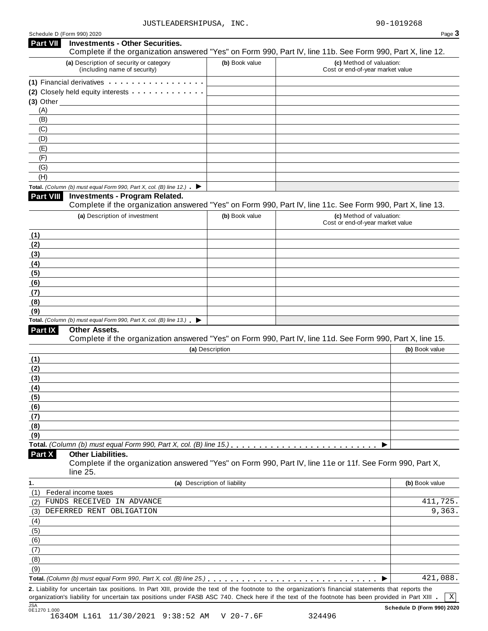| Schedule D (Form 990) 2020 |  |  |
|----------------------------|--|--|
|----------------------------|--|--|

| <b>Part VII</b>                                                       |                                                                                          |                              |                                                                                                            |
|-----------------------------------------------------------------------|------------------------------------------------------------------------------------------|------------------------------|------------------------------------------------------------------------------------------------------------|
|                                                                       | <b>Investments - Other Securities.</b>                                                   |                              | Complete if the organization answered "Yes" on Form 990, Part IV, line 11b. See Form 990, Part X, line 12. |
|                                                                       | (a) Description of security or category<br>(including name of security)                  | (b) Book value               | (c) Method of valuation:<br>Cost or end-of-year market value                                               |
|                                                                       | (1) Financial derivatives                                                                |                              |                                                                                                            |
|                                                                       |                                                                                          |                              |                                                                                                            |
|                                                                       |                                                                                          |                              |                                                                                                            |
| (A)                                                                   |                                                                                          |                              |                                                                                                            |
| (B)                                                                   |                                                                                          |                              |                                                                                                            |
| (C)                                                                   |                                                                                          |                              |                                                                                                            |
| (D)                                                                   |                                                                                          |                              |                                                                                                            |
| (E)                                                                   |                                                                                          |                              |                                                                                                            |
|                                                                       |                                                                                          |                              |                                                                                                            |
| (F)                                                                   |                                                                                          |                              |                                                                                                            |
| (G)                                                                   |                                                                                          |                              |                                                                                                            |
| (H)                                                                   |                                                                                          |                              |                                                                                                            |
|                                                                       | Total. (Column (b) must equal Form 990, Part X, col. (B) line 12.) $\blacktriangleright$ |                              |                                                                                                            |
| <b>Part VIII</b>                                                      | <b>Investments - Program Related.</b>                                                    |                              | Complete if the organization answered "Yes" on Form 990, Part IV, line 11c. See Form 990, Part X, line 13. |
|                                                                       | (a) Description of investment                                                            | (b) Book value               | (c) Method of valuation:                                                                                   |
|                                                                       |                                                                                          |                              | Cost or end-of-year market value                                                                           |
| (1)                                                                   |                                                                                          |                              |                                                                                                            |
| (2)                                                                   |                                                                                          |                              |                                                                                                            |
| (3)                                                                   |                                                                                          |                              |                                                                                                            |
| (4)                                                                   |                                                                                          |                              |                                                                                                            |
| (5)                                                                   |                                                                                          |                              |                                                                                                            |
| (6)                                                                   |                                                                                          |                              |                                                                                                            |
| (7)                                                                   |                                                                                          |                              |                                                                                                            |
|                                                                       |                                                                                          |                              |                                                                                                            |
|                                                                       |                                                                                          |                              |                                                                                                            |
| (8)<br>(9)                                                            |                                                                                          |                              |                                                                                                            |
|                                                                       | Total. (Column (b) must equal Form 990, Part X, col. (B) line $13$ .)                    |                              |                                                                                                            |
| Part IX                                                               | Other Assets.                                                                            |                              | Complete if the organization answered "Yes" on Form 990, Part IV, line 11d. See Form 990, Part X, line 15. |
|                                                                       |                                                                                          | (a) Description              | (b) Book value                                                                                             |
|                                                                       |                                                                                          |                              |                                                                                                            |
|                                                                       |                                                                                          |                              |                                                                                                            |
|                                                                       |                                                                                          |                              |                                                                                                            |
|                                                                       |                                                                                          |                              |                                                                                                            |
|                                                                       |                                                                                          |                              |                                                                                                            |
|                                                                       |                                                                                          |                              |                                                                                                            |
|                                                                       |                                                                                          |                              |                                                                                                            |
|                                                                       |                                                                                          |                              |                                                                                                            |
|                                                                       |                                                                                          |                              |                                                                                                            |
|                                                                       |                                                                                          |                              |                                                                                                            |
|                                                                       |                                                                                          |                              | ▶                                                                                                          |
| (1)<br>(2)<br>(3)<br>(4)<br>(5)<br>(6)<br>(7)<br>(8)<br>(9)<br>Part X | <b>Other Liabilities.</b>                                                                |                              | Complete if the organization answered "Yes" on Form 990, Part IV, line 11e or 11f. See Form 990, Part X,   |
|                                                                       | line 25.                                                                                 | (a) Description of liability | (b) Book value                                                                                             |
|                                                                       | Federal income taxes                                                                     |                              |                                                                                                            |
|                                                                       | FUNDS RECEIVED IN ADVANCE                                                                |                              |                                                                                                            |
|                                                                       | DEFERRED RENT OBLIGATION                                                                 |                              |                                                                                                            |
|                                                                       |                                                                                          |                              |                                                                                                            |
|                                                                       |                                                                                          |                              |                                                                                                            |
|                                                                       |                                                                                          |                              | 411,725.                                                                                                   |
| (1)<br>(2)<br>(3)<br>(4)<br>(5)<br>(6)<br>(7)                         |                                                                                          |                              | 9,363.                                                                                                     |
|                                                                       |                                                                                          |                              |                                                                                                            |
|                                                                       |                                                                                          |                              |                                                                                                            |
| (8)<br>(9)                                                            |                                                                                          |                              | 421,088.                                                                                                   |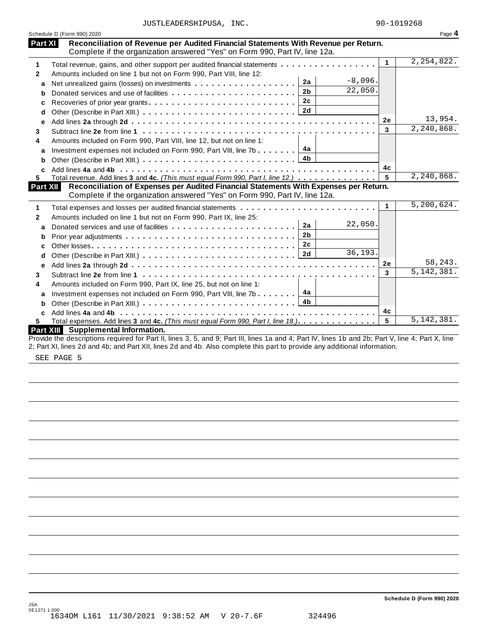JUSTLEADERSHIPUSA, INC. 200-1019268

|                | Schedule D (Form 990) 2020                                                                                                                                         |    | Page 4       |
|----------------|--------------------------------------------------------------------------------------------------------------------------------------------------------------------|----|--------------|
| <b>Part XI</b> | Reconciliation of Revenue per Audited Financial Statements With Revenue per Return.<br>Complete if the organization answered "Yes" on Form 990, Part IV, line 12a. |    |              |
| 1              | Total revenue, gains, and other support per audited financial statements                                                                                           | 1  | 2, 254, 822. |
| $\mathbf{2}$   | Amounts included on line 1 but not on Form 990, Part VIII, line 12:                                                                                                |    |              |
| a              | $-8,096.$<br>2a                                                                                                                                                    |    |              |
| b              | 22,050.<br>2 <sub>b</sub><br>Donated services and use of facilities                                                                                                |    |              |
| c              | 2 <sub>c</sub>                                                                                                                                                     |    |              |
| d              | 2d                                                                                                                                                                 |    |              |
| е              |                                                                                                                                                                    | 2e | 13,954.      |
|                |                                                                                                                                                                    | 3  | 2,240,868.   |
|                | Amounts included on Form 990, Part VIII, line 12, but not on line 1:                                                                                               |    |              |
| a              | 4a<br>Investment expenses not included on Form 990, Part VIII, line 7b                                                                                             |    |              |
| b              | 4b                                                                                                                                                                 |    |              |
| C              |                                                                                                                                                                    | 4c |              |
|                | Total revenue. Add lines 3 and 4c. (This must equal Form 990, Part I, line 12.)                                                                                    | 5  | 2,240,868.   |
| Part XII       | Reconciliation of Expenses per Audited Financial Statements With Expenses per Return.                                                                              |    |              |
|                | Complete if the organization answered "Yes" on Form 990, Part IV, line 12a.                                                                                        |    |              |
|                |                                                                                                                                                                    | 1  | 5,200,624.   |
|                | Amounts included on line 1 but not on Form 990, Part IX, line 25:                                                                                                  |    |              |
| a              | 22,050.<br>2a                                                                                                                                                      |    |              |
| b              | 2 <sub>b</sub>                                                                                                                                                     |    |              |
| C              | 2 <sub>c</sub>                                                                                                                                                     |    |              |
| d              | 36,193.<br>2d                                                                                                                                                      |    |              |
| е              |                                                                                                                                                                    | 2e | 58,243.      |
|                |                                                                                                                                                                    | 3  | 5,142,381.   |
|                | Amounts included on Form 990, Part IX, line 25, but not on line 1:                                                                                                 |    |              |
| a              | 4а<br>Investment expenses not included on Form 990, Part VIII, line 7b                                                                                             |    |              |
| b              |                                                                                                                                                                    |    |              |
| C.             |                                                                                                                                                                    | 4c |              |
|                | Total expenses. Add lines 3 and 4c. (This must equal Form 990, Part I, line 18.).                                                                                  | 5  | 5, 142, 381. |
|                | Part XIII Supplemental Information.                                                                                                                                |    |              |

SEE PAGE 5

**Schedule D (Form 990) 2020**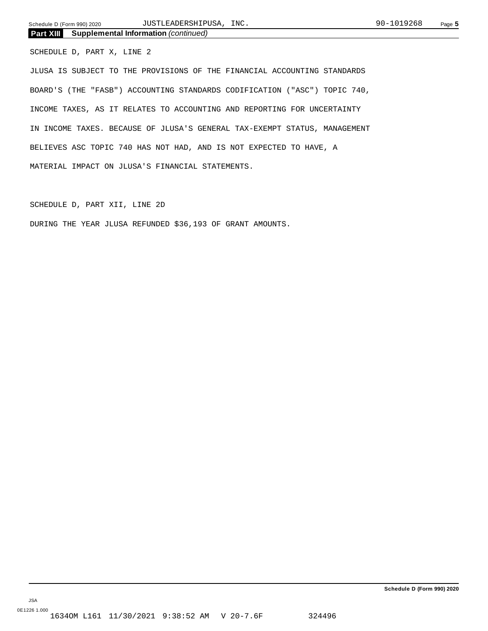Schedule D (Form 990) 2020 Page **5** JUSTLEADERSHIPUSA, INC. 90-1019268

**Part XIII Supplemental Information** *(continued)*

SCHEDULE D, PART X, LINE 2

JLUSA IS SUBJECT TO THE PROVISIONS OF THE FINANCIAL ACCOUNTING STANDARDS BOARD'S (THE "FASB") ACCOUNTING STANDARDS CODIFICATION ("ASC") TOPIC 740, INCOME TAXES, AS IT RELATES TO ACCOUNTING AND REPORTING FOR UNCERTAINTY IN INCOME TAXES. BECAUSE OF JLUSA'S GENERAL TAX-EXEMPT STATUS, MANAGEMENT BELIEVES ASC TOPIC 740 HAS NOT HAD, AND IS NOT EXPECTED TO HAVE, A MATERIAL IMPACT ON JLUSA'S FINANCIAL STATEMENTS.

SCHEDULE D, PART XII, LINE 2D

DURING THE YEAR JLUSA REFUNDED \$36,193 OF GRANT AMOUNTS.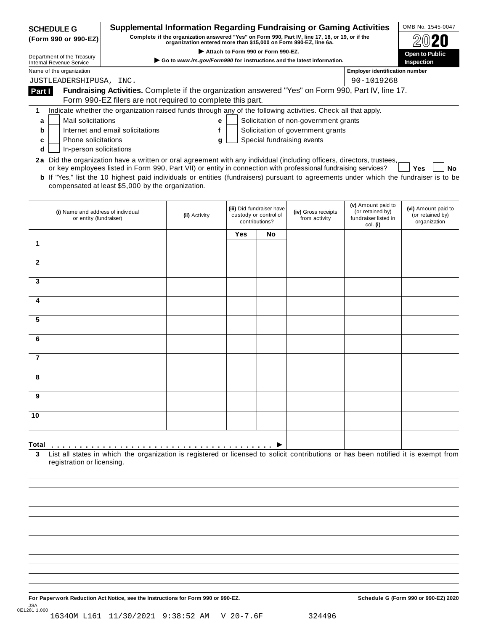| <b>Supplemental Information Regarding Fundraising or Gaming Activities</b><br><b>SCHEDULE G</b><br>Complete if the organization answered "Yes" on Form 990, Part IV, line 17, 18, or 19, or if the<br>(Form 990 or 990-EZ)<br>organization entered more than \$15,000 on Form 990-EZ, line 6a.<br>Attach to Form 990 or Form 990-EZ.<br>Department of the Treasury<br>Go to www.irs.gov/Form990 for instructions and the latest information. |                                                                                                                                                                                                                                                                                                                                                                                                                     |               |     |                                                                      |                                                                                                          | OMB No. 1545-0047<br>Open to Public                                        |                                                         |
|----------------------------------------------------------------------------------------------------------------------------------------------------------------------------------------------------------------------------------------------------------------------------------------------------------------------------------------------------------------------------------------------------------------------------------------------|---------------------------------------------------------------------------------------------------------------------------------------------------------------------------------------------------------------------------------------------------------------------------------------------------------------------------------------------------------------------------------------------------------------------|---------------|-----|----------------------------------------------------------------------|----------------------------------------------------------------------------------------------------------|----------------------------------------------------------------------------|---------------------------------------------------------|
| <b>Internal Revenue Service</b>                                                                                                                                                                                                                                                                                                                                                                                                              |                                                                                                                                                                                                                                                                                                                                                                                                                     |               |     |                                                                      |                                                                                                          |                                                                            | Inspection                                              |
| Name of the organization                                                                                                                                                                                                                                                                                                                                                                                                                     |                                                                                                                                                                                                                                                                                                                                                                                                                     |               |     |                                                                      |                                                                                                          | <b>Employer identification number</b>                                      |                                                         |
| JUSTLEADERSHIPUSA, INC.<br>Part I                                                                                                                                                                                                                                                                                                                                                                                                            | Fundraising Activities. Complete if the organization answered "Yes" on Form 990, Part IV, line 17.                                                                                                                                                                                                                                                                                                                  |               |     |                                                                      |                                                                                                          | 90-1019268                                                                 |                                                         |
|                                                                                                                                                                                                                                                                                                                                                                                                                                              | Form 990-EZ filers are not required to complete this part.                                                                                                                                                                                                                                                                                                                                                          |               |     |                                                                      |                                                                                                          |                                                                            |                                                         |
| 1<br><b>Mail solicitations</b><br>a<br>b<br><b>Phone solicitations</b><br>c<br>In-person solicitations<br>d<br>2a Did the organization have a written or oral agreement with any individual (including officers, directors, trustees,                                                                                                                                                                                                        | Indicate whether the organization raised funds through any of the following activities. Check all that apply.<br>Internet and email solicitations<br>or key employees listed in Form 990, Part VII) or entity in connection with professional fundraising services?<br><b>b</b> If "Yes," list the 10 highest paid individuals or entities (fundraisers) pursuant to agreements under which the fundraiser is to be | е<br>f<br>g   |     |                                                                      | Solicitation of non-government grants<br>Solicitation of government grants<br>Special fundraising events |                                                                            | Yes<br>No                                               |
|                                                                                                                                                                                                                                                                                                                                                                                                                                              | compensated at least \$5,000 by the organization.                                                                                                                                                                                                                                                                                                                                                                   |               |     |                                                                      |                                                                                                          |                                                                            |                                                         |
| (i) Name and address of individual<br>or entity (fundraiser)                                                                                                                                                                                                                                                                                                                                                                                 |                                                                                                                                                                                                                                                                                                                                                                                                                     | (ii) Activity |     | (iii) Did fundraiser have<br>custody or control of<br>contributions? | (iv) Gross receipts<br>from activity                                                                     | (v) Amount paid to<br>(or retained by)<br>fundraiser listed in<br>col. (i) | (vi) Amount paid to<br>(or retained by)<br>organization |
|                                                                                                                                                                                                                                                                                                                                                                                                                                              |                                                                                                                                                                                                                                                                                                                                                                                                                     |               | Yes | No                                                                   |                                                                                                          |                                                                            |                                                         |
| 1                                                                                                                                                                                                                                                                                                                                                                                                                                            |                                                                                                                                                                                                                                                                                                                                                                                                                     |               |     |                                                                      |                                                                                                          |                                                                            |                                                         |
| $\mathbf{2}$                                                                                                                                                                                                                                                                                                                                                                                                                                 |                                                                                                                                                                                                                                                                                                                                                                                                                     |               |     |                                                                      |                                                                                                          |                                                                            |                                                         |
| 3                                                                                                                                                                                                                                                                                                                                                                                                                                            |                                                                                                                                                                                                                                                                                                                                                                                                                     |               |     |                                                                      |                                                                                                          |                                                                            |                                                         |
| 4                                                                                                                                                                                                                                                                                                                                                                                                                                            |                                                                                                                                                                                                                                                                                                                                                                                                                     |               |     |                                                                      |                                                                                                          |                                                                            |                                                         |
| 5                                                                                                                                                                                                                                                                                                                                                                                                                                            |                                                                                                                                                                                                                                                                                                                                                                                                                     |               |     |                                                                      |                                                                                                          |                                                                            |                                                         |
| 6                                                                                                                                                                                                                                                                                                                                                                                                                                            |                                                                                                                                                                                                                                                                                                                                                                                                                     |               |     |                                                                      |                                                                                                          |                                                                            |                                                         |
| $\overline{7}$                                                                                                                                                                                                                                                                                                                                                                                                                               |                                                                                                                                                                                                                                                                                                                                                                                                                     |               |     |                                                                      |                                                                                                          |                                                                            |                                                         |
|                                                                                                                                                                                                                                                                                                                                                                                                                                              |                                                                                                                                                                                                                                                                                                                                                                                                                     |               |     |                                                                      |                                                                                                          |                                                                            |                                                         |
| 9                                                                                                                                                                                                                                                                                                                                                                                                                                            |                                                                                                                                                                                                                                                                                                                                                                                                                     |               |     |                                                                      |                                                                                                          |                                                                            |                                                         |
| 10                                                                                                                                                                                                                                                                                                                                                                                                                                           |                                                                                                                                                                                                                                                                                                                                                                                                                     |               |     |                                                                      |                                                                                                          |                                                                            |                                                         |
| Total<br>3                                                                                                                                                                                                                                                                                                                                                                                                                                   | List all states in which the organization is registered or licensed to solicit contributions or has been notified it is exempt from                                                                                                                                                                                                                                                                                 |               |     |                                                                      |                                                                                                          |                                                                            |                                                         |
| registration or licensing.                                                                                                                                                                                                                                                                                                                                                                                                                   |                                                                                                                                                                                                                                                                                                                                                                                                                     |               |     |                                                                      |                                                                                                          |                                                                            |                                                         |

For Paperwork Reduction Act Notice, see the Instructions for Form 990 or 990-EZ. Schedule G (Form 990 or 990-EZ) 2020 JSA 0E1281 1.000 1634OM L161 11/30/2021 9:38:52 AM V 20-7.6F 324496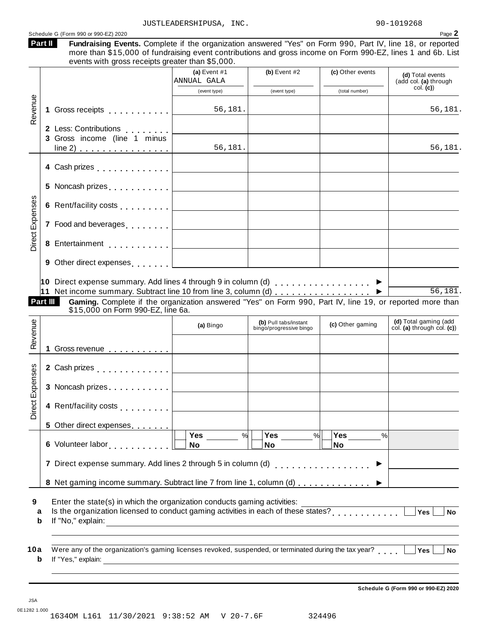#### JUSTLEADERSHIPUSA, INC.

| Schedule G (Form 990 or 990-EZ) 2020 | Part II<br>Fundraising Events. Complete if the organization answered "Yes" on Form 990, Part IV, line 18, or reported<br>more than \$15,000 of fundraising event contributions and gross income on Form 990-EZ, lines 1 and 6b. List<br>events with gross receipts greater than \$5,000. |                                                                                                                                                                                                                                      |                                                  |                  |                                                     |
|--------------------------------------|------------------------------------------------------------------------------------------------------------------------------------------------------------------------------------------------------------------------------------------------------------------------------------------|--------------------------------------------------------------------------------------------------------------------------------------------------------------------------------------------------------------------------------------|--------------------------------------------------|------------------|-----------------------------------------------------|
|                                      |                                                                                                                                                                                                                                                                                          | (a) Event $#1$<br>ANNUAL GALA                                                                                                                                                                                                        | (b) Event $#2$                                   | (c) Other events | (d) Total events<br>(add col. (a) through           |
|                                      |                                                                                                                                                                                                                                                                                          | (event type)                                                                                                                                                                                                                         | (event type)                                     | (total number)   | col. (c)                                            |
| Revenue                              | 1 Gross receipts <u>  _ _ _ _</u>                                                                                                                                                                                                                                                        | 56,181.                                                                                                                                                                                                                              |                                                  |                  | 56,181.                                             |
|                                      | 2 Less: Contributions                                                                                                                                                                                                                                                                    |                                                                                                                                                                                                                                      |                                                  |                  |                                                     |
|                                      | 3 Gross income (line 1 minus                                                                                                                                                                                                                                                             | 56,181.                                                                                                                                                                                                                              |                                                  |                  | 56,181.                                             |
|                                      |                                                                                                                                                                                                                                                                                          | <u> 1999 - Jan Stein Stein Stein Stein Stein Stein Stein Stein Stein Stein Stein Stein Stein Stein Stein Stein Stein Stein Stein Stein Stein Stein Stein Stein Stein Stein Stein Stein Stein Stein Stein Stein Stein Stein Stein</u> |                                                  |                  |                                                     |
|                                      |                                                                                                                                                                                                                                                                                          |                                                                                                                                                                                                                                      |                                                  |                  |                                                     |
|                                      |                                                                                                                                                                                                                                                                                          |                                                                                                                                                                                                                                      |                                                  |                  |                                                     |
|                                      | 7 Food and beverages entertainment and the set of the set of the set of the set of the set of the set of the s                                                                                                                                                                           |                                                                                                                                                                                                                                      |                                                  |                  |                                                     |
|                                      |                                                                                                                                                                                                                                                                                          |                                                                                                                                                                                                                                      |                                                  |                  |                                                     |
|                                      |                                                                                                                                                                                                                                                                                          |                                                                                                                                                                                                                                      |                                                  |                  |                                                     |
|                                      | 9 Other direct expenses<br>10 Direct expense summary. Add lines 4 through 9 in column (d) $\ldots \ldots \ldots \ldots$<br>Part III<br>Gaming. Complete if the organization answered "Yes" on Form 990, Part IV, line 19, or reported more than<br>\$15,000 on Form 990-EZ, line 6a.     |                                                                                                                                                                                                                                      |                                                  |                  |                                                     |
|                                      | 1.<br>Gross revenue                                                                                                                                                                                                                                                                      | (a) Bingo                                                                                                                                                                                                                            | (b) Pull tabs/instant<br>bingo/progressive bingo | (c) Other gaming | (d) Total gaming (add                               |
|                                      | 2 Cash prizes<br>.                                                                                                                                                                                                                                                                       |                                                                                                                                                                                                                                      |                                                  |                  |                                                     |
|                                      |                                                                                                                                                                                                                                                                                          |                                                                                                                                                                                                                                      |                                                  |                  |                                                     |
|                                      | 4 Rent/facility costs                                                                                                                                                                                                                                                                    | the contract of the contract of the contract of                                                                                                                                                                                      |                                                  |                  | $\overline{56,181}$ .<br>col. (a) through col. (c)) |
|                                      | 5 Other direct expenses [10001]                                                                                                                                                                                                                                                          |                                                                                                                                                                                                                                      |                                                  |                  |                                                     |
|                                      | 6 Volunteer labor [1, 1, 1, 1, 1, 1]                                                                                                                                                                                                                                                     | Yes<br>$\overline{\frac{9}{6}}$<br>No                                                                                                                                                                                                | Yes<br>$\frac{9}{6}$<br>No                       | Yes<br>%<br>No   |                                                     |
|                                      |                                                                                                                                                                                                                                                                                          |                                                                                                                                                                                                                                      |                                                  |                  |                                                     |
|                                      | 8 Net gaming income summary. Subtract line 7 from line 1, column (d) ▶                                                                                                                                                                                                                   |                                                                                                                                                                                                                                      |                                                  |                  |                                                     |
| a<br>b                               | Enter the state(s) in which the organization conducts gaming activities:<br>Effer the state(s) in which the organization conducts gaming activities.<br>Is the organization licensed to conduct gaming activities in each of these states?                                               | and the control of the control of the control of the control of the control of the control of the control of the                                                                                                                     |                                                  |                  | Yes<br><b>No</b>                                    |

**Schedule G (Form 990 or 990-EZ) 2020**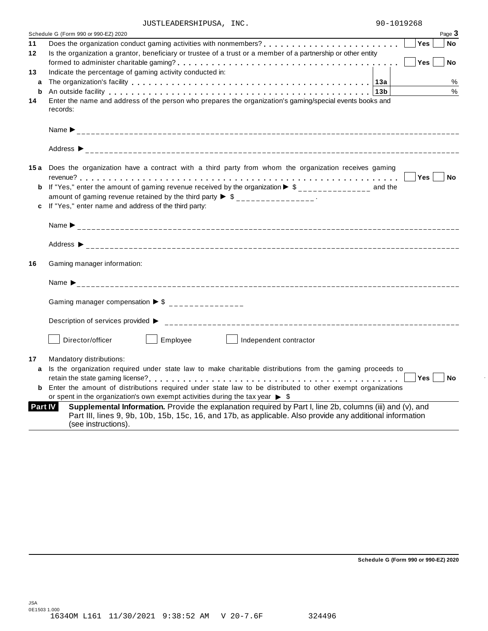| JUSTLEADERSHIPUSA, | INC. |
|--------------------|------|
|--------------------|------|

|    | Page 3<br>Schedule G (Form 990 or 990-EZ) 2020                                                                                                                                                                                                           |
|----|----------------------------------------------------------------------------------------------------------------------------------------------------------------------------------------------------------------------------------------------------------|
| 11 | <b>Yes</b><br>No                                                                                                                                                                                                                                         |
| 12 | Is the organization a grantor, beneficiary or trustee of a trust or a member of a partnership or other entity                                                                                                                                            |
|    | Yes<br><b>No</b>                                                                                                                                                                                                                                         |
| 13 | Indicate the percentage of gaming activity conducted in:                                                                                                                                                                                                 |
| a  | %                                                                                                                                                                                                                                                        |
| b  | %<br>An outside facility enterpreteration of the control of the control of the control of the control of the control of the control of the control of the control of the control of the control of the control of the control of th                      |
| 14 | Enter the name and address of the person who prepares the organization's gaming/special events books and                                                                                                                                                 |
|    | records:                                                                                                                                                                                                                                                 |
|    |                                                                                                                                                                                                                                                          |
|    |                                                                                                                                                                                                                                                          |
|    | 15a Does the organization have a contract with a third party from whom the organization receives gaming                                                                                                                                                  |
|    | Yes No                                                                                                                                                                                                                                                   |
|    | <b>b</b> If "Yes," enter the amount of gaming revenue received by the organization $\triangleright$ \$______________ and the                                                                                                                             |
|    | amount of gaming revenue retained by the third party $\triangleright$ \$ _______________.                                                                                                                                                                |
|    | c If "Yes," enter name and address of the third party:                                                                                                                                                                                                   |
|    |                                                                                                                                                                                                                                                          |
|    |                                                                                                                                                                                                                                                          |
|    |                                                                                                                                                                                                                                                          |
| 16 | Gaming manager information:                                                                                                                                                                                                                              |
|    |                                                                                                                                                                                                                                                          |
|    | Gaming manager compensation $\triangleright$ \$ ______________                                                                                                                                                                                           |
|    | Description of services provided ▶                                                                                                                                                                                                                       |
|    | Director/officer<br>Employee<br>Independent contractor                                                                                                                                                                                                   |
| 17 | Mandatory distributions:                                                                                                                                                                                                                                 |
| a  | Is the organization required under state law to make charitable distributions from the gaming proceeds to                                                                                                                                                |
|    | Yes<br><b>No</b>                                                                                                                                                                                                                                         |
|    | <b>b</b> Enter the amount of distributions required under state law to be distributed to other exempt organizations                                                                                                                                      |
|    | or spent in the organization's own exempt activities during the tax year $\triangleright$ \$                                                                                                                                                             |
|    | Supplemental Information. Provide the explanation required by Part I, line 2b, columns (iii) and (v), and<br>Part IV<br>Part III, lines 9, 9b, 10b, 15b, 15c, 16, and 17b, as applicable. Also provide any additional information<br>(see instructions). |

**Schedule G (Form 990 or 990-EZ) 2020**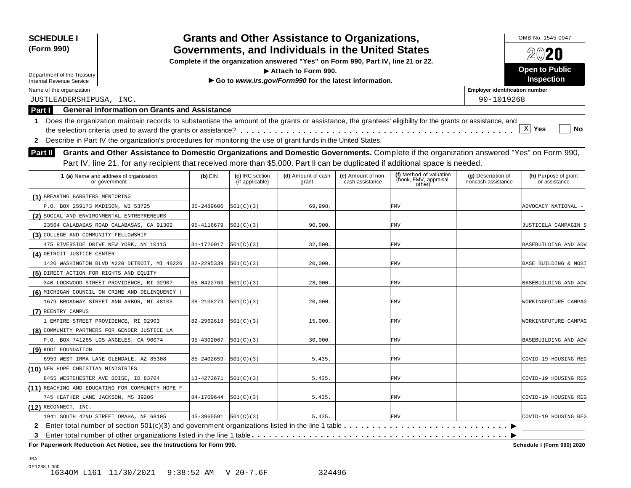| <b>SCHEDULE I</b>                                                                                                                                                         |                                                   |                                    | <b>Grants and Other Assistance to Organizations,</b>                             |                                       |                                                             |                                          | OMB No. 1545-0047                     |  |
|---------------------------------------------------------------------------------------------------------------------------------------------------------------------------|---------------------------------------------------|------------------------------------|----------------------------------------------------------------------------------|---------------------------------------|-------------------------------------------------------------|------------------------------------------|---------------------------------------|--|
| (Form 990)                                                                                                                                                                | Governments, and Individuals in the United States |                                    |                                                                                  |                                       |                                                             |                                          |                                       |  |
|                                                                                                                                                                           |                                                   |                                    | Complete if the organization answered "Yes" on Form 990, Part IV, line 21 or 22. |                                       |                                                             |                                          | 2020                                  |  |
| Department of the Treasury                                                                                                                                                |                                                   |                                    | Attach to Form 990.                                                              |                                       |                                                             |                                          | <b>Open to Public</b>                 |  |
| <b>Internal Revenue Service</b>                                                                                                                                           |                                                   |                                    | Go to www.irs.gov/Form990 for the latest information.                            |                                       |                                                             |                                          | <b>Inspection</b>                     |  |
| Name of the organization                                                                                                                                                  |                                                   |                                    |                                                                                  |                                       |                                                             | <b>Employer identification number</b>    |                                       |  |
| JUSTLEADERSHIPUSA, INC.                                                                                                                                                   |                                                   |                                    |                                                                                  |                                       |                                                             | 90-1019268                               |                                       |  |
| <b>General Information on Grants and Assistance</b><br>Part I                                                                                                             |                                                   |                                    |                                                                                  |                                       |                                                             |                                          |                                       |  |
| Does the organization maintain records to substantiate the amount of the grants or assistance, the grantees' eligibility for the grants or assistance, and<br>$\mathbf 1$ |                                                   |                                    |                                                                                  |                                       |                                                             |                                          |                                       |  |
|                                                                                                                                                                           |                                                   |                                    |                                                                                  |                                       |                                                             |                                          | X <br>Yes<br>No                       |  |
| Describe in Part IV the organization's procedures for monitoring the use of grant funds in the United States.<br>2                                                        |                                                   |                                    |                                                                                  |                                       |                                                             |                                          |                                       |  |
| Grants and Other Assistance to Domestic Organizations and Domestic Governments. Complete if the organization answered "Yes" on Form 990,<br>Part II                       |                                                   |                                    |                                                                                  |                                       |                                                             |                                          |                                       |  |
|                                                                                                                                                                           |                                                   |                                    |                                                                                  |                                       |                                                             |                                          |                                       |  |
| Part IV, line 21, for any recipient that received more than \$5,000. Part II can be duplicated if additional space is needed.                                             |                                                   |                                    |                                                                                  |                                       |                                                             |                                          |                                       |  |
| 1 (a) Name and address of organization<br>or government                                                                                                                   | $(b)$ EIN                                         | (c) IRC section<br>(if applicable) | (d) Amount of cash<br>grant                                                      | (e) Amount of non-<br>cash assistance | (f) Method of valuation<br>(book, FMV, appraisal,<br>other) | (g) Description of<br>noncash assistance | (h) Purpose of grant<br>or assistance |  |
| (1) BREAKING BARRIERS MENTORING                                                                                                                                           |                                                   |                                    |                                                                                  |                                       |                                                             |                                          |                                       |  |
| P.O. BOX 259173 MADISON, WI 53725                                                                                                                                         | 35-2489606                                        | 501(C)(3)                          | 69,998.                                                                          |                                       | <b>FMV</b>                                                  |                                          | ADVOCACY NATIONAL -                   |  |
| (2) SOCIAL AND ENVIRONMENTAL ENTREPRENEURS                                                                                                                                |                                                   |                                    |                                                                                  |                                       |                                                             |                                          |                                       |  |
| 23564 CALABASAS ROAD CALABASAS, CA 91302                                                                                                                                  | 95-4116679                                        | 501(C)(3)                          | 90,000.                                                                          |                                       | <b>FMV</b>                                                  |                                          | JUSTICELA CAMPAGIN S                  |  |
| (3) COLLEGE AND COMMUNITY FELLOWSHIP                                                                                                                                      |                                                   |                                    |                                                                                  |                                       |                                                             |                                          |                                       |  |
| 475 RIVERSIDE DRIVE NEW YORK, NY 10115                                                                                                                                    | 31-1720017                                        | 501(C)(3)                          | 32,500.                                                                          |                                       | <b>FMV</b>                                                  |                                          | BASEBUILDING AND ADV                  |  |
| (4) DETROIT JUSTICE CENTER                                                                                                                                                |                                                   |                                    |                                                                                  |                                       |                                                             |                                          |                                       |  |
| 1420 WASHINGTON BLVD #220 DETROIT, MI 48226                                                                                                                               | 82-2295339                                        | 501(C)(3)                          | 20,000.                                                                          |                                       | <b>FMV</b>                                                  |                                          | BASE BUILDING & MOBI                  |  |
| (5) DIRECT ACTION FOR RIGHTS AND EQUITY                                                                                                                                   |                                                   |                                    |                                                                                  |                                       |                                                             |                                          |                                       |  |
| 340 LOCKWOOD STREET PROVIDENCE, RI 02907                                                                                                                                  | 05-0422763                                        | 501(C)(3)                          | 28,000.                                                                          |                                       | <b>FMV</b>                                                  |                                          | BASEBUILDING AND ADV                  |  |
| (6) MICHIGAN COUNCIL ON CRIME AND DELINQUENCY (                                                                                                                           |                                                   |                                    |                                                                                  |                                       |                                                             |                                          |                                       |  |
| 1679 BROADWAY STREET ANN ARBOR, MI 48105                                                                                                                                  | 38-2108273                                        | 501(C)(3)                          | 20,000.                                                                          |                                       | <b>FMV</b>                                                  |                                          | WORKINGFUTURE CAMPAG                  |  |
| (7) REENTRY CAMPUS                                                                                                                                                        |                                                   |                                    |                                                                                  |                                       |                                                             |                                          |                                       |  |
| 1 EMPIRE STREET PROVIDENCE, RI 02903                                                                                                                                      | 82-2962618                                        | 501(C)(3)                          | 15,000.                                                                          |                                       | <b>FMV</b>                                                  |                                          | WORKINGFUTURE CAMPAG                  |  |
| (8) COMMUNITY PARTNERS FOR GENDER JUSTICE LA                                                                                                                              |                                                   |                                    |                                                                                  |                                       |                                                             |                                          |                                       |  |
| P.O. BOX 741265 LOS ANGELES, CA 90074                                                                                                                                     | 95-4302067                                        | 501(C)(3)                          | 30,000.                                                                          |                                       | <b>FMV</b>                                                  |                                          | BASEBUILDING AND ADV                  |  |
| (9) KODI FOUNDATION                                                                                                                                                       |                                                   |                                    |                                                                                  |                                       |                                                             |                                          |                                       |  |
| 6959 WEST IRMA LANE GLENDALE, AZ 85308                                                                                                                                    | 85-2402659                                        | 501(C)(3)                          | 5,435.                                                                           |                                       | <b>FMV</b>                                                  |                                          | COVID-19 HOUSING REG                  |  |
| (10) NEW HOPE CHRISTIAN MINISTRIES                                                                                                                                        |                                                   |                                    |                                                                                  |                                       |                                                             |                                          |                                       |  |
| 8455 WESTCHESTER AVE BOISE, ID 83704                                                                                                                                      | 13-4273671                                        | 501(C)(3)                          | 5,435.                                                                           |                                       | <b>FMV</b>                                                  |                                          | COVID-19 HOUSING REG                  |  |
| (11) REACHING AND EDUCATING FOR COMMUNITY HOPE F                                                                                                                          |                                                   |                                    |                                                                                  |                                       |                                                             |                                          |                                       |  |
| 745 HEATHER LANE JACKSON, MS 39206                                                                                                                                        | 84-1709644                                        | 501(C)(3)                          | 5,435.                                                                           |                                       | <b>FMV</b>                                                  |                                          | COVID-19 HOUSING REG                  |  |
| (12) RECONNECT, INC.                                                                                                                                                      |                                                   |                                    |                                                                                  |                                       |                                                             |                                          |                                       |  |
| 1941 SOUTH 42ND STREET OMAHA, NE 68105                                                                                                                                    | $45-3965591$ $ 501(C)(3) $                        |                                    | 5,435.                                                                           |                                       | <b>FMV</b>                                                  |                                          | COVID-19 HOUSING REG                  |  |
|                                                                                                                                                                           |                                                   |                                    |                                                                                  |                                       |                                                             |                                          |                                       |  |
| 3                                                                                                                                                                         |                                                   |                                    |                                                                                  |                                       |                                                             |                                          |                                       |  |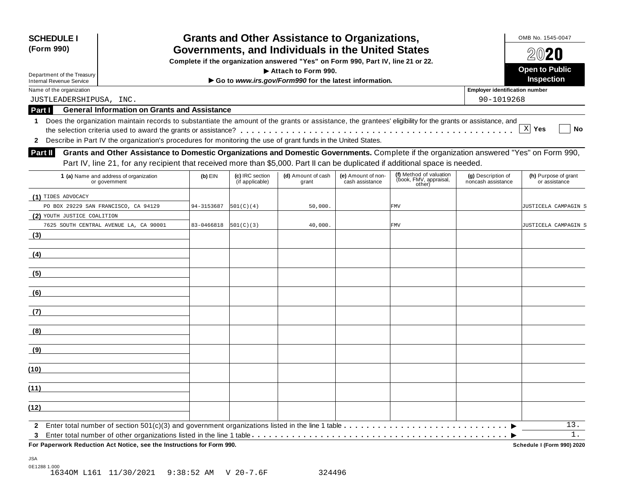| <b>SCHEDULE I</b><br>(Form 990)                               |                                                                                                                                                                                                                                                                           |            |                                    | <b>Grants and Other Assistance to Organizations,</b><br>Governments, and Individuals in the United States |                                       |                                                             |                                          | OMB No. 1545-0047<br>2020             |
|---------------------------------------------------------------|---------------------------------------------------------------------------------------------------------------------------------------------------------------------------------------------------------------------------------------------------------------------------|------------|------------------------------------|-----------------------------------------------------------------------------------------------------------|---------------------------------------|-------------------------------------------------------------|------------------------------------------|---------------------------------------|
|                                                               | Complete if the organization answered "Yes" on Form 990, Part IV, line 21 or 22.                                                                                                                                                                                          |            |                                    |                                                                                                           |                                       |                                                             |                                          |                                       |
|                                                               |                                                                                                                                                                                                                                                                           |            |                                    | Attach to Form 990.                                                                                       |                                       |                                                             |                                          | <b>Open to Public</b>                 |
| Department of the Treasury<br><b>Internal Revenue Service</b> |                                                                                                                                                                                                                                                                           |            |                                    | Go to www.irs.gov/Form990 for the latest information.                                                     |                                       |                                                             |                                          | Inspection                            |
| Name of the organization                                      |                                                                                                                                                                                                                                                                           |            |                                    |                                                                                                           |                                       |                                                             | Employer identification number           |                                       |
| JUSTLEADERSHIPUSA, INC.                                       |                                                                                                                                                                                                                                                                           |            |                                    |                                                                                                           |                                       |                                                             | 90-1019268                               |                                       |
| Part I                                                        | <b>General Information on Grants and Assistance</b>                                                                                                                                                                                                                       |            |                                    |                                                                                                           |                                       |                                                             |                                          |                                       |
| 1                                                             | Does the organization maintain records to substantiate the amount of the grants or assistance, the grantees' eligibility for the grants or assistance, and                                                                                                                |            |                                    |                                                                                                           |                                       |                                                             |                                          |                                       |
|                                                               |                                                                                                                                                                                                                                                                           |            |                                    |                                                                                                           |                                       |                                                             |                                          | $X$ Yes<br>No                         |
| $\mathbf{2}$                                                  | Describe in Part IV the organization's procedures for monitoring the use of grant funds in the United States.                                                                                                                                                             |            |                                    |                                                                                                           |                                       |                                                             |                                          |                                       |
| <b>Part II</b>                                                | Grants and Other Assistance to Domestic Organizations and Domestic Governments. Complete if the organization answered "Yes" on Form 990,<br>Part IV, line 21, for any recipient that received more than \$5,000. Part II can be duplicated if additional space is needed. |            |                                    |                                                                                                           |                                       |                                                             |                                          |                                       |
|                                                               | 1 (a) Name and address of organization<br>or government                                                                                                                                                                                                                   | $(b)$ EIN  | (c) IRC section<br>(if applicable) | (d) Amount of cash<br>grant                                                                               | (e) Amount of non-<br>cash assistance | (f) Method of valuation<br>(book, FMV, appraisal,<br>other) | (g) Description of<br>noncash assistance | (h) Purpose of grant<br>or assistance |
| (1) TIDES ADVOCACY                                            |                                                                                                                                                                                                                                                                           |            |                                    |                                                                                                           |                                       |                                                             |                                          |                                       |
|                                                               | PO BOX 29229 SAN FRANCISCO, CA 94129                                                                                                                                                                                                                                      | 94-3153687 | 501(C)(4)                          | 50,000.                                                                                                   |                                       | FMV                                                         |                                          | JUSTICELA CAMPAGIN S                  |
| (2) YOUTH JUSTICE COALITION                                   |                                                                                                                                                                                                                                                                           |            |                                    |                                                                                                           |                                       |                                                             |                                          |                                       |
|                                                               | 7625 SOUTH CENTRAL AVENUE LA, CA 90001                                                                                                                                                                                                                                    | 83-0466818 | 501(C)(3)                          | 40,000.                                                                                                   |                                       | FMV                                                         |                                          | JUSTICELA CAMPAGIN S                  |
| (3)                                                           |                                                                                                                                                                                                                                                                           |            |                                    |                                                                                                           |                                       |                                                             |                                          |                                       |
| (4)                                                           |                                                                                                                                                                                                                                                                           |            |                                    |                                                                                                           |                                       |                                                             |                                          |                                       |
| (5)                                                           |                                                                                                                                                                                                                                                                           |            |                                    |                                                                                                           |                                       |                                                             |                                          |                                       |
| (6)                                                           |                                                                                                                                                                                                                                                                           |            |                                    |                                                                                                           |                                       |                                                             |                                          |                                       |
| (7)                                                           |                                                                                                                                                                                                                                                                           |            |                                    |                                                                                                           |                                       |                                                             |                                          |                                       |
| (8)                                                           |                                                                                                                                                                                                                                                                           |            |                                    |                                                                                                           |                                       |                                                             |                                          |                                       |
| (9)                                                           |                                                                                                                                                                                                                                                                           |            |                                    |                                                                                                           |                                       |                                                             |                                          |                                       |
| (10)                                                          |                                                                                                                                                                                                                                                                           |            |                                    |                                                                                                           |                                       |                                                             |                                          |                                       |
| (11)                                                          |                                                                                                                                                                                                                                                                           |            |                                    |                                                                                                           |                                       |                                                             |                                          |                                       |
| (12)                                                          |                                                                                                                                                                                                                                                                           |            |                                    |                                                                                                           |                                       |                                                             |                                          |                                       |
| $\mathbf{2}$<br>3                                             |                                                                                                                                                                                                                                                                           |            |                                    |                                                                                                           |                                       |                                                             |                                          | 13.<br>$1$ .                          |
|                                                               | For Paperwork Reduction Act Notice, see the Instructions for Form 990.                                                                                                                                                                                                    |            |                                    |                                                                                                           |                                       |                                                             |                                          | Schedule I (Form 990) 2020            |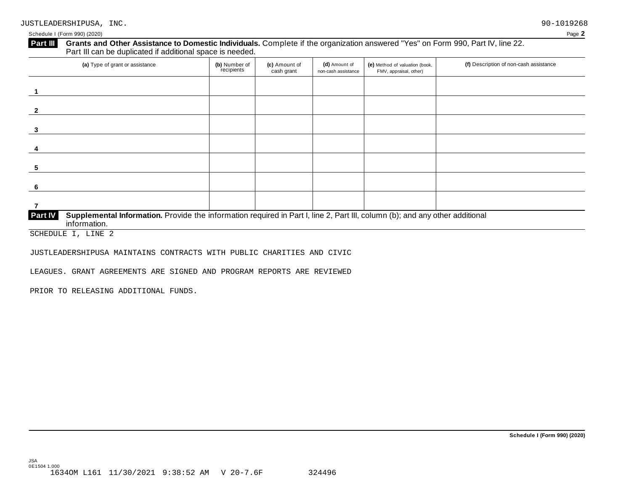#### **Grants and Other Assistance to Domestic Individuals.** Complete ifthe organization answered "Yes" on Form 990, Part IV, line 22. **Part III** Grants and Other Assistance to Domestic Individuals<br>Part III can be duplicated if additional space is needed.

| (a) Type of grant or assistance                                                                                                                                | (b) Number of<br>recipients | (c) Amount of<br>cash grant | (d) Amount of<br>non-cash assistance | (e) Method of valuation (book,<br>FMV, appraisal, other) | (f) Description of non-cash assistance |
|----------------------------------------------------------------------------------------------------------------------------------------------------------------|-----------------------------|-----------------------------|--------------------------------------|----------------------------------------------------------|----------------------------------------|
|                                                                                                                                                                |                             |                             |                                      |                                                          |                                        |
|                                                                                                                                                                |                             |                             |                                      |                                                          |                                        |
|                                                                                                                                                                |                             |                             |                                      |                                                          |                                        |
| 3                                                                                                                                                              |                             |                             |                                      |                                                          |                                        |
|                                                                                                                                                                |                             |                             |                                      |                                                          |                                        |
|                                                                                                                                                                |                             |                             |                                      |                                                          |                                        |
| 6                                                                                                                                                              |                             |                             |                                      |                                                          |                                        |
|                                                                                                                                                                |                             |                             |                                      |                                                          |                                        |
| Supplemental Information. Provide the information required in Part I, line 2, Part III, column (b); and any other additional<br><b>Part IV</b><br>information. |                             |                             |                                      |                                                          |                                        |

SCHEDULE I, LINE 2

JUSTLEADERSHIPUSA MAINTAINS CONTRACTS WITH PUBLIC CHARITIES AND CIVIC

LEAGUES. GRANT AGREEMENTS ARE SIGNED AND PROGRAM REPORTS ARE REVIEWED

PRIOR TO RELEASING ADDITIONAL FUNDS.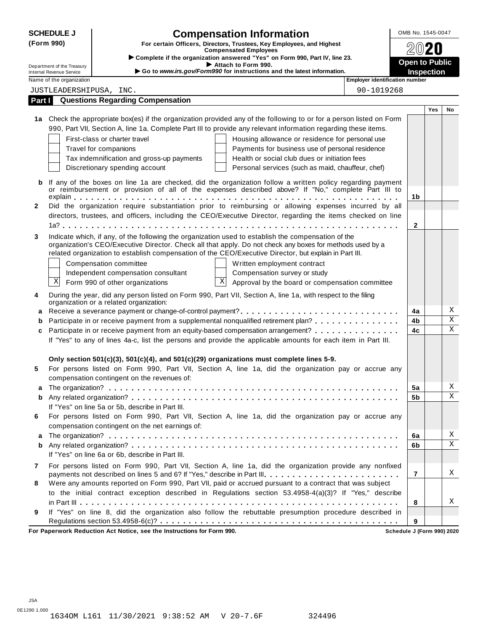|              | <b>SCHEDULE J</b>                                      | <b>Compensation Information</b>                                                                                                                                                                                                                                                                                            | OMB No. 1545-0047     |     |             |  |  |
|--------------|--------------------------------------------------------|----------------------------------------------------------------------------------------------------------------------------------------------------------------------------------------------------------------------------------------------------------------------------------------------------------------------------|-----------------------|-----|-------------|--|--|
|              | (Form 990)                                             | For certain Officers, Directors, Trustees, Key Employees, and Highest                                                                                                                                                                                                                                                      |                       |     |             |  |  |
|              |                                                        | <b>Compensated Employees</b><br>Complete if the organization answered "Yes" on Form 990, Part IV, line 23.                                                                                                                                                                                                                 | <b>Open to Public</b> |     |             |  |  |
|              | Department of the Treasury<br>Internal Revenue Service | Attach to Form 990.<br>Go to www.irs.gov/Form990 for instructions and the latest information.                                                                                                                                                                                                                              | <b>Inspection</b>     |     |             |  |  |
|              | Name of the organization                               | Employer identification number                                                                                                                                                                                                                                                                                             |                       |     |             |  |  |
|              | JUSTLEADERSHIPUSA, INC.                                | 90-1019268                                                                                                                                                                                                                                                                                                                 |                       |     |             |  |  |
| Part I       |                                                        | <b>Questions Regarding Compensation</b>                                                                                                                                                                                                                                                                                    |                       |     |             |  |  |
|              |                                                        |                                                                                                                                                                                                                                                                                                                            |                       | Yes | No          |  |  |
|              |                                                        | 1a Check the appropriate box(es) if the organization provided any of the following to or for a person listed on Form<br>990, Part VII, Section A, line 1a. Complete Part III to provide any relevant information regarding these items.                                                                                    |                       |     |             |  |  |
|              |                                                        | First-class or charter travel                                                                                                                                                                                                                                                                                              |                       |     |             |  |  |
|              |                                                        | Housing allowance or residence for personal use<br>Travel for companions<br>Payments for business use of personal residence                                                                                                                                                                                                |                       |     |             |  |  |
|              |                                                        | Tax indemnification and gross-up payments<br>Health or social club dues or initiation fees                                                                                                                                                                                                                                 |                       |     |             |  |  |
|              |                                                        | Discretionary spending account<br>Personal services (such as maid, chauffeur, chef)                                                                                                                                                                                                                                        |                       |     |             |  |  |
|              |                                                        |                                                                                                                                                                                                                                                                                                                            |                       |     |             |  |  |
| b            |                                                        | If any of the boxes on line 1a are checked, did the organization follow a written policy regarding payment<br>or reimbursement or provision of all of the expenses described above? If "No," complete Part III to                                                                                                          |                       |     |             |  |  |
|              |                                                        |                                                                                                                                                                                                                                                                                                                            | 1b                    |     |             |  |  |
| $\mathbf{2}$ |                                                        | Did the organization require substantiation prior to reimbursing or allowing expenses incurred by all<br>directors, trustees, and officers, including the CEO/Executive Director, regarding the items checked on line                                                                                                      |                       |     |             |  |  |
|              |                                                        |                                                                                                                                                                                                                                                                                                                            | 2                     |     |             |  |  |
| 3            |                                                        | Indicate which, if any, of the following the organization used to establish the compensation of the<br>organization's CEO/Executive Director. Check all that apply. Do not check any boxes for methods used by a<br>related organization to establish compensation of the CEO/Executive Director, but explain in Part III. |                       |     |             |  |  |
|              |                                                        | Compensation committee<br>Written employment contract                                                                                                                                                                                                                                                                      |                       |     |             |  |  |
|              |                                                        | Independent compensation consultant<br>Compensation survey or study                                                                                                                                                                                                                                                        |                       |     |             |  |  |
|              | Χ                                                      | Χ<br>Form 990 of other organizations<br>Approval by the board or compensation committee                                                                                                                                                                                                                                    |                       |     |             |  |  |
| 4            |                                                        | During the year, did any person listed on Form 990, Part VII, Section A, line 1a, with respect to the filing<br>organization or a related organization:                                                                                                                                                                    |                       |     |             |  |  |
| a            |                                                        |                                                                                                                                                                                                                                                                                                                            | 4a                    |     | Χ           |  |  |
| b            |                                                        | Participate in or receive payment from a supplemental nonqualified retirement plan?                                                                                                                                                                                                                                        | 4b                    |     | $\mathbf X$ |  |  |
| c            |                                                        | Participate in or receive payment from an equity-based compensation arrangement?                                                                                                                                                                                                                                           | 4c                    |     | $\mathbf X$ |  |  |
|              |                                                        | If "Yes" to any of lines 4a-c, list the persons and provide the applicable amounts for each item in Part III.                                                                                                                                                                                                              |                       |     |             |  |  |
|              |                                                        |                                                                                                                                                                                                                                                                                                                            |                       |     |             |  |  |
|              |                                                        | Only section $501(c)(3)$ , $501(c)(4)$ , and $501(c)(29)$ organizations must complete lines 5-9.                                                                                                                                                                                                                           |                       |     |             |  |  |
| 5            |                                                        | For persons listed on Form 990, Part VII, Section A, line 1a, did the organization pay or accrue any<br>compensation contingent on the revenues of:                                                                                                                                                                        |                       |     |             |  |  |
|              |                                                        |                                                                                                                                                                                                                                                                                                                            | 5a                    |     | Χ           |  |  |
| b            |                                                        |                                                                                                                                                                                                                                                                                                                            | 5b                    |     | X           |  |  |
|              |                                                        | If "Yes" on line 5a or 5b, describe in Part III.                                                                                                                                                                                                                                                                           |                       |     |             |  |  |
| 6            |                                                        | For persons listed on Form 990, Part VII, Section A, line 1a, did the organization pay or accrue any<br>compensation contingent on the net earnings of:                                                                                                                                                                    |                       |     |             |  |  |
| a            |                                                        |                                                                                                                                                                                                                                                                                                                            | 6a                    |     | Χ           |  |  |
| b            |                                                        |                                                                                                                                                                                                                                                                                                                            | 6b                    |     | Χ           |  |  |
|              |                                                        | If "Yes" on line 6a or 6b, describe in Part III.                                                                                                                                                                                                                                                                           |                       |     |             |  |  |
| 7            |                                                        | For persons listed on Form 990, Part VII, Section A, line 1a, did the organization provide any nonfixed                                                                                                                                                                                                                    |                       |     |             |  |  |
|              |                                                        | payments not described on lines 5 and 6? If "Yes," describe in Part III.                                                                                                                                                                                                                                                   | $\overline{7}$        |     | Χ           |  |  |
| 8            |                                                        | Were any amounts reported on Form 990, Part VII, paid or accrued pursuant to a contract that was subject                                                                                                                                                                                                                   |                       |     |             |  |  |
|              |                                                        | to the initial contract exception described in Regulations section 53.4958-4(a)(3)? If "Yes," describe                                                                                                                                                                                                                     |                       |     |             |  |  |
|              |                                                        |                                                                                                                                                                                                                                                                                                                            | 8                     |     | X           |  |  |
| 9            |                                                        | If "Yes" on line 8, did the organization also follow the rebuttable presumption procedure described in                                                                                                                                                                                                                     |                       |     |             |  |  |
|              |                                                        | $\frac{1}{2}$<br>aula Diautensian - And Madian - An                                                                                                                                                                                                                                                                        | 9                     |     |             |  |  |

**For Paperwork Reduction Act Notice, see the Instructions for Form 990. Schedule J (Form 990) 2020**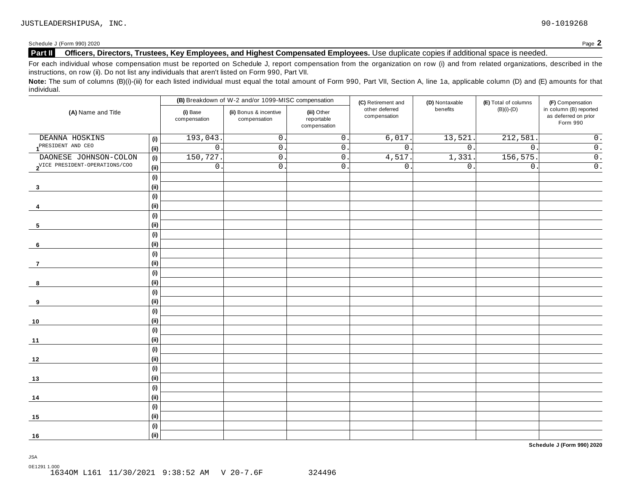Schedule <sup>J</sup> (Form 990) <sup>2020</sup> Page **2**

### **Part II Officers, Directors, Trustees, Key Employees, and Highest Compensated Employees.** Use duplicate copies ifadditional space is needed.

For each individual whose compensation must be reported on Schedule J, report compensation from the organization on row (i) and from related organizations, described in the instructions, on row (ii). Do not list any individuals that aren't listed on Form 990, Part VII.

Note: The sum of columns (B)(i)-(iii) for each listed individual must equal the total amount of Form 990, Part VII, Section A, line 1a, applicable column (D) and (E) amounts for that individual.

|                                |                              |                          | (B) Breakdown of W-2 and/or 1099-MISC compensation |                                           | (C) Retirement and             | (D) Nontaxable   | (E) Total of columns | (F) Compensation                                           |
|--------------------------------|------------------------------|--------------------------|----------------------------------------------------|-------------------------------------------|--------------------------------|------------------|----------------------|------------------------------------------------------------|
| (A) Name and Title             |                              | (i) Base<br>compensation | (ii) Bonus & incentive<br>compensation             | (iii) Other<br>reportable<br>compensation | other deferred<br>compensation | benefits         | $(B)(i)-(D)$         | in column (B) reported<br>as deferred on prior<br>Form 990 |
| DEANNA HOSKINS                 | (i)                          | 193,043                  | $\mathsf{O}$ .                                     | $\mathsf{O}$ .                            | 6,017                          | 13,521           | 212,581              | $\overline{0}$ .                                           |
| 1 <sup>PRESIDENT</sup> AND CEO | (ii)                         | $\overline{0}$           | $\mathsf{O}$ .                                     | $\mathsf{O}$ .                            | $\overline{0}$ .               | $\overline{0}$ . | $\mathsf{O}$ .       | $\overline{0}$ .                                           |
| DAONESE JOHNSON-COLON          | (i)                          | 150,727                  | $0$ .                                              | $\mathsf{0}$ .                            | 4,517.                         | 1,331.           | 156, 575.            | $\overline{0}$ .                                           |
| 2VICE PRESIDENT-OPERATIONS/COO | (ii)                         | $\mathsf{O}$ .           | $\overline{0}$ .                                   | $\overline{0}$ .                          | $\overline{0}$ .               | $\overline{0}$ . | $\mathsf{O}$ .       | $\overline{0}$ .                                           |
|                                | (i)                          |                          |                                                    |                                           |                                |                  |                      |                                                            |
| $\overline{\mathbf{3}}$        | (ii)                         |                          |                                                    |                                           |                                |                  |                      |                                                            |
|                                | (i)                          |                          |                                                    |                                           |                                |                  |                      |                                                            |
| 4                              | (i)                          |                          |                                                    |                                           |                                |                  |                      |                                                            |
|                                | (i)                          |                          |                                                    |                                           |                                |                  |                      |                                                            |
| 5                              | (ii)                         |                          |                                                    |                                           |                                |                  |                      |                                                            |
|                                | (i)                          |                          |                                                    |                                           |                                |                  |                      |                                                            |
| 6                              | (ii)                         |                          |                                                    |                                           |                                |                  |                      |                                                            |
|                                | (i)                          |                          |                                                    |                                           |                                |                  |                      |                                                            |
| $\overline{7}$                 | (ii)                         |                          |                                                    |                                           |                                |                  |                      |                                                            |
|                                | (i)                          |                          |                                                    |                                           |                                |                  |                      |                                                            |
| 8                              | (i)                          |                          |                                                    |                                           |                                |                  |                      |                                                            |
|                                | $\qquad \qquad \textbf{(i)}$ |                          |                                                    |                                           |                                |                  |                      |                                                            |
| 9                              | (ii)                         |                          |                                                    |                                           |                                |                  |                      |                                                            |
|                                | (i)                          |                          |                                                    |                                           |                                |                  |                      |                                                            |
| 10                             | (ii)                         |                          |                                                    |                                           |                                |                  |                      |                                                            |
|                                | (i)                          |                          |                                                    |                                           |                                |                  |                      |                                                            |
| 11                             | (ii)                         |                          |                                                    |                                           |                                |                  |                      |                                                            |
|                                | $\qquad \qquad \textbf{(i)}$ |                          |                                                    |                                           |                                |                  |                      |                                                            |
| 12                             | (ii)                         |                          |                                                    |                                           |                                |                  |                      |                                                            |
|                                | $\qquad \qquad \textbf{(i)}$ |                          |                                                    |                                           |                                |                  |                      |                                                            |
| 13                             | (ii)                         |                          |                                                    |                                           |                                |                  |                      |                                                            |
|                                | (i)                          |                          |                                                    |                                           |                                |                  |                      |                                                            |
| 14                             | (i)                          |                          |                                                    |                                           |                                |                  |                      |                                                            |
|                                | (i)                          |                          |                                                    |                                           |                                |                  |                      |                                                            |
| 15                             | (i)                          |                          |                                                    |                                           |                                |                  |                      |                                                            |
|                                | (i)                          |                          |                                                    |                                           |                                |                  |                      |                                                            |
| 16                             | (ii)                         |                          |                                                    |                                           |                                |                  |                      |                                                            |

**Schedule J (Form 990) 2020**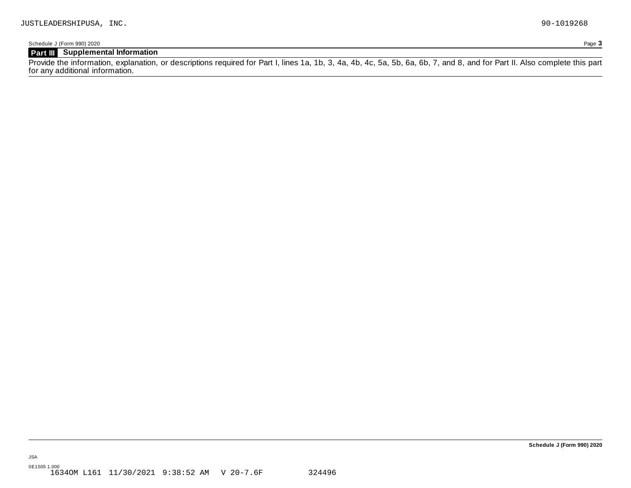Schedule J (Form 990) 2020 Page **3**

## **Part III Supplemental Information**

Provide the information, explanation, or descriptions required for Part I, lines 1a, 1b, 3, 4a, 4b, 4c, 5a, 5b, 6a, 6b, 7, and 8, and for Part II. Also complete this part for any additional information.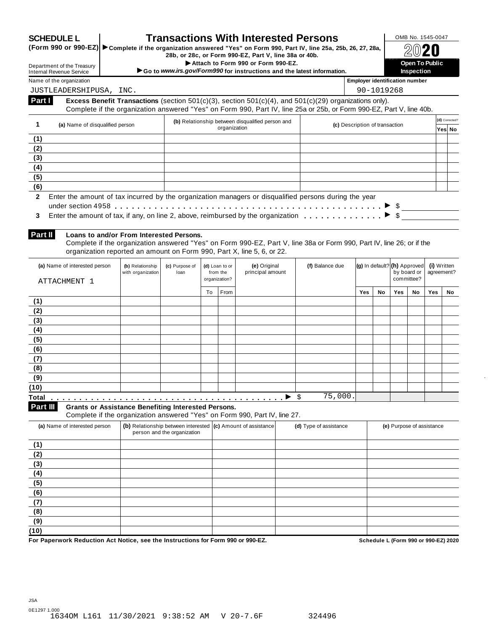|                               |                                                                                                      |                                                                                                              |                                                                                             |    |                                             | <b>Transactions With Interested Persons</b><br>(Form 990 or 990-EZ) ► Complete if the organization answered "Yes" on Form 990, Part IV, line 25a, 25b, 26, 27, 28a,<br>28b, or 28c, or Form 990-EZ, Part V, line 38a or 40b.   |    |                                |                                                               |                                            |            |    |                           |                          |
|-------------------------------|------------------------------------------------------------------------------------------------------|--------------------------------------------------------------------------------------------------------------|---------------------------------------------------------------------------------------------|----|---------------------------------------------|--------------------------------------------------------------------------------------------------------------------------------------------------------------------------------------------------------------------------------|----|--------------------------------|---------------------------------------------------------------|--------------------------------------------|------------|----|---------------------------|--------------------------|
| Department of the Treasury    |                                                                                                      | Attach to Form 990 or Form 990-EZ.<br>Go to www.irs.gov/Form990 for instructions and the latest information. |                                                                                             |    |                                             |                                                                                                                                                                                                                                |    |                                |                                                               | <b>Open To Public</b><br><b>Inspection</b> |            |    |                           |                          |
|                               | <b>Internal Revenue Service</b><br>Name of the organization<br><b>Employer identification number</b> |                                                                                                              |                                                                                             |    |                                             |                                                                                                                                                                                                                                |    |                                |                                                               |                                            |            |    |                           |                          |
| JUSTLEADERSHIPUSA, INC.       |                                                                                                      |                                                                                                              |                                                                                             |    |                                             |                                                                                                                                                                                                                                |    |                                |                                                               | 90-1019268                                 |            |    |                           |                          |
| Part I                        |                                                                                                      |                                                                                                              |                                                                                             |    |                                             | Excess Benefit Transactions (section 501(c)(3), section 501(c)(4), and 501(c)(29) organizations only).<br>Complete if the organization answered "Yes" on Form 990, Part IV, line 25a or 25b, or Form 990-EZ, Part V, line 40b. |    |                                |                                                               |                                            |            |    |                           |                          |
| $\mathbf 1$                   | (a) Name of disqualified person                                                                      |                                                                                                              |                                                                                             |    | organization                                | (b) Relationship between disqualified person and                                                                                                                                                                               |    | (c) Description of transaction |                                                               |                                            |            |    |                           | (d) Corrected?<br>Yes No |
| (1)                           |                                                                                                      |                                                                                                              |                                                                                             |    |                                             |                                                                                                                                                                                                                                |    |                                |                                                               |                                            |            |    |                           |                          |
| (2)                           |                                                                                                      |                                                                                                              |                                                                                             |    |                                             |                                                                                                                                                                                                                                |    |                                |                                                               |                                            |            |    |                           |                          |
| (3)                           |                                                                                                      |                                                                                                              |                                                                                             |    |                                             |                                                                                                                                                                                                                                |    |                                |                                                               |                                            |            |    |                           |                          |
| (4)                           |                                                                                                      |                                                                                                              |                                                                                             |    |                                             |                                                                                                                                                                                                                                |    |                                |                                                               |                                            |            |    |                           |                          |
| (5)                           |                                                                                                      |                                                                                                              |                                                                                             |    |                                             |                                                                                                                                                                                                                                |    |                                |                                                               |                                            |            |    |                           |                          |
| (6)<br>$\overline{2}$         |                                                                                                      |                                                                                                              |                                                                                             |    |                                             | Enter the amount of tax incurred by the organization managers or disqualified persons during the year                                                                                                                          |    |                                |                                                               |                                            |            |    |                           |                          |
| 3<br>Part II                  |                                                                                                      | Loans to and/or From Interested Persons.                                                                     |                                                                                             |    |                                             | Enter the amount of tax, if any, on line 2, above, reimbursed by the organization $\ldots \ldots \ldots$                                                                                                                       |    |                                |                                                               |                                            |            |    |                           |                          |
|                               |                                                                                                      |                                                                                                              |                                                                                             |    |                                             | Complete if the organization answered "Yes" on Form 990-EZ, Part V, line 38a or Form 990, Part IV, line 26; or if the<br>organization reported an amount on Form 990, Part X, line 5, 6, or 22.                                |    |                                |                                                               |                                            |            |    |                           |                          |
| (a) Name of interested person |                                                                                                      | (b) Relationship<br>with organization                                                                        | (c) Purpose of<br>loan                                                                      |    | (d) Loan to or<br>from the<br>organization? | (e) Original<br>principal amount                                                                                                                                                                                               |    | (f) Balance due                | $(g)$ In default? $(h)$ Approved<br>by board or<br>committee? |                                            |            |    | (i) Written<br>agreement? |                          |
| ATTACHMENT 1                  |                                                                                                      |                                                                                                              |                                                                                             | To | From                                        |                                                                                                                                                                                                                                |    |                                | <b>Yes</b>                                                    | No                                         | <b>Yes</b> | No | Yes                       | No                       |
| (1)                           |                                                                                                      |                                                                                                              |                                                                                             |    |                                             |                                                                                                                                                                                                                                |    |                                |                                                               |                                            |            |    |                           |                          |
| (2)                           |                                                                                                      |                                                                                                              |                                                                                             |    |                                             |                                                                                                                                                                                                                                |    |                                |                                                               |                                            |            |    |                           |                          |
| (3)                           |                                                                                                      |                                                                                                              |                                                                                             |    |                                             |                                                                                                                                                                                                                                |    |                                |                                                               |                                            |            |    |                           |                          |
| (4)<br>(5)                    |                                                                                                      |                                                                                                              |                                                                                             |    |                                             |                                                                                                                                                                                                                                |    |                                |                                                               |                                            |            |    |                           |                          |
| (6)                           |                                                                                                      |                                                                                                              |                                                                                             |    |                                             |                                                                                                                                                                                                                                |    |                                |                                                               |                                            |            |    |                           |                          |
| (7)                           |                                                                                                      |                                                                                                              |                                                                                             |    |                                             |                                                                                                                                                                                                                                |    |                                |                                                               |                                            |            |    |                           |                          |
| (8)                           |                                                                                                      |                                                                                                              |                                                                                             |    |                                             |                                                                                                                                                                                                                                |    |                                |                                                               |                                            |            |    |                           |                          |
| (9)                           |                                                                                                      |                                                                                                              |                                                                                             |    |                                             |                                                                                                                                                                                                                                |    |                                |                                                               |                                            |            |    |                           |                          |
| (10)                          |                                                                                                      |                                                                                                              |                                                                                             |    |                                             |                                                                                                                                                                                                                                |    |                                |                                                               |                                            |            |    |                           |                          |
| Total                         |                                                                                                      |                                                                                                              |                                                                                             |    |                                             |                                                                                                                                                                                                                                | \$ | 75,000                         |                                                               |                                            |            |    |                           |                          |
| Part III                      |                                                                                                      | <b>Grants or Assistance Benefiting Interested Persons.</b>                                                   |                                                                                             |    |                                             | Complete if the organization answered "Yes" on Form 990, Part IV, line 27.                                                                                                                                                     |    |                                |                                                               |                                            |            |    |                           |                          |
| (a) Name of interested person |                                                                                                      |                                                                                                              | (b) Relationship between interested (c) Amount of assistance<br>person and the organization |    |                                             |                                                                                                                                                                                                                                |    | (d) Type of assistance         |                                                               |                                            |            |    | (e) Purpose of assistance |                          |
| (1)                           |                                                                                                      |                                                                                                              |                                                                                             |    |                                             |                                                                                                                                                                                                                                |    |                                |                                                               |                                            |            |    |                           |                          |
| (2)                           |                                                                                                      |                                                                                                              |                                                                                             |    |                                             |                                                                                                                                                                                                                                |    |                                |                                                               |                                            |            |    |                           |                          |
| (3)                           |                                                                                                      |                                                                                                              |                                                                                             |    |                                             |                                                                                                                                                                                                                                |    |                                |                                                               |                                            |            |    |                           |                          |
| (4)                           |                                                                                                      |                                                                                                              |                                                                                             |    |                                             |                                                                                                                                                                                                                                |    |                                |                                                               |                                            |            |    |                           |                          |
| (5)                           |                                                                                                      |                                                                                                              |                                                                                             |    |                                             |                                                                                                                                                                                                                                |    |                                |                                                               |                                            |            |    |                           |                          |
| (6)                           |                                                                                                      |                                                                                                              |                                                                                             |    |                                             |                                                                                                                                                                                                                                |    |                                |                                                               |                                            |            |    |                           |                          |
| (7)                           |                                                                                                      |                                                                                                              |                                                                                             |    |                                             |                                                                                                                                                                                                                                |    |                                |                                                               |                                            |            |    |                           |                          |
| (8)                           |                                                                                                      |                                                                                                              |                                                                                             |    |                                             |                                                                                                                                                                                                                                |    |                                |                                                               |                                            |            |    |                           |                          |
| (9)                           |                                                                                                      |                                                                                                              |                                                                                             |    |                                             |                                                                                                                                                                                                                                |    |                                |                                                               |                                            |            |    |                           |                          |
| (10)                          |                                                                                                      |                                                                                                              |                                                                                             |    |                                             |                                                                                                                                                                                                                                |    |                                |                                                               |                                            |            |    |                           |                          |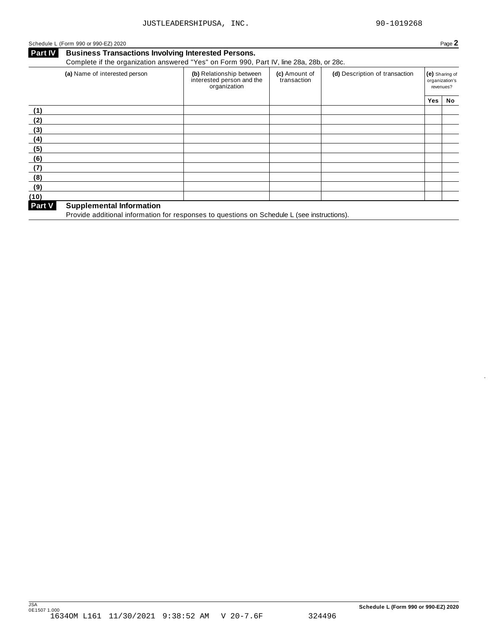Schedule <sup>L</sup> (Form <sup>990</sup> or 990-EZ) <sup>2020</sup> Page **2**

**Business Transactions Involving Interested Persons. Part IV** Business Transactions Involving Interested Persons.<br>Complete if the organization answered "Yes" on Form 990, Part IV, line 28a, 28b, or 28c.

| (a) Name of interested person             | (b) Relationship between<br>interested person and the<br>organization | (c) Amount of<br>transaction | (d) Description of transaction | (e) Sharing of<br>organization's<br>revenues? |    |
|-------------------------------------------|-----------------------------------------------------------------------|------------------------------|--------------------------------|-----------------------------------------------|----|
|                                           |                                                                       |                              |                                | <b>Yes</b>                                    | No |
| (1)                                       |                                                                       |                              |                                |                                               |    |
| (2)                                       |                                                                       |                              |                                |                                               |    |
| (3)                                       |                                                                       |                              |                                |                                               |    |
| (4)                                       |                                                                       |                              |                                |                                               |    |
| (5)                                       |                                                                       |                              |                                |                                               |    |
| (6)                                       |                                                                       |                              |                                |                                               |    |
| (7)                                       |                                                                       |                              |                                |                                               |    |
| (8)                                       |                                                                       |                              |                                |                                               |    |
| (9)                                       |                                                                       |                              |                                |                                               |    |
| (10)                                      |                                                                       |                              |                                |                                               |    |
| Part V<br><b>Supplemental Information</b> |                                                                       |                              |                                |                                               |    |

Provide additional information for responses to questions on Schedule L (see instructions).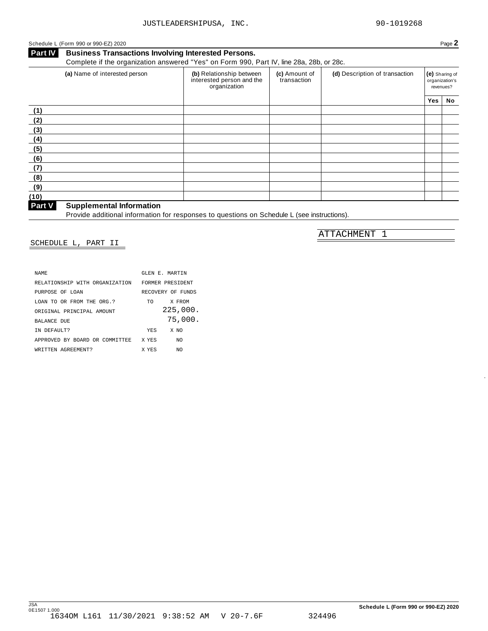ATTACHMENT 1

#### <span id="page-46-0"></span>Schedule <sup>L</sup> (Form <sup>990</sup> or 990-EZ) <sup>2020</sup> Page **2**

**Business Transactions Involving Interested Persons. Part IV** Business Transactions Involving Interested Persons.<br>Complete if the organization answered "Yes" on Form 990, Part IV, line 28a, 28b, or 28c.

| (a) Name of interested person             | (b) Relationship between<br>interested person and the<br>organization | (c) Amount of<br>transaction | (d) Description of transaction | revenues? | (e) Sharing of<br>organization's |
|-------------------------------------------|-----------------------------------------------------------------------|------------------------------|--------------------------------|-----------|----------------------------------|
|                                           |                                                                       |                              |                                | Yes       | No                               |
| (1)                                       |                                                                       |                              |                                |           |                                  |
| (2)                                       |                                                                       |                              |                                |           |                                  |
| (3)                                       |                                                                       |                              |                                |           |                                  |
| (4)                                       |                                                                       |                              |                                |           |                                  |
| (5)                                       |                                                                       |                              |                                |           |                                  |
| (6)                                       |                                                                       |                              |                                |           |                                  |
| (7)                                       |                                                                       |                              |                                |           |                                  |
| (8)                                       |                                                                       |                              |                                |           |                                  |
| (9)                                       |                                                                       |                              |                                |           |                                  |
| (10)                                      |                                                                       |                              |                                |           |                                  |
| Part V<br><b>Supplemental Information</b> |                                                                       |                              |                                |           |                                  |

Provide additional information for responses to questions on Schedule L (see instructions).

SCHEDULE L, PART II

| <b>NAME</b>                    | GLEN E. MARTIN |                   |
|--------------------------------|----------------|-------------------|
| RELATIONSHIP WITH ORGANIZATION |                | FORMER PRESIDENT  |
| PURPOSE OF LOAN                |                | RECOVERY OF FUNDS |
| LOAN TO OR FROM THE ORG.?      | <b>TO</b>      | X FROM            |
| ORIGINAL PRINCIPAL AMOUNT      |                | 225,000.          |
| BALANCE DUE                    |                | 75,000.           |
| IN DEFAULT?                    | <b>YES</b>     | X NO              |
| APPROVED BY BOARD OR COMMITTEE | X YES          | NO.               |
| WRITTEN AGREEMENT?             | X YES          | NO                |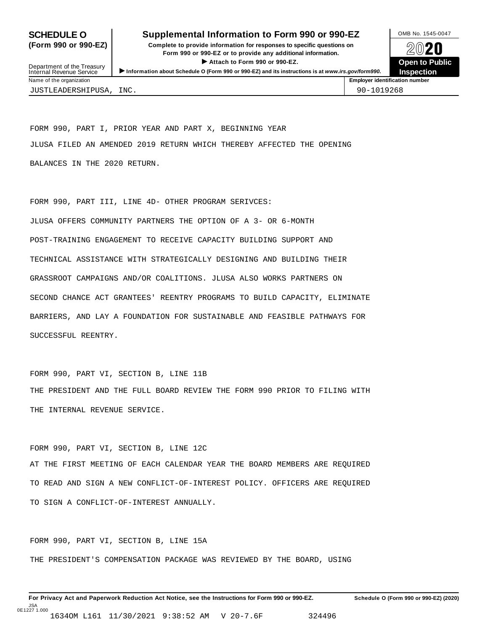### **SCHEDULE O** Supplemental Information to Form 990 or 990-EZ DMB No. 1545-0047

**(Form 990 or 990-EZ) Complete to provide information for responses to specific questions on** plete to provide information for responses to specific questions on  $\bigotimes_{\mathbb{Z}}\mathbb{Q}$  20 **EVECT**<br>
Attach to Form 990 or 990-EZ.<br>
and the Communication of the Communication of the Communication of the Communication of the Communication of the Communication of the Communication of the Communication of the Commu Department of the Treasury <br>Depen to Public<br>Name of the organization<br>Name of the organization<br>Name of the organization<br>Name of the organization<br>Name of the organization<br>Name of the organization<br>Name of the organization



Department of the Treasury<br>Internal Revenue Service JUSTLEADERSHIPUSA, INC. 90-1019268

FORM 990, PART I, PRIOR YEAR AND PART X, BEGINNING YEAR JLUSA FILED AN AMENDED 2019 RETURN WHICH THEREBY AFFECTED THE OPENING BALANCES IN THE 2020 RETURN.

FORM 990, PART III, LINE 4D- OTHER PROGRAM SERIVCES: JLUSA OFFERS COMMUNITY PARTNERS THE OPTION OF A 3- OR 6-MONTH POST-TRAINING ENGAGEMENT TO RECEIVE CAPACITY BUILDING SUPPORT AND TECHNICAL ASSISTANCE WITH STRATEGICALLY DESIGNING AND BUILDING THEIR GRASSROOT CAMPAIGNS AND/OR COALITIONS. JLUSA ALSO WORKS PARTNERS ON SECOND CHANCE ACT GRANTEES' REENTRY PROGRAMS TO BUILD CAPACITY, ELIMINATE BARRIERS, AND LAY A FOUNDATION FOR SUSTAINABLE AND FEASIBLE PATHWAYS FOR SUCCESSFUL REENTRY.

FORM 990, PART VI, SECTION B, LINE 11B THE PRESIDENT AND THE FULL BOARD REVIEW THE FORM 990 PRIOR TO FILING WITH THE INTERNAL REVENUE SERVICE.

FORM 990, PART VI, SECTION B, LINE 12C AT THE FIRST MEETING OF EACH CALENDAR YEAR THE BOARD MEMBERS ARE REQUIRED TO READ AND SIGN A NEW CONFLICT-OF-INTEREST POLICY. OFFICERS ARE REQUIRED TO SIGN A CONFLICT-OF-INTEREST ANNUALLY.

FORM 990, PART VI, SECTION B, LINE 15A

THE PRESIDENT'S COMPENSATION PACKAGE WAS REVIEWED BY THE BOARD, USING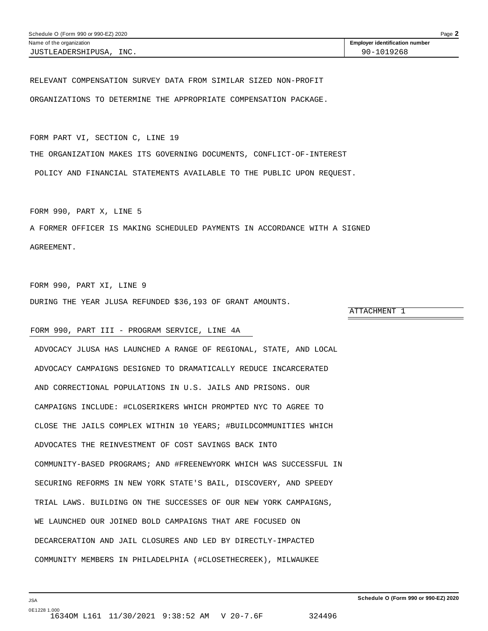<span id="page-48-0"></span>RELEVANT COMPENSATION SURVEY DATA FROM SIMILAR SIZED NON-PROFIT ORGANIZATIONS TO DETERMINE THE APPROPRIATE COMPENSATION PACKAGE.

FORM PART VI, SECTION C, LINE 19 THE ORGANIZATION MAKES ITS GOVERNING DOCUMENTS, CONFLICT-OF-INTEREST POLICY AND FINANCIAL STATEMENTS AVAILABLE TO THE PUBLIC UPON REQUEST.

FORM 990, PART X, LINE 5

A FORMER OFFICER IS MAKING SCHEDULED PAYMENTS IN ACCORDANCE WITH A SIGNED AGREEMENT.

FORM 990, PART XI, LINE 9

JSA

DURING THE YEAR JLUSA REFUNDED \$36,193 OF GRANT AMOUNTS.

ATTACHMENT 1

#### FORM 990, PART III - PROGRAM SERVICE, LINE 4A

ADVOCACY JLUSA HAS LAUNCHED A RANGE OF REGIONAL, STATE, AND LOCAL ADVOCACY CAMPAIGNS DESIGNED TO DRAMATICALLY REDUCE INCARCERATED AND CORRECTIONAL POPULATIONS IN U.S. JAILS AND PRISONS. OUR CAMPAIGNS INCLUDE: #CLOSERIKERS WHICH PROMPTED NYC TO AGREE TO CLOSE THE JAILS COMPLEX WITHIN 10 YEARS; #BUILDCOMMUNITIES WHICH ADVOCATES THE REINVESTMENT OF COST SAVINGS BACK INTO COMMUNITY-BASED PROGRAMS; AND #FREENEWYORK WHICH WAS SUCCESSFUL IN SECURING REFORMS IN NEW YORK STATE'S BAIL, DISCOVERY, AND SPEEDY TRIAL LAWS. BUILDING ON THE SUCCESSES OF OUR NEW YORK CAMPAIGNS, WE LAUNCHED OUR JOINED BOLD CAMPAIGNS THAT ARE FOCUSED ON DECARCERATION AND JAIL CLOSURES AND LED BY DIRECTLY-IMPACTED COMMUNITY MEMBERS IN PHILADELPHIA (#CLOSETHECREEK), MILWAUKEE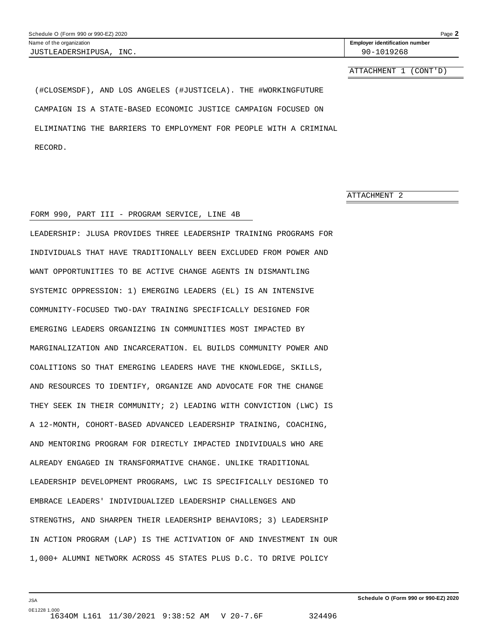ATTACHMENT 1 (CONT'D)

<span id="page-49-0"></span>(#CLOSEMSDF), AND LOS ANGELES (#JUSTICELA). THE #WORKINGFUTURE CAMPAIGN IS A STATE-BASED ECONOMIC JUSTICE CAMPAIGN FOCUSED ON ELIMINATING THE BARRIERS TO EMPLOYMENT FOR PEOPLE WITH A CRIMINAL RECORD.

ATTACHMENT 2

#### FORM 990, PART III - PROGRAM SERVICE, LINE 4B

LEADERSHIP: JLUSA PROVIDES THREE LEADERSHIP TRAINING PROGRAMS FOR INDIVIDUALS THAT HAVE TRADITIONALLY BEEN EXCLUDED FROM POWER AND WANT OPPORTUNITIES TO BE ACTIVE CHANGE AGENTS IN DISMANTLING SYSTEMIC OPPRESSION: 1) EMERGING LEADERS (EL) IS AN INTENSIVE COMMUNITY-FOCUSED TWO-DAY TRAINING SPECIFICALLY DESIGNED FOR EMERGING LEADERS ORGANIZING IN COMMUNITIES MOST IMPACTED BY MARGINALIZATION AND INCARCERATION. EL BUILDS COMMUNITY POWER AND COALITIONS SO THAT EMERGING LEADERS HAVE THE KNOWLEDGE, SKILLS, AND RESOURCES TO IDENTIFY, ORGANIZE AND ADVOCATE FOR THE CHANGE THEY SEEK IN THEIR COMMUNITY; 2) LEADING WITH CONVICTION (LWC) IS A 12-MONTH, COHORT-BASED ADVANCED LEADERSHIP TRAINING, COACHING, AND MENTORING PROGRAM FOR DIRECTLY IMPACTED INDIVIDUALS WHO ARE ALREADY ENGAGED IN TRANSFORMATIVE CHANGE. UNLIKE TRADITIONAL LEADERSHIP DEVELOPMENT PROGRAMS, LWC IS SPECIFICALLY DESIGNED TO EMBRACE LEADERS' INDIVIDUALIZED LEADERSHIP CHALLENGES AND STRENGTHS, AND SHARPEN THEIR LEADERSHIP BEHAVIORS; 3) LEADERSHIP IN ACTION PROGRAM (LAP) IS THE ACTIVATION OF AND INVESTMENT IN OUR 1,000+ ALUMNI NETWORK ACROSS 45 STATES PLUS D.C. TO DRIVE POLICY

JSA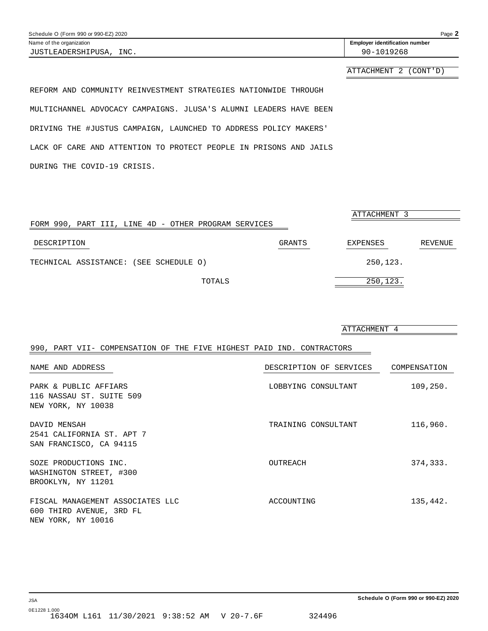<span id="page-50-0"></span>

| Schedule O (Form 990 or 990-EZ) 2020 | Page $\angle$                         |
|--------------------------------------|---------------------------------------|
| Name of the organization             | <b>Employer identification number</b> |
| INC.<br>JUSTLEADERSHIPUSA.           | 90-1019268                            |

ATTACHMENT 2 (CONT'D)

REFORM AND COMMUNITY REINVESTMENT STRATEGIES NATIONWIDE THROUGH MULTICHANNEL ADVOCACY CAMPAIGNS. JLUSA'S ALUMNI LEADERS HAVE BEEN DRIVING THE #JUSTUS CAMPAIGN, LAUNCHED TO ADDRESS POLICY MAKERS' LACK OF CARE AND ATTENTION TO PROTECT PEOPLE IN PRISONS AND JAILS DURING THE COVID-19 CRISIS.

|                                                      |        | ATTACHMENT 3    |         |  |
|------------------------------------------------------|--------|-----------------|---------|--|
| FORM 990, PART III, LINE 4D - OTHER PROGRAM SERVICES |        |                 |         |  |
| DESCRIPTION                                          | GRANTS | <b>EXPENSES</b> | REVENUE |  |
| TECHNICAL ASSISTANCE: (SEE SCHEDULE O)               |        | 250,123.        |         |  |
| TOTALS                                               |        | 250,123.        |         |  |

|                                                                                    | ATTACHMENT 4            |              |
|------------------------------------------------------------------------------------|-------------------------|--------------|
| 990, PART VII- COMPENSATION OF THE FIVE HIGHEST PAID IND. CONTRACTORS              |                         |              |
| NAME AND ADDRESS                                                                   | DESCRIPTION OF SERVICES | COMPENSATION |
| PARK & PUBLIC AFFIARS<br>116 NASSAU ST. SUITE 509<br>NEW YORK, NY 10038            | LOBBYING CONSULTANT     | 109, 250.    |
| DAVID MENSAH<br>2541 CALIFORNIA ST. APT 7<br>SAN FRANCISCO, CA 94115               | TRAINING CONSULTANT     | 116,960.     |
| SOZE PRODUCTIONS INC.<br>WASHINGTON STREET, #300<br>BROOKLYN, NY 11201             | OUTREACH                | 374,333.     |
| FISCAL MANAGEMENT ASSOCIATES LLC<br>600 THIRD AVENUE, 3RD FL<br>NEW YORK, NY 10016 | ACCOUNTING              | 135,442.     |